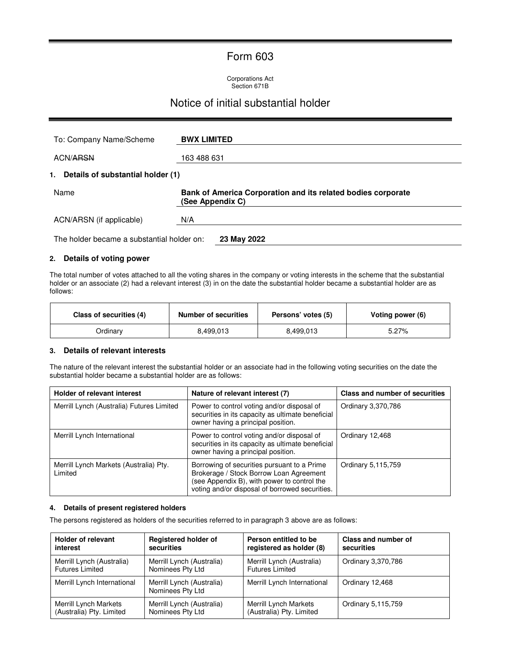### Form 603

Corporations Act Section 671B

### Notice of initial substantial holder

| To: Company Name/Scheme                    | <b>BWX LIMITED</b>                                                               |
|--------------------------------------------|----------------------------------------------------------------------------------|
| <b>ACN/ARSN</b>                            | 163 488 631                                                                      |
| 1. Details of substantial holder (1)       |                                                                                  |
| Name                                       | Bank of America Corporation and its related bodies corporate<br>(See Appendix C) |
| ACN/ARSN (if applicable)                   | N/A                                                                              |
| The holder became a substantial holder on: | 23 May 2022                                                                      |

### **2. Details of voting power**

The total number of votes attached to all the voting shares in the company or voting interests in the scheme that the substantial holder or an associate (2) had a relevant interest (3) in on the date the substantial holder became a substantial holder are as follows:

| Class of securities (4) | Number of securities | Persons' votes (5) | Voting power (6) |
|-------------------------|----------------------|--------------------|------------------|
| Ordinarv                | 8,499,013            | 8,499,013          | $5.27\%$         |

### **3. Details of relevant interests**

The nature of the relevant interest the substantial holder or an associate had in the following voting securities on the date the substantial holder became a substantial holder are as follows:

| <b>Holder of relevant interest</b>                | Nature of relevant interest (7)                                                                                                                                                         | Class and number of securities |
|---------------------------------------------------|-----------------------------------------------------------------------------------------------------------------------------------------------------------------------------------------|--------------------------------|
| Merrill Lynch (Australia) Futures Limited         | Power to control voting and/or disposal of<br>securities in its capacity as ultimate beneficial<br>owner having a principal position.                                                   | Ordinary 3,370,786             |
| Merrill Lynch International                       | Power to control voting and/or disposal of<br>securities in its capacity as ultimate beneficial<br>owner having a principal position.                                                   | Ordinary 12,468                |
| Merrill Lynch Markets (Australia) Pty.<br>Limited | Borrowing of securities pursuant to a Prime<br>Brokerage / Stock Borrow Loan Agreement<br>(see Appendix B), with power to control the<br>voting and/or disposal of borrowed securities. | Ordinary 5,115,759             |

#### **4. Details of present registered holders**

The persons registered as holders of the securities referred to in paragraph 3 above are as follows:

| <b>Holder of relevant</b>   | <b>Registered holder of</b>                   | Person entitled to be       | <b>Class and number of</b> |
|-----------------------------|-----------------------------------------------|-----------------------------|----------------------------|
| interest                    | securities                                    | registered as holder (8)    | securities                 |
| Merrill Lynch (Australia)   | Merrill Lynch (Australia)                     | Merrill Lynch (Australia)   | Ordinary 3,370,786         |
| <b>Futures Limited</b>      | Nominees Pty Ltd                              | <b>Futures Limited</b>      |                            |
| Merrill Lynch International | Merrill Lynch (Australia)<br>Nominees Pty Ltd | Merrill Lynch International | Ordinary 12,468            |
| Merrill Lynch Markets       | Merrill Lynch (Australia)                     | Merrill Lynch Markets       | Ordinary 5,115,759         |
| (Australia) Pty. Limited    | Nominees Pty Ltd                              | (Australia) Pty. Limited    |                            |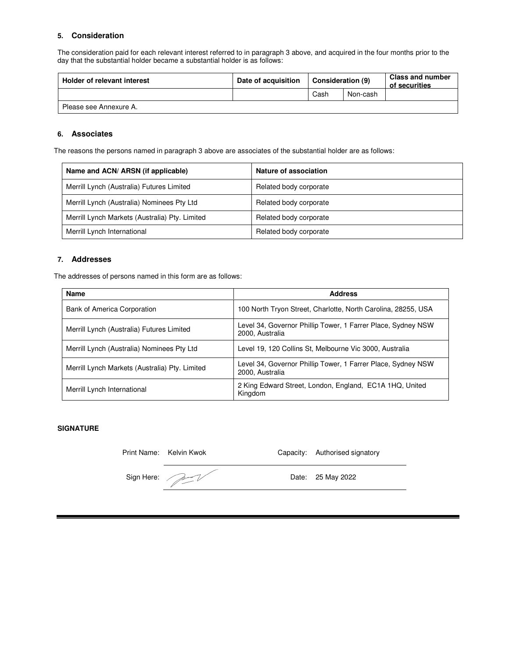### **5. Consideration**

The consideration paid for each relevant interest referred to in paragraph 3 above, and acquired in the four months prior to the day that the substantial holder became a substantial holder is as follows:

| Holder of relevant interest | Date of acquisition | <b>Consideration (9)</b> |          | <b>Class and number</b><br>of securities |
|-----------------------------|---------------------|--------------------------|----------|------------------------------------------|
|                             |                     | Cash                     | Non-cash |                                          |
| Please see Annexure A.      |                     |                          |          |                                          |

#### **6. Associates**

The reasons the persons named in paragraph 3 above are associates of the substantial holder are as follows:

| Name and ACN/ ARSN (if applicable)             | Nature of association  |
|------------------------------------------------|------------------------|
| Merrill Lynch (Australia) Futures Limited      | Related body corporate |
| Merrill Lynch (Australia) Nominees Pty Ltd     | Related body corporate |
| Merrill Lynch Markets (Australia) Pty. Limited | Related body corporate |
| Merrill Lynch International                    | Related body corporate |

### **7. Addresses**

The addresses of persons named in this form are as follows:

| <b>Name</b>                                    | <b>Address</b>                                                                  |
|------------------------------------------------|---------------------------------------------------------------------------------|
| Bank of America Corporation                    | 100 North Tryon Street, Charlotte, North Carolina, 28255, USA                   |
| Merrill Lynch (Australia) Futures Limited      | Level 34, Governor Phillip Tower, 1 Farrer Place, Sydney NSW<br>2000, Australia |
| Merrill Lynch (Australia) Nominees Pty Ltd     | Level 19, 120 Collins St. Melbourne Vic 3000, Australia                         |
| Merrill Lynch Markets (Australia) Pty. Limited | Level 34, Governor Phillip Tower, 1 Farrer Place, Sydney NSW<br>2000, Australia |
| Merrill Lynch International                    | 2 King Edward Street, London, England, EC1A 1HQ, United<br>Kingdom              |

### **SIGNATURE**

| Print Name: Kelvin Kwok | Capacity: Authorised signatory |
|-------------------------|--------------------------------|
| Sign Here:              | Date: 25 May 2022              |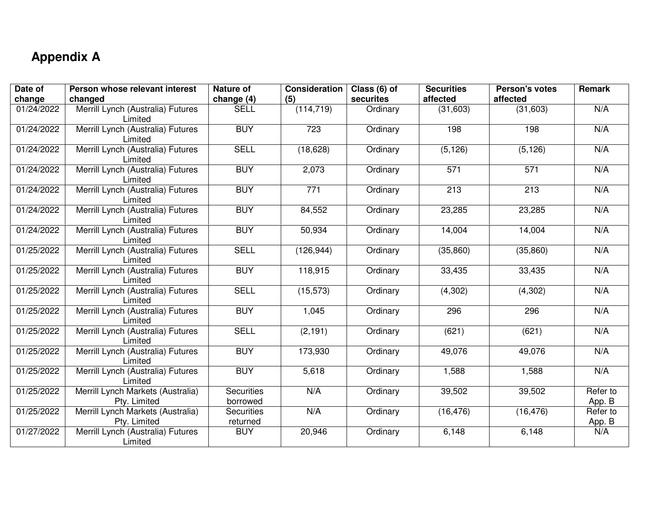### **Appendix A**

| Date of    | Person whose relevant interest                    | <b>Nature of</b>              | <b>Consideration</b> | Class (6) of | <b>Securities</b> | Person's votes | Remark             |
|------------|---------------------------------------------------|-------------------------------|----------------------|--------------|-------------------|----------------|--------------------|
| change     | changed                                           | change (4)                    | (5)                  | securites    | affected          | affected       |                    |
| 01/24/2022 | Merrill Lynch (Australia) Futures<br>Limited      | <b>SELL</b>                   | (114, 719)           | Ordinary     | (31,603)          | (31,603)       | N/A                |
| 01/24/2022 | Merrill Lynch (Australia) Futures<br>Limited      | <b>BUY</b>                    | 723                  | Ordinary     | 198               | 198            | N/A                |
| 01/24/2022 | Merrill Lynch (Australia) Futures<br>Limited      | <b>SELL</b>                   | (18, 628)            | Ordinary     | (5, 126)          | (5, 126)       | N/A                |
| 01/24/2022 | Merrill Lynch (Australia) Futures<br>Limited      | <b>BUY</b>                    | 2,073                | Ordinary     | 571               | 571            | N/A                |
| 01/24/2022 | Merrill Lynch (Australia) Futures<br>Limited      | <b>BUY</b>                    | 771                  | Ordinary     | 213               | 213            | N/A                |
| 01/24/2022 | Merrill Lynch (Australia) Futures<br>Limited      | <b>BUY</b>                    | 84,552               | Ordinary     | 23,285            | 23,285         | N/A                |
| 01/24/2022 | Merrill Lynch (Australia) Futures<br>Limited      | <b>BUY</b>                    | 50,934               | Ordinary     | 14,004            | 14,004         | N/A                |
| 01/25/2022 | Merrill Lynch (Australia) Futures<br>Limited      | <b>SELL</b>                   | (126, 944)           | Ordinary     | (35, 860)         | (35, 860)      | N/A                |
| 01/25/2022 | Merrill Lynch (Australia) Futures<br>Limited      | <b>BUY</b>                    | 118,915              | Ordinary     | 33,435            | 33,435         | N/A                |
| 01/25/2022 | Merrill Lynch (Australia) Futures<br>Limited      | <b>SELL</b>                   | (15, 573)            | Ordinary     | (4,302)           | (4,302)        | N/A                |
| 01/25/2022 | Merrill Lynch (Australia) Futures<br>Limited      | <b>BUY</b>                    | 1,045                | Ordinary     | 296               | 296            | N/A                |
| 01/25/2022 | Merrill Lynch (Australia) Futures<br>Limited      | <b>SELL</b>                   | (2, 191)             | Ordinary     | (621)             | (621)          | N/A                |
| 01/25/2022 | Merrill Lynch (Australia) Futures<br>Limited      | <b>BUY</b>                    | 173,930              | Ordinary     | 49,076            | 49,076         | N/A                |
| 01/25/2022 | Merrill Lynch (Australia) Futures<br>Limited      | <b>BUY</b>                    | 5,618                | Ordinary     | 1,588             | 1,588          | N/A                |
| 01/25/2022 | Merrill Lynch Markets (Australia)<br>Pty. Limited | <b>Securities</b><br>borrowed | N/A                  | Ordinary     | 39,502            | 39,502         | Refer to<br>App. B |
| 01/25/2022 | Merrill Lynch Markets (Australia)<br>Pty. Limited | <b>Securities</b><br>returned | N/A                  | Ordinary     | (16, 476)         | (16, 476)      | Refer to<br>App. B |
| 01/27/2022 | Merrill Lynch (Australia) Futures<br>Limited      | <b>BUY</b>                    | 20,946               | Ordinary     | 6,148             | 6,148          | N/A                |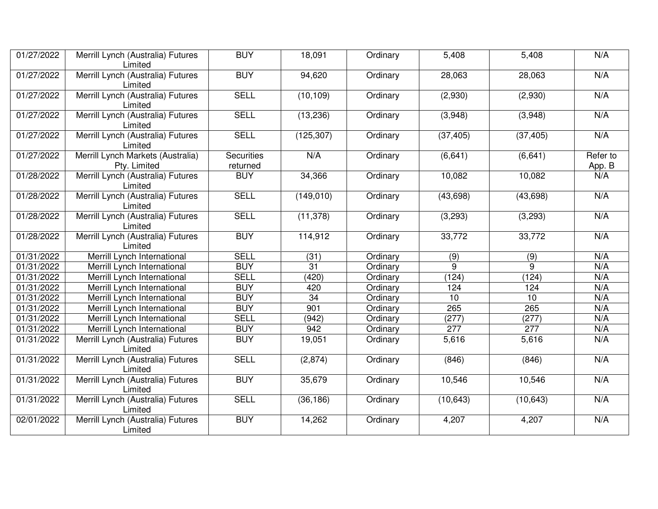| 01/27/2022              | Merrill Lynch (Australia) Futures<br>Limited      | <b>BUY</b>                    | 18,091          | Ordinary | 5,408     | 5,408     | N/A                |
|-------------------------|---------------------------------------------------|-------------------------------|-----------------|----------|-----------|-----------|--------------------|
| 01/27/2022              | Merrill Lynch (Australia) Futures<br>Limited      | <b>BUY</b>                    | 94,620          | Ordinary | 28,063    | 28,063    | N/A                |
| 01/27/2022              | Merrill Lynch (Australia) Futures<br>Limited      | <b>SELL</b>                   | (10, 109)       | Ordinary | (2,930)   | (2,930)   | N/A                |
| 01/27/2022              | Merrill Lynch (Australia) Futures<br>Limited      | <b>SELL</b>                   | (13, 236)       | Ordinary | (3,948)   | (3,948)   | N/A                |
| 01/27/2022              | Merrill Lynch (Australia) Futures<br>Limited      | <b>SELL</b>                   | (125, 307)      | Ordinary | (37, 405) | (37, 405) | N/A                |
| 01/27/2022              | Merrill Lynch Markets (Australia)<br>Pty. Limited | <b>Securities</b><br>returned | N/A             | Ordinary | (6, 641)  | (6,641)   | Refer to<br>App. B |
| 01/28/2022              | Merrill Lynch (Australia) Futures<br>Limited      | <b>BUY</b>                    | 34,366          | Ordinary | 10,082    | 10,082    | N/A                |
| $\overline{01/28/2022}$ | Merrill Lynch (Australia) Futures<br>Limited      | <b>SELL</b>                   | (149, 010)      | Ordinary | (43, 698) | (43, 698) | N/A                |
| 01/28/2022              | Merrill Lynch (Australia) Futures<br>Limited      | <b>SELL</b>                   | (11, 378)       | Ordinary | (3,293)   | (3,293)   | N/A                |
| 01/28/2022              | Merrill Lynch (Australia) Futures<br>Limited      | <b>BUY</b>                    | 114,912         | Ordinary | 33,772    | 33,772    | N/A                |
| 01/31/2022              | Merrill Lynch International                       | <b>SELL</b>                   | (31)            | Ordinary | (9)       | (9)       | N/A                |
| 01/31/2022              | Merrill Lynch International                       | <b>BUY</b>                    | $\overline{31}$ | Ordinary | 9         | 9         | N/A                |
| 01/31/2022              | Merrill Lynch International                       | <b>SELL</b>                   | (420)           | Ordinary | (124)     | (124)     | N/A                |
| 01/31/2022              | Merrill Lynch International                       | <b>BUY</b>                    | 420             | Ordinary | 124       | 124       | N/A                |
| 01/31/2022              | Merrill Lynch International                       | <b>BUY</b>                    | 34              | Ordinary | 10        | 10        | N/A                |
| 01/31/2022              | Merrill Lynch International                       | <b>BUY</b>                    | 901             | Ordinary | 265       | 265       | N/A                |
| 01/31/2022              | Merrill Lynch International                       | <b>SELL</b>                   | (942)           | Ordinary | (277)     | (277)     | N/A                |
| 01/31/2022              | Merrill Lynch International                       | <b>BUY</b>                    | 942             | Ordinary | 277       | 277       | N/A                |
| 01/31/2022              | Merrill Lynch (Australia) Futures<br>Limited      | <b>BUY</b>                    | 19,051          | Ordinary | 5,616     | 5,616     | N/A                |
| 01/31/2022              | Merrill Lynch (Australia) Futures<br>Limited      | <b>SELL</b>                   | (2,874)         | Ordinary | (846)     | (846)     | N/A                |
| 01/31/2022              | Merrill Lynch (Australia) Futures<br>Limited      | <b>BUY</b>                    | 35,679          | Ordinary | 10,546    | 10,546    | N/A                |
| 01/31/2022              | Merrill Lynch (Australia) Futures<br>Limited      | <b>SELL</b>                   | (36, 186)       | Ordinary | (10, 643) | (10, 643) | N/A                |
| 02/01/2022              | Merrill Lynch (Australia) Futures<br>Limited      | <b>BUY</b>                    | 14,262          | Ordinary | 4,207     | 4,207     | N/A                |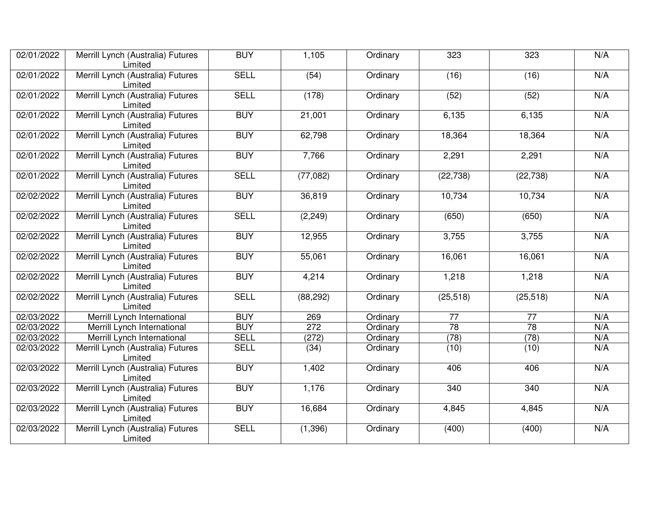| 02/01/2022 | Merrill Lynch (Australia) Futures<br>Limited | <b>BUY</b>  | 1,105     | Ordinary | 323             | 323             | N/A |
|------------|----------------------------------------------|-------------|-----------|----------|-----------------|-----------------|-----|
| 02/01/2022 | Merrill Lynch (Australia) Futures<br>Limited | <b>SELL</b> | (54)      | Ordinary | (16)            | (16)            | N/A |
| 02/01/2022 | Merrill Lynch (Australia) Futures<br>Limited | <b>SELL</b> | (178)     | Ordinary | (52)            | (52)            | N/A |
| 02/01/2022 | Merrill Lynch (Australia) Futures<br>Limited | <b>BUY</b>  | 21,001    | Ordinary | 6,135           | 6,135           | N/A |
| 02/01/2022 | Merrill Lynch (Australia) Futures<br>Limited | <b>BUY</b>  | 62,798    | Ordinary | 18,364          | 18,364          | N/A |
| 02/01/2022 | Merrill Lynch (Australia) Futures<br>Limited | <b>BUY</b>  | 7,766     | Ordinary | 2,291           | 2,291           | N/A |
| 02/01/2022 | Merrill Lynch (Australia) Futures<br>Limited | <b>SELL</b> | (77,082)  | Ordinary | (22, 738)       | (22, 738)       | N/A |
| 02/02/2022 | Merrill Lynch (Australia) Futures<br>Limited | <b>BUY</b>  | 36,819    | Ordinary | 10,734          | 10,734          | N/A |
| 02/02/2022 | Merrill Lynch (Australia) Futures<br>Limited | <b>SELL</b> | (2, 249)  | Ordinary | (650)           | (650)           | N/A |
| 02/02/2022 | Merrill Lynch (Australia) Futures<br>Limited | <b>BUY</b>  | 12,955    | Ordinary | 3,755           | 3,755           | N/A |
| 02/02/2022 | Merrill Lynch (Australia) Futures<br>Limited | <b>BUY</b>  | 55,061    | Ordinary | 16,061          | 16,061          | N/A |
| 02/02/2022 | Merrill Lynch (Australia) Futures<br>Limited | <b>BUY</b>  | 4,214     | Ordinary | 1,218           | 1,218           | N/A |
| 02/02/2022 | Merrill Lynch (Australia) Futures<br>Limited | <b>SELL</b> | (88, 292) | Ordinary | (25, 518)       | (25, 518)       | N/A |
| 02/03/2022 | Merrill Lynch International                  | <b>BUY</b>  | 269       | Ordinary | $\overline{77}$ | $\overline{77}$ | N/A |
| 02/03/2022 | Merrill Lynch International                  | <b>BUY</b>  | 272       | Ordinary | 78              | $\overline{78}$ | N/A |
| 02/03/2022 | Merrill Lynch International                  | <b>SELL</b> | (272)     | Ordinary | (78)            | (78)            | N/A |
| 02/03/2022 | Merrill Lynch (Australia) Futures<br>Limited | <b>SELL</b> | (34)      | Ordinary | (10)            | (10)            | N/A |
| 02/03/2022 | Merrill Lynch (Australia) Futures<br>Limited | <b>BUY</b>  | 1,402     | Ordinary | 406             | 406             | N/A |
| 02/03/2022 | Merrill Lynch (Australia) Futures<br>Limited | <b>BUY</b>  | 1,176     | Ordinary | 340             | 340             | N/A |
| 02/03/2022 | Merrill Lynch (Australia) Futures<br>Limited | <b>BUY</b>  | 16,684    | Ordinary | 4,845           | 4,845           | N/A |
| 02/03/2022 | Merrill Lynch (Australia) Futures<br>Limited | <b>SELL</b> | (1, 396)  | Ordinary | (400)           | (400)           | N/A |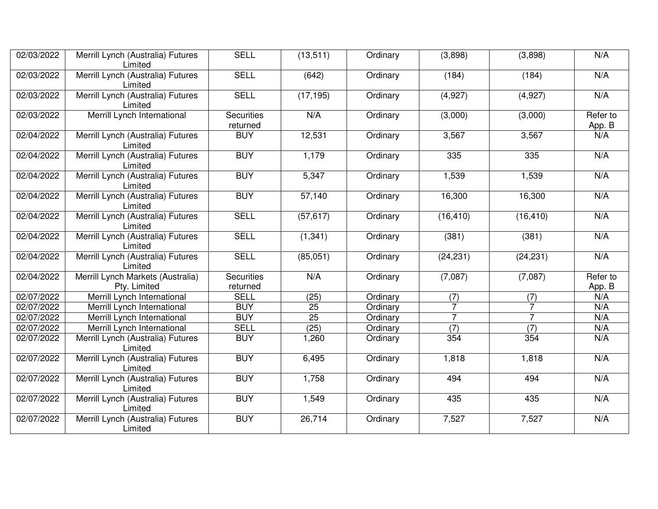| 02/03/2022              | Merrill Lynch (Australia) Futures<br>Limited      | <b>SELL</b>                   | (13, 511) | Ordinary | (3,898)        | (3,898)        | N/A                |
|-------------------------|---------------------------------------------------|-------------------------------|-----------|----------|----------------|----------------|--------------------|
| 02/03/2022              | Merrill Lynch (Australia) Futures<br>Limited      | <b>SELL</b>                   | (642)     | Ordinary | (184)          | (184)          | N/A                |
| 02/03/2022              | Merrill Lynch (Australia) Futures<br>Limited      | <b>SELL</b>                   | (17, 195) | Ordinary | (4,927)        | (4,927)        | N/A                |
| 02/03/2022              | Merrill Lynch International                       | <b>Securities</b><br>returned | N/A       | Ordinary | (3,000)        | (3,000)        | Refer to<br>App. B |
| 02/04/2022              | Merrill Lynch (Australia) Futures<br>Limited      | <b>BUY</b>                    | 12,531    | Ordinary | 3,567          | 3,567          | N/A                |
| 02/04/2022              | Merrill Lynch (Australia) Futures<br>Limited      | <b>BUY</b>                    | 1,179     | Ordinary | 335            | 335            | N/A                |
| 02/04/2022              | Merrill Lynch (Australia) Futures<br>Limited      | <b>BUY</b>                    | 5,347     | Ordinary | 1,539          | 1,539          | N/A                |
| 02/04/2022              | Merrill Lynch (Australia) Futures<br>Limited      | <b>BUY</b>                    | 57,140    | Ordinary | 16,300         | 16,300         | N/A                |
| 02/04/2022              | Merrill Lynch (Australia) Futures<br>Limited      | <b>SELL</b>                   | (57, 617) | Ordinary | (16, 410)      | (16, 410)      | N/A                |
| 02/04/2022              | Merrill Lynch (Australia) Futures<br>Limited      | <b>SELL</b>                   | (1, 341)  | Ordinary | (381)          | (381)          | N/A                |
| 02/04/2022              | Merrill Lynch (Australia) Futures<br>Limited      | <b>SELL</b>                   | (85,051)  | Ordinary | (24, 231)      | (24, 231)      | N/A                |
| 02/04/2022              | Merrill Lynch Markets (Australia)<br>Pty. Limited | <b>Securities</b><br>returned | N/A       | Ordinary | (7,087)        | (7,087)        | Refer to<br>App. B |
| 02/07/2022              | Merrill Lynch International                       | <b>SELL</b>                   | (25)      | Ordinary | (7)            | (7)            | N/A                |
| 02/07/2022              | Merrill Lynch International                       | <b>BUY</b>                    | 25        | Ordinary | $\overline{7}$ |                | N/A                |
| $\overline{02/07}/2022$ | Merrill Lynch International                       | <b>BUY</b>                    | 25        | Ordinary | $\overline{7}$ | $\overline{7}$ | N/A                |
| $\overline{02/07}/2022$ | Merrill Lynch International                       | <b>SELL</b>                   | (25)      | Ordinary | (7)            | (7)            | N/A                |
| 02/07/2022              | Merrill Lynch (Australia) Futures<br>Limited      | <b>BUY</b>                    | 1,260     | Ordinary | 354            | 354            | N/A                |
| 02/07/2022              | Merrill Lynch (Australia) Futures<br>Limited      | <b>BUY</b>                    | 6,495     | Ordinary | 1,818          | 1,818          | N/A                |
| 02/07/2022              | Merrill Lynch (Australia) Futures<br>Limited      | <b>BUY</b>                    | 1,758     | Ordinary | 494            | 494            | N/A                |
| 02/07/2022              | Merrill Lynch (Australia) Futures<br>Limited      | <b>BUY</b>                    | 1,549     | Ordinary | 435            | 435            | N/A                |
| 02/07/2022              | Merrill Lynch (Australia) Futures<br>Limited      | <b>BUY</b>                    | 26,714    | Ordinary | 7,527          | 7,527          | N/A                |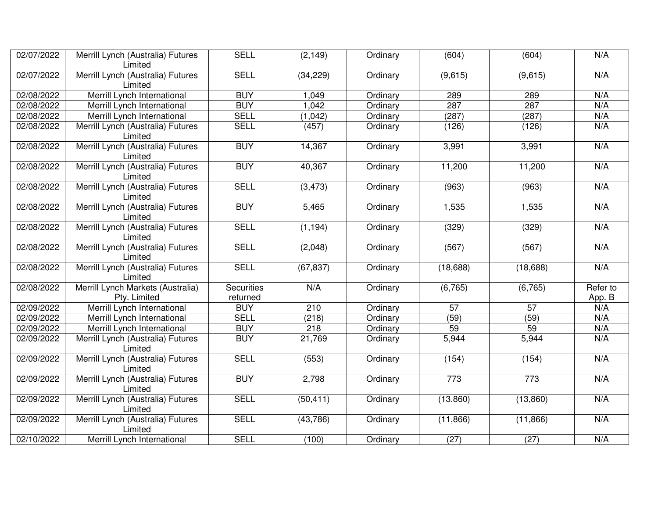| 02/07/2022              | Merrill Lynch (Australia) Futures<br>Limited      | <b>SELL</b>                   | (2, 149)  | Ordinary | (604)             | (604)     | N/A                |
|-------------------------|---------------------------------------------------|-------------------------------|-----------|----------|-------------------|-----------|--------------------|
| 02/07/2022              | Merrill Lynch (Australia) Futures<br>Limited      | <b>SELL</b>                   | (34, 229) | Ordinary | (9,615)           | (9,615)   | N/A                |
| 02/08/2022              | Merrill Lynch International                       | <b>BUY</b>                    | 1,049     | Ordinary | 289               | 289       | N/A                |
| 02/08/2022              | Merrill Lynch International                       | <b>BUY</b>                    | 1,042     | Ordinary | 287               | 287       | N/A                |
| $\overline{02/08}/2022$ | Merrill Lynch International                       | <b>SELL</b>                   | (1,042)   | Ordinary | (287)             | (287)     | N/A                |
| 02/08/2022              | Merrill Lynch (Australia) Futures<br>Limited      | <b>SELL</b>                   | (457)     | Ordinary | (126)             | (126)     | N/A                |
| 02/08/2022              | Merrill Lynch (Australia) Futures<br>Limited      | <b>BUY</b>                    | 14,367    | Ordinary | 3,991             | 3,991     | N/A                |
| 02/08/2022              | Merrill Lynch (Australia) Futures<br>Limited      | <b>BUY</b>                    | 40,367    | Ordinary | 11,200            | 11,200    | N/A                |
| 02/08/2022              | Merrill Lynch (Australia) Futures<br>Limited      | <b>SELL</b>                   | (3, 473)  | Ordinary | (963)             | (963)     | N/A                |
| 02/08/2022              | Merrill Lynch (Australia) Futures<br>Limited      | <b>BUY</b>                    | 5,465     | Ordinary | 1,535             | 1,535     | N/A                |
| 02/08/2022              | Merrill Lynch (Australia) Futures<br>Limited      | <b>SELL</b>                   | (1, 194)  | Ordinary | (329)             | (329)     | N/A                |
| 02/08/2022              | Merrill Lynch (Australia) Futures<br>Limited      | <b>SELL</b>                   | (2,048)   | Ordinary | (567)             | (567)     | N/A                |
| 02/08/2022              | Merrill Lynch (Australia) Futures<br>Limited      | <b>SELL</b>                   | (67, 837) | Ordinary | (18, 688)         | (18, 688) | N/A                |
| 02/08/2022              | Merrill Lynch Markets (Australia)<br>Pty. Limited | <b>Securities</b><br>returned | N/A       | Ordinary | (6, 765)          | (6, 765)  | Refer to<br>App. B |
| 02/09/2022              | Merrill Lynch International                       | <b>BUY</b>                    | 210       | Ordinary | $\overline{57}$   | 57        | N/A                |
| 02/09/2022              | Merrill Lynch International                       | <b>SELL</b>                   | (218)     | Ordinary | (59)              | (59)      | N/A                |
| 02/09/2022              | Merrill Lynch International                       | <b>BUY</b>                    | 218       | Ordinary | 59                | 59        | N/A                |
| 02/09/2022              | Merrill Lynch (Australia) Futures<br>Limited      | <b>BUY</b>                    | 21,769    | Ordinary | 5,944             | 5,944     | N/A                |
| 02/09/2022              | Merrill Lynch (Australia) Futures<br>Limited      | <b>SELL</b>                   | (553)     | Ordinary | (154)             | (154)     | N/A                |
| 02/09/2022              | Merrill Lynch (Australia) Futures<br>Limited      | <b>BUY</b>                    | 2,798     | Ordinary | 773               | 773       | N/A                |
| 02/09/2022              | Merrill Lynch (Australia) Futures<br>Limited      | <b>SELL</b>                   | (50, 411) | Ordinary | (13,860)          | (13,860)  | N/A                |
| 02/09/2022              | Merrill Lynch (Australia) Futures<br>Limited      | <b>SELL</b>                   | (43, 786) | Ordinary | (11, 866)         | (11, 866) | N/A                |
| 02/10/2022              | Merrill Lynch International                       | <b>SELL</b>                   | (100)     | Ordinary | $\overline{(27)}$ | (27)      | N/A                |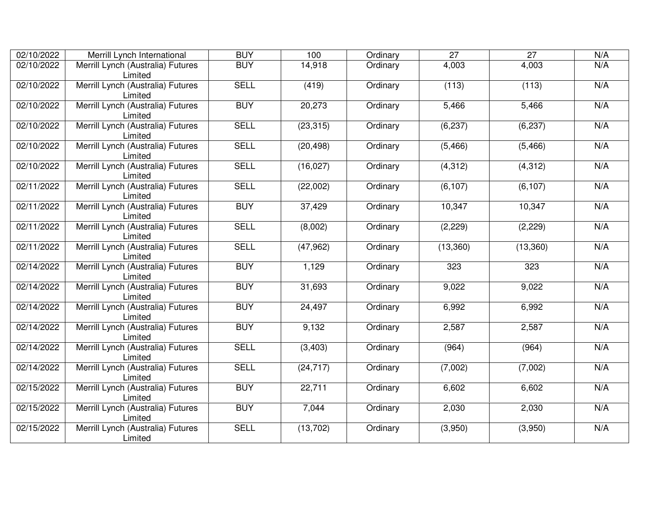| 02/10/2022 | Merrill Lynch International                  | <b>BUY</b>  | 100       | Ordinary | $\overline{27}$ | $\overline{27}$ | N/A |
|------------|----------------------------------------------|-------------|-----------|----------|-----------------|-----------------|-----|
| 02/10/2022 | Merrill Lynch (Australia) Futures<br>Limited | <b>BUY</b>  | 14,918    | Ordinary | 4,003           | 4,003           | N/A |
| 02/10/2022 | Merrill Lynch (Australia) Futures<br>Limited | <b>SELL</b> | (419)     | Ordinary | (113)           | (113)           | N/A |
| 02/10/2022 | Merrill Lynch (Australia) Futures<br>Limited | <b>BUY</b>  | 20,273    | Ordinary | 5,466           | 5,466           | N/A |
| 02/10/2022 | Merrill Lynch (Australia) Futures<br>Limited | <b>SELL</b> | (23, 315) | Ordinary | (6, 237)        | (6, 237)        | N/A |
| 02/10/2022 | Merrill Lynch (Australia) Futures<br>Limited | <b>SELL</b> | (20, 498) | Ordinary | (5, 466)        | (5, 466)        | N/A |
| 02/10/2022 | Merrill Lynch (Australia) Futures<br>Limited | <b>SELL</b> | (16, 027) | Ordinary | (4, 312)        | (4, 312)        | N/A |
| 02/11/2022 | Merrill Lynch (Australia) Futures<br>Limited | <b>SELL</b> | (22,002)  | Ordinary | (6, 107)        | (6, 107)        | N/A |
| 02/11/2022 | Merrill Lynch (Australia) Futures<br>Limited | <b>BUY</b>  | 37,429    | Ordinary | 10,347          | 10,347          | N/A |
| 02/11/2022 | Merrill Lynch (Australia) Futures<br>Limited | <b>SELL</b> | (8,002)   | Ordinary | (2, 229)        | (2, 229)        | N/A |
| 02/11/2022 | Merrill Lynch (Australia) Futures<br>Limited | <b>SELL</b> | (47, 962) | Ordinary | (13,360)        | (13,360)        | N/A |
| 02/14/2022 | Merrill Lynch (Australia) Futures<br>Limited | <b>BUY</b>  | 1,129     | Ordinary | 323             | 323             | N/A |
| 02/14/2022 | Merrill Lynch (Australia) Futures<br>Limited | <b>BUY</b>  | 31,693    | Ordinary | 9,022           | 9,022           | N/A |
| 02/14/2022 | Merrill Lynch (Australia) Futures<br>Limited | <b>BUY</b>  | 24,497    | Ordinary | 6,992           | 6,992           | N/A |
| 02/14/2022 | Merrill Lynch (Australia) Futures<br>Limited | <b>BUY</b>  | 9,132     | Ordinary | 2,587           | 2,587           | N/A |
| 02/14/2022 | Merrill Lynch (Australia) Futures<br>Limited | <b>SELL</b> | (3,403)   | Ordinary | (964)           | (964)           | N/A |
| 02/14/2022 | Merrill Lynch (Australia) Futures<br>Limited | <b>SELL</b> | (24, 717) | Ordinary | (7,002)         | (7,002)         | N/A |
| 02/15/2022 | Merrill Lynch (Australia) Futures<br>Limited | <b>BUY</b>  | 22,711    | Ordinary | 6,602           | 6,602           | N/A |
| 02/15/2022 | Merrill Lynch (Australia) Futures<br>Limited | <b>BUY</b>  | 7,044     | Ordinary | 2,030           | 2,030           | N/A |
| 02/15/2022 | Merrill Lynch (Australia) Futures<br>Limited | <b>SELL</b> | (13, 702) | Ordinary | (3,950)         | (3,950)         | N/A |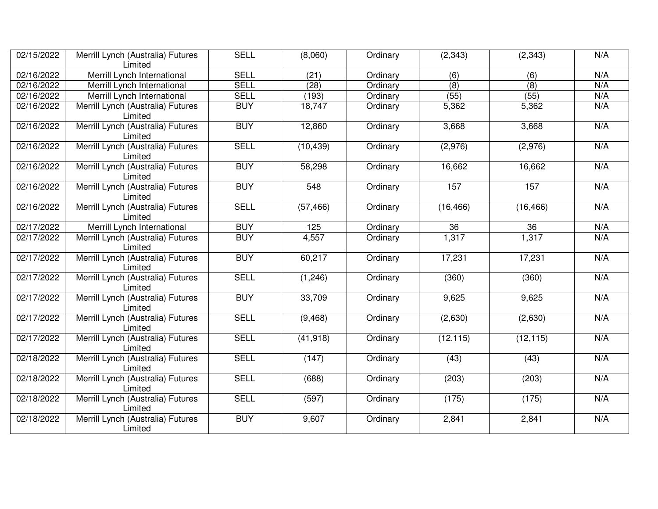| $\sqrt{02}/15/2022$     | Merrill Lynch (Australia) Futures<br>Limited | <b>SELL</b> | (8,060)   | Ordinary | (2, 343)  | (2, 343)  | N/A |
|-------------------------|----------------------------------------------|-------------|-----------|----------|-----------|-----------|-----|
| 02/16/2022              | Merrill Lynch International                  | <b>SELL</b> | (21)      | Ordinary | (6)       | (6)       | N/A |
| 02/16/2022              | Merrill Lynch International                  | <b>SELL</b> | (28)      | Ordinary | (8)       | (8)       | N/A |
| 02/16/2022              | Merrill Lynch International                  | <b>SELL</b> | (193)     | Ordinary | (55)      | (55)      | N/A |
| 02/16/2022              | Merrill Lynch (Australia) Futures<br>Limited | <b>BUY</b>  | 18,747    | Ordinary | 5,362     | 5,362     | N/A |
| 02/16/2022              | Merrill Lynch (Australia) Futures<br>Limited | <b>BUY</b>  | 12,860    | Ordinary | 3,668     | 3,668     | N/A |
| 02/16/2022              | Merrill Lynch (Australia) Futures<br>Limited | <b>SELL</b> | (10, 439) | Ordinary | (2,976)   | (2,976)   | N/A |
| 02/16/2022              | Merrill Lynch (Australia) Futures<br>Limited | <b>BUY</b>  | 58,298    | Ordinary | 16,662    | 16,662    | N/A |
| 02/16/2022              | Merrill Lynch (Australia) Futures<br>Limited | <b>BUY</b>  | 548       | Ordinary | 157       | 157       | N/A |
| 02/16/2022              | Merrill Lynch (Australia) Futures<br>Limited | <b>SELL</b> | (57, 466) | Ordinary | (16, 466) | (16, 466) | N/A |
| 02/17/2022              | Merrill Lynch International                  | <b>BUY</b>  | 125       | Ordinary | 36        | 36        | N/A |
| $\overline{02/17/2022}$ | Merrill Lynch (Australia) Futures<br>Limited | <b>BUY</b>  | 4,557     | Ordinary | 1,317     | 1,317     | N/A |
| 02/17/2022              | Merrill Lynch (Australia) Futures<br>Limited | <b>BUY</b>  | 60,217    | Ordinary | 17,231    | 17,231    | N/A |
| 02/17/2022              | Merrill Lynch (Australia) Futures<br>Limited | <b>SELL</b> | (1, 246)  | Ordinary | (360)     | (360)     | N/A |
| 02/17/2022              | Merrill Lynch (Australia) Futures<br>Limited | <b>BUY</b>  | 33,709    | Ordinary | 9,625     | 9,625     | N/A |
| 02/17/2022              | Merrill Lynch (Australia) Futures<br>Limited | <b>SELL</b> | (9, 468)  | Ordinary | (2,630)   | (2,630)   | N/A |
| 02/17/2022              | Merrill Lynch (Australia) Futures<br>Limited | <b>SELL</b> | (41, 918) | Ordinary | (12, 115) | (12, 115) | N/A |
| 02/18/2022              | Merrill Lynch (Australia) Futures<br>Limited | <b>SELL</b> | (147)     | Ordinary | (43)      | (43)      | N/A |
| 02/18/2022              | Merrill Lynch (Australia) Futures<br>Limited | <b>SELL</b> | (688)     | Ordinary | (203)     | (203)     | N/A |
| 02/18/2022              | Merrill Lynch (Australia) Futures<br>Limited | <b>SELL</b> | (597)     | Ordinary | (175)     | (175)     | N/A |
| 02/18/2022              | Merrill Lynch (Australia) Futures<br>Limited | <b>BUY</b>  | 9,607     | Ordinary | 2,841     | 2,841     | N/A |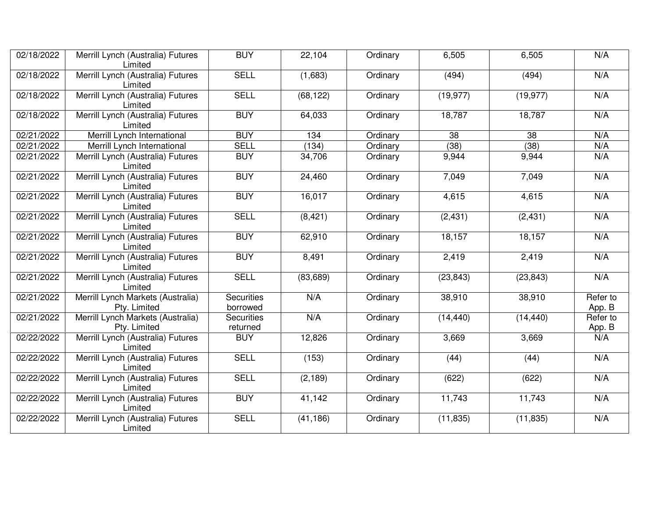| 02/18/2022 | Merrill Lynch (Australia) Futures<br>Limited      | <b>BUY</b>                    | 22,104    | Ordinary | 6,505           | 6,505           | N/A                |
|------------|---------------------------------------------------|-------------------------------|-----------|----------|-----------------|-----------------|--------------------|
| 02/18/2022 | Merrill Lynch (Australia) Futures<br>Limited      | <b>SELL</b>                   | (1,683)   | Ordinary | (494)           | (494)           | N/A                |
| 02/18/2022 | Merrill Lynch (Australia) Futures<br>Limited      | <b>SELL</b>                   | (68, 122) | Ordinary | (19, 977)       | (19, 977)       | N/A                |
| 02/18/2022 | Merrill Lynch (Australia) Futures<br>Limited      | <b>BUY</b>                    | 64,033    | Ordinary | 18,787          | 18,787          | N/A                |
| 02/21/2022 | Merrill Lynch International                       | <b>BUY</b>                    | 134       | Ordinary | $\overline{38}$ | $\overline{38}$ | N/A                |
| 02/21/2022 | Merrill Lynch International                       | <b>SELL</b>                   | (134)     | Ordinary | (38)            | (38)            | N/A                |
| 02/21/2022 | Merrill Lynch (Australia) Futures<br>Limited      | <b>BUY</b>                    | 34,706    | Ordinary | 9,944           | 9,944           | N/A                |
| 02/21/2022 | Merrill Lynch (Australia) Futures<br>Limited      | <b>BUY</b>                    | 24,460    | Ordinary | 7,049           | 7,049           | N/A                |
| 02/21/2022 | Merrill Lynch (Australia) Futures<br>Limited      | <b>BUY</b>                    | 16,017    | Ordinary | 4,615           | 4,615           | N/A                |
| 02/21/2022 | Merrill Lynch (Australia) Futures<br>Limited      | <b>SELL</b>                   | (8,421)   | Ordinary | (2, 431)        | (2, 431)        | N/A                |
| 02/21/2022 | Merrill Lynch (Australia) Futures<br>Limited      | <b>BUY</b>                    | 62,910    | Ordinary | 18,157          | 18,157          | N/A                |
| 02/21/2022 | Merrill Lynch (Australia) Futures<br>Limited      | <b>BUY</b>                    | 8,491     | Ordinary | 2,419           | 2,419           | N/A                |
| 02/21/2022 | Merrill Lynch (Australia) Futures<br>Limited      | <b>SELL</b>                   | (83, 689) | Ordinary | (23, 843)       | (23, 843)       | N/A                |
| 02/21/2022 | Merrill Lynch Markets (Australia)<br>Pty. Limited | <b>Securities</b><br>borrowed | N/A       | Ordinary | 38,910          | 38,910          | Refer to<br>App. B |
| 02/21/2022 | Merrill Lynch Markets (Australia)<br>Pty. Limited | <b>Securities</b><br>returned | N/A       | Ordinary | (14, 440)       | (14, 440)       | Refer to<br>App. B |
| 02/22/2022 | Merrill Lynch (Australia) Futures<br>Limited      | <b>BUY</b>                    | 12,826    | Ordinary | 3,669           | 3,669           | N/A                |
| 02/22/2022 | Merrill Lynch (Australia) Futures<br>Limited      | <b>SELL</b>                   | (153)     | Ordinary | (44)            | (44)            | N/A                |
| 02/22/2022 | Merrill Lynch (Australia) Futures<br>Limited      | <b>SELL</b>                   | (2, 189)  | Ordinary | (622)           | (622)           | N/A                |
| 02/22/2022 | Merrill Lynch (Australia) Futures<br>Limited      | <b>BUY</b>                    | 41,142    | Ordinary | 11,743          | 11,743          | N/A                |
| 02/22/2022 | Merrill Lynch (Australia) Futures<br>Limited      | <b>SELL</b>                   | (41, 186) | Ordinary | (11, 835)       | (11, 835)       | N/A                |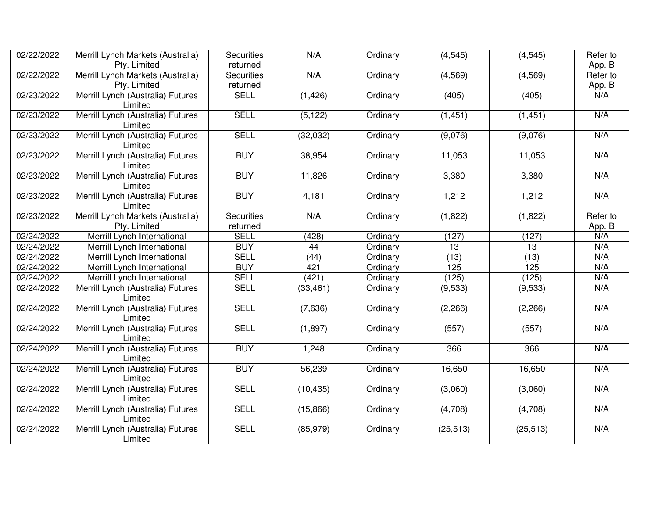| 02/22/2022 | Merrill Lynch Markets (Australia)<br>Pty. Limited | <b>Securities</b><br>returned | N/A       | Ordinary | (4, 545)  | (4, 545)  | Refer to<br>App. B |
|------------|---------------------------------------------------|-------------------------------|-----------|----------|-----------|-----------|--------------------|
| 02/22/2022 | Merrill Lynch Markets (Australia)<br>Pty. Limited | <b>Securities</b><br>returned | N/A       | Ordinary | (4, 569)  | (4, 569)  | Refer to<br>App. B |
| 02/23/2022 | Merrill Lynch (Australia) Futures<br>Limited      | <b>SELL</b>                   | (1, 426)  | Ordinary | (405)     | (405)     | N/A                |
| 02/23/2022 | Merrill Lynch (Australia) Futures<br>Limited      | <b>SELL</b>                   | (5, 122)  | Ordinary | (1, 451)  | (1, 451)  | N/A                |
| 02/23/2022 | Merrill Lynch (Australia) Futures<br>Limited      | <b>SELL</b>                   | (32,032)  | Ordinary | (9,076)   | (9,076)   | N/A                |
| 02/23/2022 | Merrill Lynch (Australia) Futures<br>Limited      | <b>BUY</b>                    | 38,954    | Ordinary | 11,053    | 11,053    | N/A                |
| 02/23/2022 | Merrill Lynch (Australia) Futures<br>Limited      | <b>BUY</b>                    | 11,826    | Ordinary | 3,380     | 3,380     | N/A                |
| 02/23/2022 | Merrill Lynch (Australia) Futures<br>Limited      | <b>BUY</b>                    | 4,181     | Ordinary | 1,212     | 1,212     | N/A                |
| 02/23/2022 | Merrill Lynch Markets (Australia)<br>Pty. Limited | <b>Securities</b><br>returned | N/A       | Ordinary | (1,822)   | (1,822)   | Refer to<br>App. B |
| 02/24/2022 | Merrill Lynch International                       | <b>SELL</b>                   | (428)     | Ordinary | (127)     | (127)     | N/A                |
| 02/24/2022 | Merrill Lynch International                       | <b>BUY</b>                    | 44        | Ordinary | 13        | 13        | N/A                |
| 02/24/2022 | Merrill Lynch International                       | <b>SELL</b>                   | (44)      | Ordinary | (13)      | (13)      | N/A                |
| 02/24/2022 | Merrill Lynch International                       | <b>BUY</b>                    | 421       | Ordinary | 125       | 125       | N/A                |
| 02/24/2022 | Merrill Lynch International                       | <b>SELL</b>                   | (421)     | Ordinary | (125)     | (125)     | N/A                |
| 02/24/2022 | Merrill Lynch (Australia) Futures<br>Limited      | <b>SELL</b>                   | (33, 461) | Ordinary | (9,533)   | (9,533)   | N/A                |
| 02/24/2022 | Merrill Lynch (Australia) Futures<br>Limited      | <b>SELL</b>                   | (7,636)   | Ordinary | (2,266)   | (2, 266)  | N/A                |
| 02/24/2022 | Merrill Lynch (Australia) Futures<br>Limited      | <b>SELL</b>                   | (1,897)   | Ordinary | (557)     | (557)     | N/A                |
| 02/24/2022 | Merrill Lynch (Australia) Futures<br>Limited      | <b>BUY</b>                    | 1,248     | Ordinary | 366       | 366       | N/A                |
| 02/24/2022 | Merrill Lynch (Australia) Futures<br>Limited      | <b>BUY</b>                    | 56,239    | Ordinary | 16,650    | 16,650    | N/A                |
| 02/24/2022 | Merrill Lynch (Australia) Futures<br>Limited      | <b>SELL</b>                   | (10, 435) | Ordinary | (3,060)   | (3,060)   | N/A                |
| 02/24/2022 | Merrill Lynch (Australia) Futures<br>Limited      | <b>SELL</b>                   | (15, 866) | Ordinary | (4,708)   | (4,708)   | N/A                |
| 02/24/2022 | Merrill Lynch (Australia) Futures<br>Limited      | <b>SELL</b>                   | (85, 979) | Ordinary | (25, 513) | (25, 513) | N/A                |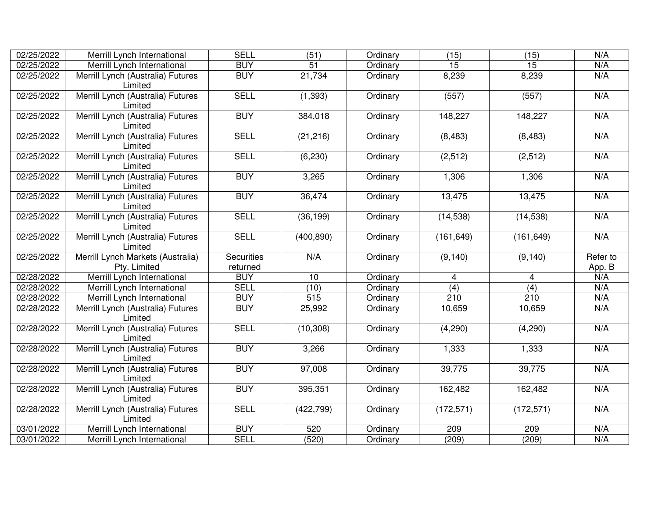| 02/25/2022 | Merrill Lynch International                       | <b>SELL</b>                   | $\overline{(51)}$ | Ordinary | $\overline{(15)}$ | (15)       | N/A                |
|------------|---------------------------------------------------|-------------------------------|-------------------|----------|-------------------|------------|--------------------|
| 02/25/2022 | Merrill Lynch International                       | <b>BUY</b>                    | 51                | Ordinary | 15                | 15         | N/A                |
| 02/25/2022 | Merrill Lynch (Australia) Futures<br>Limited      | <b>BUY</b>                    | 21,734            | Ordinary | 8,239             | 8,239      | N/A                |
| 02/25/2022 | Merrill Lynch (Australia) Futures<br>Limited      | <b>SELL</b>                   | (1, 393)          | Ordinary | (557)             | (557)      | N/A                |
| 02/25/2022 | Merrill Lynch (Australia) Futures<br>Limited      | <b>BUY</b>                    | 384,018           | Ordinary | 148,227           | 148,227    | N/A                |
| 02/25/2022 | Merrill Lynch (Australia) Futures<br>Limited      | <b>SELL</b>                   | (21, 216)         | Ordinary | (8, 483)          | (8, 483)   | N/A                |
| 02/25/2022 | Merrill Lynch (Australia) Futures<br>Limited      | <b>SELL</b>                   | (6, 230)          | Ordinary | (2, 512)          | (2,512)    | N/A                |
| 02/25/2022 | Merrill Lynch (Australia) Futures<br>Limited      | <b>BUY</b>                    | 3,265             | Ordinary | 1,306             | 1,306      | N/A                |
| 02/25/2022 | Merrill Lynch (Australia) Futures<br>Limited      | <b>BUY</b>                    | 36,474            | Ordinary | 13,475            | 13,475     | N/A                |
| 02/25/2022 | Merrill Lynch (Australia) Futures<br>Limited      | <b>SELL</b>                   | (36, 199)         | Ordinary | (14, 538)         | (14, 538)  | N/A                |
| 02/25/2022 | Merrill Lynch (Australia) Futures<br>Limited      | <b>SELL</b>                   | (400, 890)        | Ordinary | (161, 649)        | (161, 649) | N/A                |
| 02/25/2022 | Merrill Lynch Markets (Australia)<br>Pty. Limited | <b>Securities</b><br>returned | N/A               | Ordinary | (9, 140)          | (9, 140)   | Refer to<br>App. B |
| 02/28/2022 | Merrill Lynch International                       | <b>BUY</b>                    | 10                | Ordinary | $\overline{4}$    | 4          | N/A                |
| 02/28/2022 | Merrill Lynch International                       | <b>SELL</b>                   | (10)              | Ordinary | (4)               | (4)        | N/A                |
| 02/28/2022 | Merrill Lynch International                       | <b>BUY</b>                    | 515               | Ordinary | 210               | 210        | N/A                |
| 02/28/2022 | Merrill Lynch (Australia) Futures<br>Limited      | <b>BUY</b>                    | 25,992            | Ordinary | 10,659            | 10,659     | N/A                |
| 02/28/2022 | Merrill Lynch (Australia) Futures<br>Limited      | <b>SELL</b>                   | (10, 308)         | Ordinary | (4,290)           | (4,290)    | N/A                |
| 02/28/2022 | Merrill Lynch (Australia) Futures<br>Limited      | <b>BUY</b>                    | 3,266             | Ordinary | 1,333             | 1,333      | N/A                |
| 02/28/2022 | Merrill Lynch (Australia) Futures<br>Limited      | <b>BUY</b>                    | 97,008            | Ordinary | 39,775            | 39,775     | N/A                |
| 02/28/2022 | Merrill Lynch (Australia) Futures<br>Limited      | <b>BUY</b>                    | 395,351           | Ordinary | 162,482           | 162,482    | N/A                |
| 02/28/2022 | Merrill Lynch (Australia) Futures<br>Limited      | <b>SELL</b>                   | (422, 799)        | Ordinary | (172, 571)        | (172, 571) | N/A                |
| 03/01/2022 | Merrill Lynch International                       | <b>BUY</b>                    | 520               | Ordinary | 209               | 209        | N/A                |
| 03/01/2022 | Merrill Lynch International                       | <b>SELL</b>                   | (520)             | Ordinary | (209)             | (209)      | N/A                |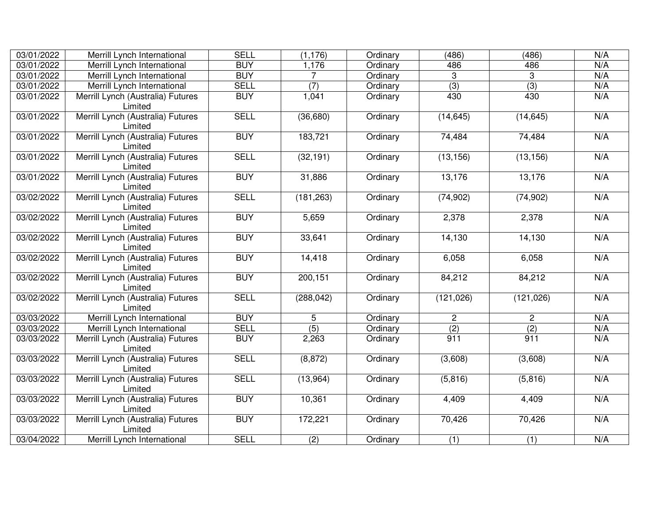| 03/01/2022 | Merrill Lynch International                  | <b>SELL</b> | (1, 176)         | Ordinary | (486)        | (486)          | N/A |
|------------|----------------------------------------------|-------------|------------------|----------|--------------|----------------|-----|
| 03/01/2022 | Merrill Lynch International                  | <b>BUY</b>  | 1,176            | Ordinary | 486          | 486            | N/A |
| 03/01/2022 | Merrill Lynch International                  | <b>BUY</b>  | $\overline{7}$   | Ordinary | 3            | 3              | N/A |
| 03/01/2022 | Merrill Lynch International                  | <b>SELL</b> | $\overline{(7)}$ | Ordinary | (3)          | (3)            | N/A |
| 03/01/2022 | Merrill Lynch (Australia) Futures            | <b>BUY</b>  | 1,041            | Ordinary | 430          | 430            | N/A |
|            | Limited                                      |             |                  |          |              |                |     |
| 03/01/2022 | Merrill Lynch (Australia) Futures<br>Limited | <b>SELL</b> | (36, 680)        | Ordinary | (14, 645)    | (14, 645)      | N/A |
| 03/01/2022 | Merrill Lynch (Australia) Futures<br>Limited | <b>BUY</b>  | 183,721          | Ordinary | 74,484       | 74,484         | N/A |
| 03/01/2022 | Merrill Lynch (Australia) Futures<br>Limited | <b>SELL</b> | (32, 191)        | Ordinary | (13, 156)    | (13, 156)      | N/A |
| 03/01/2022 | Merrill Lynch (Australia) Futures<br>Limited | <b>BUY</b>  | 31,886           | Ordinary | 13,176       | 13,176         | N/A |
| 03/02/2022 | Merrill Lynch (Australia) Futures<br>Limited | <b>SELL</b> | (181, 263)       | Ordinary | (74, 902)    | (74, 902)      | N/A |
| 03/02/2022 | Merrill Lynch (Australia) Futures<br>Limited | <b>BUY</b>  | 5,659            | Ordinary | 2,378        | 2,378          | N/A |
| 03/02/2022 | Merrill Lynch (Australia) Futures<br>Limited | <b>BUY</b>  | 33,641           | Ordinary | 14,130       | 14,130         | N/A |
| 03/02/2022 | Merrill Lynch (Australia) Futures<br>Limited | <b>BUY</b>  | 14,418           | Ordinary | 6,058        | 6,058          | N/A |
| 03/02/2022 | Merrill Lynch (Australia) Futures<br>Limited | <b>BUY</b>  | 200, 151         | Ordinary | 84,212       | 84,212         | N/A |
| 03/02/2022 | Merrill Lynch (Australia) Futures<br>Limited | <b>SELL</b> | (288, 042)       | Ordinary | (121, 026)   | (121, 026)     | N/A |
| 03/03/2022 | Merrill Lynch International                  | <b>BUY</b>  | 5                | Ordinary | $\mathbf{2}$ | $\overline{2}$ | N/A |
| 03/03/2022 | Merrill Lynch International                  | <b>SELL</b> | (5)              | Ordinary | (2)          | (2)            | N/A |
| 03/03/2022 | Merrill Lynch (Australia) Futures<br>Limited | <b>BUY</b>  | 2,263            | Ordinary | 911          | 911            | N/A |
| 03/03/2022 | Merrill Lynch (Australia) Futures<br>Limited | <b>SELL</b> | (8, 872)         | Ordinary | (3,608)      | (3,608)        | N/A |
| 03/03/2022 | Merrill Lynch (Australia) Futures<br>Limited | <b>SELL</b> | (13, 964)        | Ordinary | (5,816)      | (5,816)        | N/A |
| 03/03/2022 | Merrill Lynch (Australia) Futures<br>Limited | <b>BUY</b>  | 10,361           | Ordinary | 4,409        | 4,409          | N/A |
| 03/03/2022 | Merrill Lynch (Australia) Futures<br>Limited | <b>BUY</b>  | 172,221          | Ordinary | 70,426       | 70,426         | N/A |
| 03/04/2022 | Merrill Lynch International                  | <b>SELL</b> | (2)              | Ordinary | (1)          | (1)            | N/A |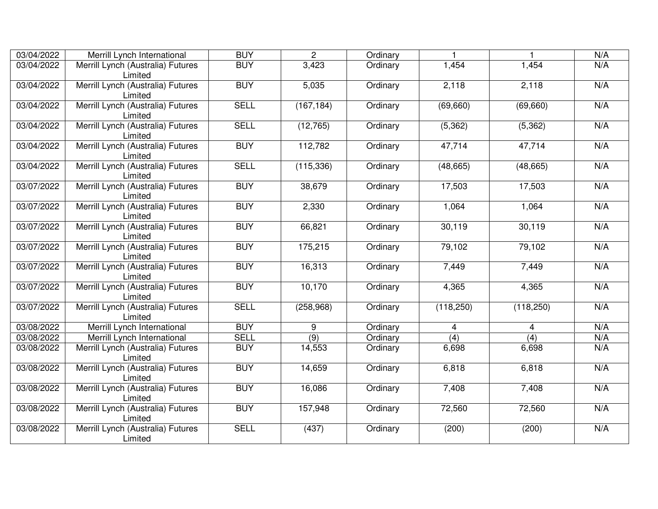| 03/04/2022 | Merrill Lynch International                  | <b>BUY</b>  | $\overline{2}$ | Ordinary |                |            | N/A |
|------------|----------------------------------------------|-------------|----------------|----------|----------------|------------|-----|
| 03/04/2022 | Merrill Lynch (Australia) Futures<br>Limited | <b>BUY</b>  | 3,423          | Ordinary | 1,454          | 1,454      | N/A |
| 03/04/2022 | Merrill Lynch (Australia) Futures<br>Limited | <b>BUY</b>  | 5,035          | Ordinary | 2,118          | 2,118      | N/A |
| 03/04/2022 | Merrill Lynch (Australia) Futures<br>Limited | <b>SELL</b> | (167, 184)     | Ordinary | (69, 660)      | (69, 660)  | N/A |
| 03/04/2022 | Merrill Lynch (Australia) Futures<br>Limited | <b>SELL</b> | (12, 765)      | Ordinary | (5, 362)       | (5, 362)   | N/A |
| 03/04/2022 | Merrill Lynch (Australia) Futures<br>Limited | <b>BUY</b>  | 112,782        | Ordinary | 47,714         | 47,714     | N/A |
| 03/04/2022 | Merrill Lynch (Australia) Futures<br>Limited | <b>SELL</b> | (115, 336)     | Ordinary | (48, 665)      | (48, 665)  | N/A |
| 03/07/2022 | Merrill Lynch (Australia) Futures<br>Limited | <b>BUY</b>  | 38,679         | Ordinary | 17,503         | 17,503     | N/A |
| 03/07/2022 | Merrill Lynch (Australia) Futures<br>Limited | <b>BUY</b>  | 2,330          | Ordinary | 1,064          | 1,064      | N/A |
| 03/07/2022 | Merrill Lynch (Australia) Futures<br>Limited | <b>BUY</b>  | 66,821         | Ordinary | 30,119         | 30,119     | N/A |
| 03/07/2022 | Merrill Lynch (Australia) Futures<br>Limited | <b>BUY</b>  | 175,215        | Ordinary | 79,102         | 79,102     | N/A |
| 03/07/2022 | Merrill Lynch (Australia) Futures<br>Limited | <b>BUY</b>  | 16,313         | Ordinary | 7,449          | 7,449      | N/A |
| 03/07/2022 | Merrill Lynch (Australia) Futures<br>Limited | <b>BUY</b>  | 10,170         | Ordinary | 4,365          | 4,365      | N/A |
| 03/07/2022 | Merrill Lynch (Australia) Futures<br>Limited | <b>SELL</b> | (258, 968)     | Ordinary | (118, 250)     | (118, 250) | N/A |
| 03/08/2022 | Merrill Lynch International                  | <b>BUY</b>  | 9              | Ordinary | $\overline{4}$ | 4          | N/A |
| 03/08/2022 | Merrill Lynch International                  | <b>SELL</b> | (9)            | Ordinary | (4)            | (4)        | N/A |
| 03/08/2022 | Merrill Lynch (Australia) Futures<br>Limited | <b>BUY</b>  | 14,553         | Ordinary | 6,698          | 6,698      | N/A |
| 03/08/2022 | Merrill Lynch (Australia) Futures<br>Limited | <b>BUY</b>  | 14,659         | Ordinary | 6,818          | 6,818      | N/A |
| 03/08/2022 | Merrill Lynch (Australia) Futures<br>Limited | <b>BUY</b>  | 16,086         | Ordinary | 7,408          | 7,408      | N/A |
| 03/08/2022 | Merrill Lynch (Australia) Futures<br>Limited | <b>BUY</b>  | 157,948        | Ordinary | 72,560         | 72,560     | N/A |
| 03/08/2022 | Merrill Lynch (Australia) Futures<br>Limited | <b>SELL</b> | (437)          | Ordinary | (200)          | (200)      | N/A |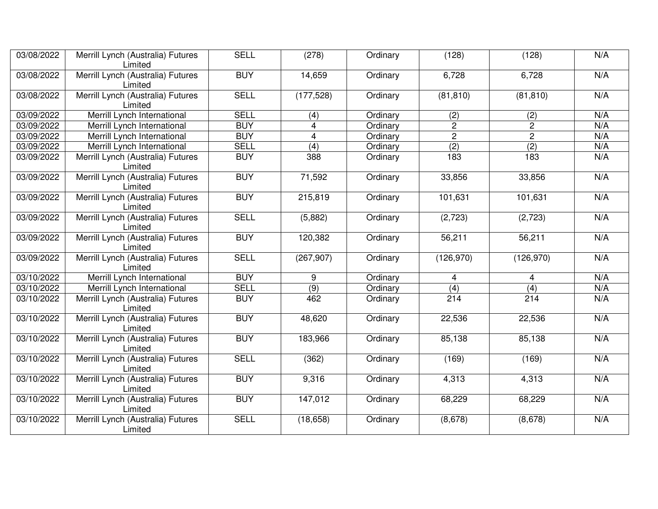| 03/08/2022 | Merrill Lynch (Australia) Futures<br>Limited | <b>SELL</b> | (278)          | Ordinary | (128)            | (128)            | N/A |
|------------|----------------------------------------------|-------------|----------------|----------|------------------|------------------|-----|
| 03/08/2022 | Merrill Lynch (Australia) Futures<br>Limited | <b>BUY</b>  | 14,659         | Ordinary | 6,728            | 6,728            | N/A |
| 03/08/2022 | Merrill Lynch (Australia) Futures<br>Limited | <b>SELL</b> | (177, 528)     | Ordinary | (81, 810)        | (81, 810)        | N/A |
| 03/09/2022 | Merrill Lynch International                  | <b>SELL</b> | (4)            | Ordinary | (2)              | (2)              | N/A |
| 03/09/2022 | Merrill Lynch International                  | <b>BUY</b>  | 4              | Ordinary | $\overline{c}$   | $\overline{2}$   | N/A |
| 03/09/2022 | Merrill Lynch International                  | <b>BUY</b>  | $\overline{4}$ | Ordinary | $\overline{2}$   | $\overline{2}$   | N/A |
| 03/09/2022 | Merrill Lynch International                  | <b>SELL</b> | (4)            | Ordinary | $\overline{(2)}$ | $\overline{(2)}$ | N/A |
| 03/09/2022 | Merrill Lynch (Australia) Futures<br>Limited | <b>BUY</b>  | 388            | Ordinary | 183              | 183              | N/A |
| 03/09/2022 | Merrill Lynch (Australia) Futures<br>Limited | <b>BUY</b>  | 71,592         | Ordinary | 33,856           | 33,856           | N/A |
| 03/09/2022 | Merrill Lynch (Australia) Futures<br>Limited | <b>BUY</b>  | 215,819        | Ordinary | 101,631          | 101,631          | N/A |
| 03/09/2022 | Merrill Lynch (Australia) Futures<br>Limited | <b>SELL</b> | (5,882)        | Ordinary | (2, 723)         | (2,723)          | N/A |
| 03/09/2022 | Merrill Lynch (Australia) Futures<br>Limited | <b>BUY</b>  | 120,382        | Ordinary | 56,211           | 56,211           | N/A |
| 03/09/2022 | Merrill Lynch (Australia) Futures<br>Limited | <b>SELL</b> | (267, 907)     | Ordinary | (126,970)        | (126, 970)       | N/A |
| 03/10/2022 | Merrill Lynch International                  | <b>BUY</b>  | 9              | Ordinary | $\overline{4}$   | $\overline{4}$   | N/A |
| 03/10/2022 | Merrill Lynch International                  | <b>SELL</b> | (9)            | Ordinary | $\overline{(4)}$ | (4)              | N/A |
| 03/10/2022 | Merrill Lynch (Australia) Futures<br>Limited | <b>BUY</b>  | 462            | Ordinary | 214              | 214              | N/A |
| 03/10/2022 | Merrill Lynch (Australia) Futures<br>Limited | <b>BUY</b>  | 48,620         | Ordinary | 22,536           | 22,536           | N/A |
| 03/10/2022 | Merrill Lynch (Australia) Futures<br>Limited | <b>BUY</b>  | 183,966        | Ordinary | 85,138           | 85,138           | N/A |
| 03/10/2022 | Merrill Lynch (Australia) Futures<br>Limited | <b>SELL</b> | (362)          | Ordinary | (169)            | (169)            | N/A |
| 03/10/2022 | Merrill Lynch (Australia) Futures<br>Limited | <b>BUY</b>  | 9,316          | Ordinary | 4,313            | 4,313            | N/A |
| 03/10/2022 | Merrill Lynch (Australia) Futures<br>Limited | <b>BUY</b>  | 147,012        | Ordinary | 68,229           | 68,229           | N/A |
| 03/10/2022 | Merrill Lynch (Australia) Futures<br>Limited | <b>SELL</b> | (18, 658)      | Ordinary | (8,678)          | (8,678)          | N/A |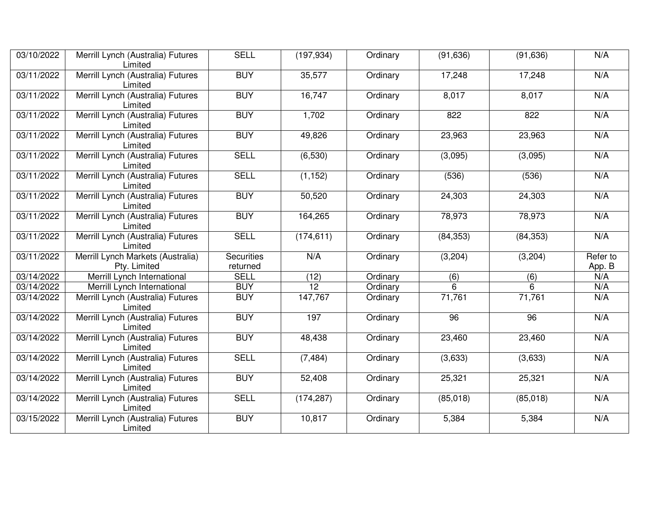| 03/10/2022 | Merrill Lynch (Australia) Futures<br>Limited      | <b>SELL</b>                   | (197, 934) | Ordinary | (91, 636) | (91, 636) | N/A                |
|------------|---------------------------------------------------|-------------------------------|------------|----------|-----------|-----------|--------------------|
| 03/11/2022 | Merrill Lynch (Australia) Futures<br>Limited      | <b>BUY</b>                    | 35,577     | Ordinary | 17,248    | 17,248    | N/A                |
| 03/11/2022 | Merrill Lynch (Australia) Futures<br>Limited      | <b>BUY</b>                    | 16,747     | Ordinary | 8,017     | 8,017     | N/A                |
| 03/11/2022 | Merrill Lynch (Australia) Futures<br>Limited      | <b>BUY</b>                    | 1,702      | Ordinary | 822       | 822       | N/A                |
| 03/11/2022 | Merrill Lynch (Australia) Futures<br>Limited      | <b>BUY</b>                    | 49,826     | Ordinary | 23,963    | 23,963    | N/A                |
| 03/11/2022 | Merrill Lynch (Australia) Futures<br>Limited      | <b>SELL</b>                   | (6,530)    | Ordinary | (3,095)   | (3,095)   | N/A                |
| 03/11/2022 | Merrill Lynch (Australia) Futures<br>Limited      | <b>SELL</b>                   | (1, 152)   | Ordinary | (536)     | (536)     | N/A                |
| 03/11/2022 | Merrill Lynch (Australia) Futures<br>Limited      | <b>BUY</b>                    | 50,520     | Ordinary | 24,303    | 24,303    | N/A                |
| 03/11/2022 | Merrill Lynch (Australia) Futures<br>Limited      | <b>BUY</b>                    | 164,265    | Ordinary | 78,973    | 78,973    | N/A                |
| 03/11/2022 | Merrill Lynch (Australia) Futures<br>Limited      | <b>SELL</b>                   | (174, 611) | Ordinary | (84, 353) | (84, 353) | N/A                |
| 03/11/2022 | Merrill Lynch Markets (Australia)<br>Pty. Limited | <b>Securities</b><br>returned | N/A        | Ordinary | (3,204)   | (3,204)   | Refer to<br>App. B |
| 03/14/2022 | Merrill Lynch International                       | <b>SELL</b>                   | (12)       | Ordinary | (6)       | (6)       | N/A                |
| 03/14/2022 | Merrill Lynch International                       | <b>BUY</b>                    | 12         | Ordinary | 6         | 6         | N/A                |
| 03/14/2022 | Merrill Lynch (Australia) Futures<br>Limited      | <b>BUY</b>                    | 147,767    | Ordinary | 71,761    | 71,761    | N/A                |
| 03/14/2022 | Merrill Lynch (Australia) Futures<br>Limited      | <b>BUY</b>                    | 197        | Ordinary | 96        | 96        | N/A                |
| 03/14/2022 | Merrill Lynch (Australia) Futures<br>Limited      | <b>BUY</b>                    | 48,438     | Ordinary | 23,460    | 23,460    | N/A                |
| 03/14/2022 | Merrill Lynch (Australia) Futures<br>Limited      | <b>SELL</b>                   | (7, 484)   | Ordinary | (3,633)   | (3,633)   | N/A                |
| 03/14/2022 | Merrill Lynch (Australia) Futures<br>Limited      | <b>BUY</b>                    | 52,408     | Ordinary | 25,321    | 25,321    | N/A                |
| 03/14/2022 | Merrill Lynch (Australia) Futures<br>Limited      | <b>SELL</b>                   | (174, 287) | Ordinary | (85,018)  | (85,018)  | N/A                |
| 03/15/2022 | Merrill Lynch (Australia) Futures<br>Limited      | <b>BUY</b>                    | 10,817     | Ordinary | 5,384     | 5,384     | N/A                |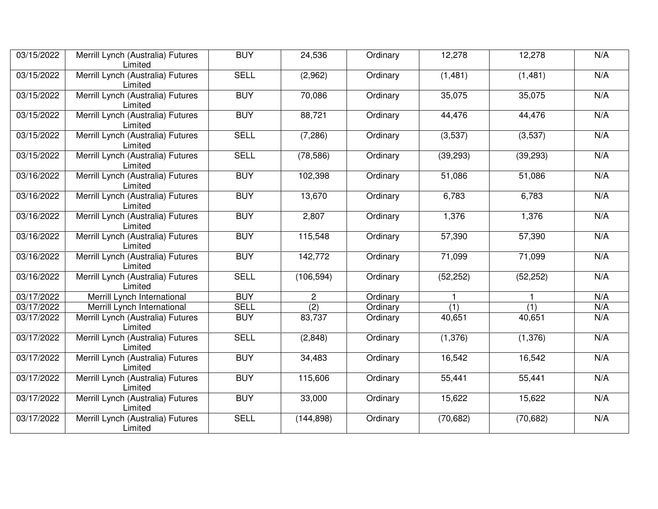| 03/15/2022 | Merrill Lynch (Australia) Futures<br>Limited | <b>BUY</b>  | 24,536           | Ordinary | 12,278           | 12,278           | N/A |
|------------|----------------------------------------------|-------------|------------------|----------|------------------|------------------|-----|
| 03/15/2022 | Merrill Lynch (Australia) Futures<br>Limited | <b>SELL</b> | (2,962)          | Ordinary | (1,481)          | (1,481)          | N/A |
| 03/15/2022 | Merrill Lynch (Australia) Futures<br>Limited | <b>BUY</b>  | 70,086           | Ordinary | 35,075           | 35,075           | N/A |
| 03/15/2022 | Merrill Lynch (Australia) Futures<br>Limited | <b>BUY</b>  | 88,721           | Ordinary | 44,476           | 44,476           | N/A |
| 03/15/2022 | Merrill Lynch (Australia) Futures<br>Limited | <b>SELL</b> | (7, 286)         | Ordinary | (3,537)          | (3,537)          | N/A |
| 03/15/2022 | Merrill Lynch (Australia) Futures<br>Limited | <b>SELL</b> | (78, 586)        | Ordinary | (39, 293)        | (39, 293)        | N/A |
| 03/16/2022 | Merrill Lynch (Australia) Futures<br>Limited | <b>BUY</b>  | 102,398          | Ordinary | 51,086           | 51,086           | N/A |
| 03/16/2022 | Merrill Lynch (Australia) Futures<br>Limited | <b>BUY</b>  | 13,670           | Ordinary | 6,783            | 6,783            | N/A |
| 03/16/2022 | Merrill Lynch (Australia) Futures<br>Limited | <b>BUY</b>  | 2,807            | Ordinary | 1,376            | 1,376            | N/A |
| 03/16/2022 | Merrill Lynch (Australia) Futures<br>Limited | <b>BUY</b>  | 115,548          | Ordinary | 57,390           | 57,390           | N/A |
| 03/16/2022 | Merrill Lynch (Australia) Futures<br>Limited | <b>BUY</b>  | 142,772          | Ordinary | 71,099           | 71,099           | N/A |
| 03/16/2022 | Merrill Lynch (Australia) Futures<br>Limited | <b>SELL</b> | (106, 594)       | Ordinary | (52, 252)        | (52, 252)        | N/A |
| 03/17/2022 | Merrill Lynch International                  | <b>BUY</b>  | $\mathbf{2}$     | Ordinary |                  | 1                | N/A |
| 03/17/2022 | Merrill Lynch International                  | <b>SELL</b> | $\overline{(2)}$ | Ordinary | $\overline{(1)}$ | $\overline{(1)}$ | N/A |
| 03/17/2022 | Merrill Lynch (Australia) Futures<br>Limited | <b>BUY</b>  | 83,737           | Ordinary | 40,651           | 40,651           | N/A |
| 03/17/2022 | Merrill Lynch (Australia) Futures<br>Limited | <b>SELL</b> | (2,848)          | Ordinary | (1, 376)         | (1,376)          | N/A |
| 03/17/2022 | Merrill Lynch (Australia) Futures<br>Limited | <b>BUY</b>  | 34,483           | Ordinary | 16,542           | 16,542           | N/A |
| 03/17/2022 | Merrill Lynch (Australia) Futures<br>Limited | <b>BUY</b>  | 115,606          | Ordinary | 55,441           | 55,441           | N/A |
| 03/17/2022 | Merrill Lynch (Australia) Futures<br>Limited | <b>BUY</b>  | 33,000           | Ordinary | 15,622           | 15,622           | N/A |
| 03/17/2022 | Merrill Lynch (Australia) Futures<br>Limited | <b>SELL</b> | (144, 898)       | Ordinary | (70, 682)        | (70, 682)        | N/A |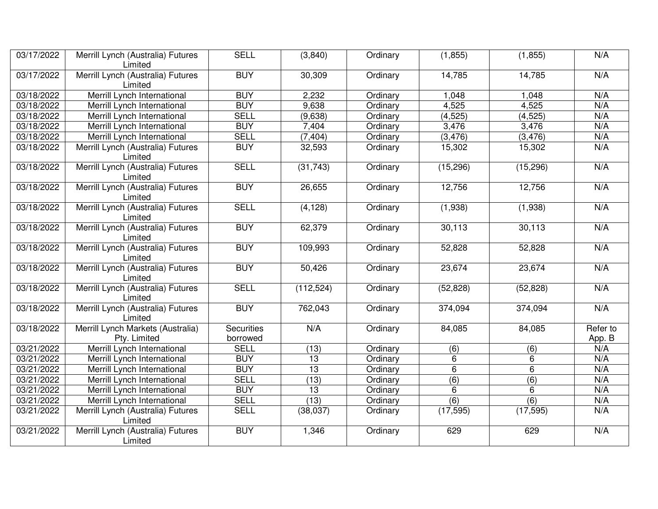| 03/17/2022 | Merrill Lynch (Australia) Futures<br>Limited      | <b>SELL</b>                   | (3,840)         | Ordinary | (1, 855)       | (1, 855)         | N/A                |
|------------|---------------------------------------------------|-------------------------------|-----------------|----------|----------------|------------------|--------------------|
| 03/17/2022 | Merrill Lynch (Australia) Futures<br>Limited      | <b>BUY</b>                    | 30,309          | Ordinary | 14,785         | 14,785           | N/A                |
| 03/18/2022 | Merrill Lynch International                       | <b>BUY</b>                    | 2,232           | Ordinary | 1,048          | 1,048            | N/A                |
| 03/18/2022 | Merrill Lynch International                       | <b>BUY</b>                    | 9,638           | Ordinary | 4,525          | 4,525            | N/A                |
| 03/18/2022 | Merrill Lynch International                       | <b>SELL</b>                   | (9,638)         | Ordinary | (4, 525)       | (4, 525)         | N/A                |
| 03/18/2022 | Merrill Lynch International                       | <b>BUY</b>                    | 7,404           | Ordinary | 3,476          | 3,476            | N/A                |
| 03/18/2022 | Merrill Lynch International                       | <b>SELL</b>                   | (7, 404)        | Ordinary | (3, 476)       | (3, 476)         | N/A                |
| 03/18/2022 | Merrill Lynch (Australia) Futures<br>Limited      | <b>BUY</b>                    | 32,593          | Ordinary | 15,302         | 15,302           | N/A                |
| 03/18/2022 | Merrill Lynch (Australia) Futures<br>Limited      | <b>SELL</b>                   | (31, 743)       | Ordinary | (15, 296)      | (15, 296)        | N/A                |
| 03/18/2022 | Merrill Lynch (Australia) Futures<br>Limited      | <b>BUY</b>                    | 26,655          | Ordinary | 12,756         | 12,756           | N/A                |
| 03/18/2022 | Merrill Lynch (Australia) Futures<br>Limited      | <b>SELL</b>                   | (4, 128)        | Ordinary | (1,938)        | (1,938)          | N/A                |
| 03/18/2022 | Merrill Lynch (Australia) Futures<br>Limited      | <b>BUY</b>                    | 62,379          | Ordinary | 30,113         | 30,113           | N/A                |
| 03/18/2022 | Merrill Lynch (Australia) Futures<br>Limited      | <b>BUY</b>                    | 109,993         | Ordinary | 52,828         | 52,828           | N/A                |
| 03/18/2022 | Merrill Lynch (Australia) Futures<br>Limited      | <b>BUY</b>                    | 50,426          | Ordinary | 23,674         | 23,674           | N/A                |
| 03/18/2022 | Merrill Lynch (Australia) Futures<br>Limited      | <b>SELL</b>                   | (112, 524)      | Ordinary | (52, 828)      | (52, 828)        | N/A                |
| 03/18/2022 | Merrill Lynch (Australia) Futures<br>Limited      | <b>BUY</b>                    | 762,043         | Ordinary | 374,094        | 374,094          | N/A                |
| 03/18/2022 | Merrill Lynch Markets (Australia)<br>Pty. Limited | <b>Securities</b><br>borrowed | N/A             | Ordinary | 84,085         | 84,085           | Refer to<br>App. B |
| 03/21/2022 | Merrill Lynch International                       | <b>SELL</b>                   | (13)            | Ordinary | (6)            | (6)              | N/A                |
| 03/21/2022 | Merrill Lynch International                       | <b>BUY</b>                    | 13              | Ordinary | 6              | 6                | N/A                |
| 03/21/2022 | Merrill Lynch International                       | <b>BUY</b>                    | $\overline{13}$ | Ordinary | $\overline{6}$ | 6                | N/A                |
| 03/21/2022 | Merrill Lynch International                       | <b>SELL</b>                   | (13)            | Ordinary | (6)            | (6)              | N/A                |
| 03/21/2022 | Merrill Lynch International                       | <b>BUY</b>                    | 13              | Ordinary | 6              | 6                | N/A                |
| 03/21/2022 | Merrill Lynch International                       | <b>SELL</b>                   | (13)            | Ordinary | (6)            | $\overline{(6)}$ | N/A                |
| 03/21/2022 | Merrill Lynch (Australia) Futures<br>Limited      | <b>SELL</b>                   | (38,037)        | Ordinary | (17, 595)      | (17, 595)        | N/A                |
| 03/21/2022 | Merrill Lynch (Australia) Futures<br>Limited      | <b>BUY</b>                    | 1,346           | Ordinary | 629            | 629              | N/A                |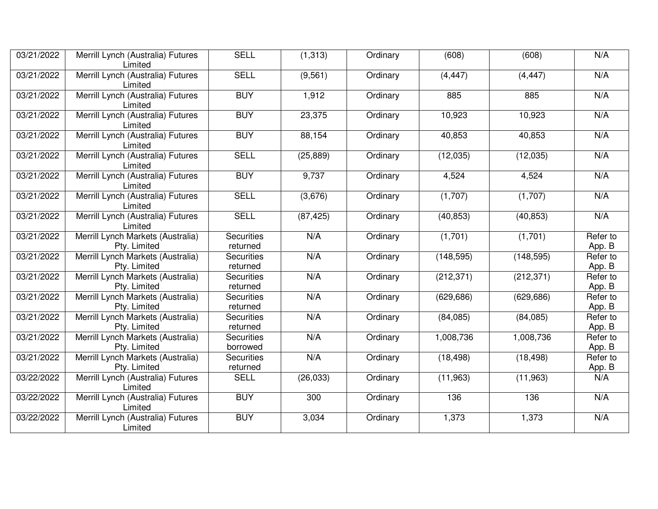| 03/21/2022 | Merrill Lynch (Australia) Futures                 | <b>SELL</b>                   | (1, 313)  | Ordinary | (608)      | (608)      | N/A                |
|------------|---------------------------------------------------|-------------------------------|-----------|----------|------------|------------|--------------------|
|            | Limited                                           |                               |           |          |            |            |                    |
| 03/21/2022 | Merrill Lynch (Australia) Futures<br>Limited      | <b>SELL</b>                   | (9, 561)  | Ordinary | (4, 447)   | (4, 447)   | N/A                |
| 03/21/2022 | Merrill Lynch (Australia) Futures<br>Limited      | <b>BUY</b>                    | 1,912     | Ordinary | 885        | 885        | N/A                |
| 03/21/2022 | Merrill Lynch (Australia) Futures<br>Limited      | <b>BUY</b>                    | 23,375    | Ordinary | 10,923     | 10,923     | N/A                |
| 03/21/2022 | Merrill Lynch (Australia) Futures<br>Limited      | <b>BUY</b>                    | 88,154    | Ordinary | 40,853     | 40,853     | N/A                |
| 03/21/2022 | Merrill Lynch (Australia) Futures<br>Limited      | <b>SELL</b>                   | (25, 889) | Ordinary | (12,035)   | (12,035)   | N/A                |
| 03/21/2022 | Merrill Lynch (Australia) Futures<br>Limited      | <b>BUY</b>                    | 9,737     | Ordinary | 4,524      | 4,524      | N/A                |
| 03/21/2022 | Merrill Lynch (Australia) Futures<br>Limited      | <b>SELL</b>                   | (3,676)   | Ordinary | (1,707)    | (1,707)    | N/A                |
| 03/21/2022 | Merrill Lynch (Australia) Futures<br>Limited      | <b>SELL</b>                   | (87, 425) | Ordinary | (40, 853)  | (40, 853)  | N/A                |
| 03/21/2022 | Merrill Lynch Markets (Australia)<br>Pty. Limited | <b>Securities</b><br>returned | N/A       | Ordinary | (1,701)    | (1,701)    | Refer to<br>App. B |
| 03/21/2022 | Merrill Lynch Markets (Australia)<br>Pty. Limited | <b>Securities</b><br>returned | N/A       | Ordinary | (148, 595) | (148, 595) | Refer to<br>App. B |
| 03/21/2022 | Merrill Lynch Markets (Australia)<br>Pty. Limited | <b>Securities</b><br>returned | N/A       | Ordinary | (212, 371) | (212, 371) | Refer to<br>App. B |
| 03/21/2022 | Merrill Lynch Markets (Australia)<br>Pty. Limited | <b>Securities</b><br>returned | N/A       | Ordinary | (629, 686) | (629, 686) | Refer to<br>App. B |
| 03/21/2022 | Merrill Lynch Markets (Australia)<br>Pty. Limited | <b>Securities</b><br>returned | N/A       | Ordinary | (84,085)   | (84,085)   | Refer to<br>App. B |
| 03/21/2022 | Merrill Lynch Markets (Australia)<br>Pty. Limited | <b>Securities</b><br>borrowed | N/A       | Ordinary | 1,008,736  | 1,008,736  | Refer to<br>App. B |
| 03/21/2022 | Merrill Lynch Markets (Australia)<br>Pty. Limited | <b>Securities</b><br>returned | N/A       | Ordinary | (18, 498)  | (18, 498)  | Refer to<br>App. B |
| 03/22/2022 | Merrill Lynch (Australia) Futures<br>Limited      | <b>SELL</b>                   | (26, 033) | Ordinary | (11, 963)  | (11,963)   | N/A                |
| 03/22/2022 | Merrill Lynch (Australia) Futures<br>Limited      | <b>BUY</b>                    | 300       | Ordinary | 136        | 136        | N/A                |
| 03/22/2022 | Merrill Lynch (Australia) Futures<br>Limited      | <b>BUY</b>                    | 3,034     | Ordinary | 1,373      | 1,373      | N/A                |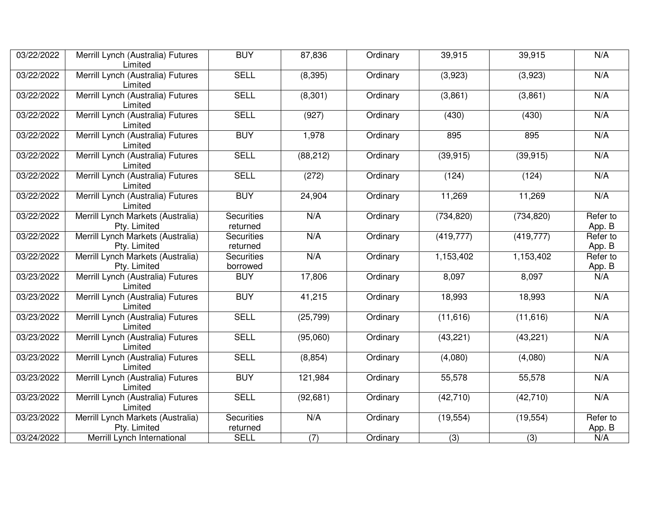| 03/22/2022 | Merrill Lynch (Australia) Futures<br>Limited      | <b>BUY</b>                    | 87,836           | Ordinary | 39,915     | 39,915     | N/A                |
|------------|---------------------------------------------------|-------------------------------|------------------|----------|------------|------------|--------------------|
| 03/22/2022 | Merrill Lynch (Australia) Futures<br>Limited      | <b>SELL</b>                   | (8, 395)         | Ordinary | (3,923)    | (3,923)    | N/A                |
| 03/22/2022 | Merrill Lynch (Australia) Futures<br>Limited      | <b>SELL</b>                   | (8,301)          | Ordinary | (3,861)    | (3,861)    | N/A                |
| 03/22/2022 | Merrill Lynch (Australia) Futures<br>Limited      | <b>SELL</b>                   | (927)            | Ordinary | (430)      | (430)      | N/A                |
| 03/22/2022 | Merrill Lynch (Australia) Futures<br>Limited      | <b>BUY</b>                    | 1,978            | Ordinary | 895        | 895        | N/A                |
| 03/22/2022 | Merrill Lynch (Australia) Futures<br>Limited      | <b>SELL</b>                   | (88, 212)        | Ordinary | (39, 915)  | (39, 915)  | N/A                |
| 03/22/2022 | Merrill Lynch (Australia) Futures<br>Limited      | <b>SELL</b>                   | (272)            | Ordinary | (124)      | (124)      | N/A                |
| 03/22/2022 | Merrill Lynch (Australia) Futures<br>Limited      | <b>BUY</b>                    | 24,904           | Ordinary | 11,269     | 11,269     | N/A                |
| 03/22/2022 | Merrill Lynch Markets (Australia)<br>Pty. Limited | <b>Securities</b><br>returned | N/A              | Ordinary | (734, 820) | (734, 820) | Refer to<br>App. B |
| 03/22/2022 | Merrill Lynch Markets (Australia)<br>Pty. Limited | <b>Securities</b><br>returned | N/A              | Ordinary | (419, 777) | (419, 777) | Refer to<br>App. B |
| 03/22/2022 | Merrill Lynch Markets (Australia)<br>Pty. Limited | <b>Securities</b><br>borrowed | N/A              | Ordinary | 1,153,402  | 1,153,402  | Refer to<br>App. B |
| 03/23/2022 | Merrill Lynch (Australia) Futures<br>Limited      | <b>BUY</b>                    | 17,806           | Ordinary | 8,097      | 8,097      | N/A                |
| 03/23/2022 | Merrill Lynch (Australia) Futures<br>Limited      | <b>BUY</b>                    | 41,215           | Ordinary | 18,993     | 18,993     | N/A                |
| 03/23/2022 | Merrill Lynch (Australia) Futures<br>Limited      | <b>SELL</b>                   | (25, 799)        | Ordinary | (11, 616)  | (11,616)   | N/A                |
| 03/23/2022 | Merrill Lynch (Australia) Futures<br>Limited      | <b>SELL</b>                   | (95,060)         | Ordinary | (43, 221)  | (43, 221)  | N/A                |
| 03/23/2022 | Merrill Lynch (Australia) Futures<br>Limited      | <b>SELL</b>                   | (8, 854)         | Ordinary | (4,080)    | (4,080)    | N/A                |
| 03/23/2022 | Merrill Lynch (Australia) Futures<br>Limited      | <b>BUY</b>                    | 121,984          | Ordinary | 55,578     | 55,578     | N/A                |
| 03/23/2022 | Merrill Lynch (Australia) Futures<br>Limited      | <b>SELL</b>                   | (92, 681)        | Ordinary | (42, 710)  | (42, 710)  | N/A                |
| 03/23/2022 | Merrill Lynch Markets (Australia)<br>Pty. Limited | <b>Securities</b><br>returned | N/A              | Ordinary | (19, 554)  | (19, 554)  | Refer to<br>App. B |
| 03/24/2022 | Merrill Lynch International                       | <b>SELL</b>                   | $\overline{(7)}$ | Ordinary | (3)        | (3)        | N/A                |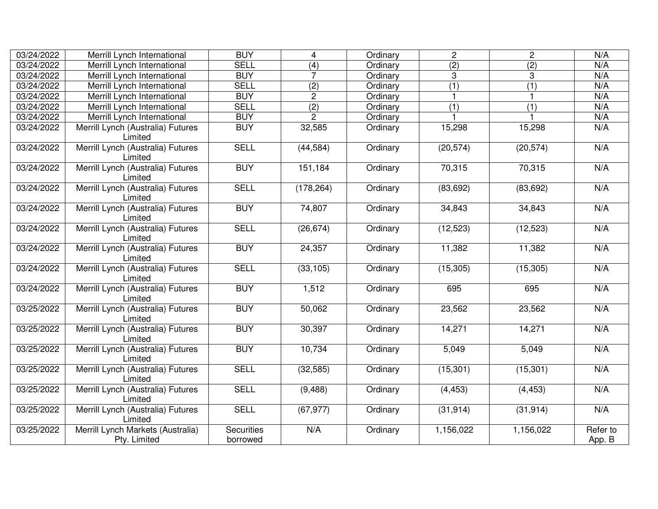| 03/24/2022 | Merrill Lynch International                       | <b>BUY</b>                    | $\overline{4}$   | Ordinary | $\overline{2}$ | $\overline{2}$   | N/A                |
|------------|---------------------------------------------------|-------------------------------|------------------|----------|----------------|------------------|--------------------|
| 03/24/2022 | Merrill Lynch International                       | <b>SELL</b>                   | (4)              | Ordinary | (2)            | $\overline{(2)}$ | N/A                |
| 03/24/2022 | Merrill Lynch International                       | <b>BUY</b>                    | $\overline{7}$   | Ordinary | 3              | 3                | N/A                |
| 03/24/2022 | Merrill Lynch International                       | <b>SELL</b>                   | $\overline{(2)}$ | Ordinary | (1)            | $\overline{(1)}$ | N/A                |
| 03/24/2022 | Merrill Lynch International                       | <b>BUY</b>                    | $\overline{2}$   | Ordinary | $\mathbf{1}$   |                  | N/A                |
| 03/24/2022 | Merrill Lynch International                       | <b>SELL</b>                   | (2)              | Ordinary | (1)            | (1)              | N/A                |
| 03/24/2022 | Merrill Lynch International                       | <b>BUY</b>                    | $\overline{2}$   | Ordinary |                |                  | N/A                |
| 03/24/2022 | Merrill Lynch (Australia) Futures<br>Limited      | <b>BUY</b>                    | 32,585           | Ordinary | 15,298         | 15,298           | N/A                |
| 03/24/2022 | Merrill Lynch (Australia) Futures<br>Limited      | <b>SELL</b>                   | (44, 584)        | Ordinary | (20, 574)      | (20, 574)        | N/A                |
| 03/24/2022 | Merrill Lynch (Australia) Futures<br>Limited      | <b>BUY</b>                    | 151,184          | Ordinary | 70,315         | 70,315           | N/A                |
| 03/24/2022 | Merrill Lynch (Australia) Futures<br>Limited      | <b>SELL</b>                   | (178, 264)       | Ordinary | (83, 692)      | (83, 692)        | N/A                |
| 03/24/2022 | Merrill Lynch (Australia) Futures<br>Limited      | <b>BUY</b>                    | 74,807           | Ordinary | 34,843         | 34,843           | N/A                |
| 03/24/2022 | Merrill Lynch (Australia) Futures<br>Limited      | <b>SELL</b>                   | (26, 674)        | Ordinary | (12, 523)      | (12, 523)        | N/A                |
| 03/24/2022 | Merrill Lynch (Australia) Futures<br>Limited      | <b>BUY</b>                    | 24,357           | Ordinary | 11,382         | 11,382           | N/A                |
| 03/24/2022 | Merrill Lynch (Australia) Futures<br>Limited      | <b>SELL</b>                   | (33, 105)        | Ordinary | (15, 305)      | (15, 305)        | N/A                |
| 03/24/2022 | Merrill Lynch (Australia) Futures<br>Limited      | <b>BUY</b>                    | 1,512            | Ordinary | 695            | 695              | N/A                |
| 03/25/2022 | Merrill Lynch (Australia) Futures<br>Limited      | <b>BUY</b>                    | 50,062           | Ordinary | 23,562         | 23,562           | N/A                |
| 03/25/2022 | Merrill Lynch (Australia) Futures<br>Limited      | <b>BUY</b>                    | 30,397           | Ordinary | 14,271         | 14,271           | N/A                |
| 03/25/2022 | Merrill Lynch (Australia) Futures<br>Limited      | <b>BUY</b>                    | 10,734           | Ordinary | 5,049          | 5,049            | N/A                |
| 03/25/2022 | Merrill Lynch (Australia) Futures<br>Limited      | <b>SELL</b>                   | (32, 585)        | Ordinary | (15, 301)      | (15, 301)        | N/A                |
| 03/25/2022 | Merrill Lynch (Australia) Futures<br>Limited      | <b>SELL</b>                   | (9, 488)         | Ordinary | (4, 453)       | (4, 453)         | N/A                |
| 03/25/2022 | Merrill Lynch (Australia) Futures<br>Limited      | <b>SELL</b>                   | (67, 977)        | Ordinary | (31, 914)      | (31, 914)        | N/A                |
| 03/25/2022 | Merrill Lynch Markets (Australia)<br>Pty. Limited | <b>Securities</b><br>borrowed | N/A              | Ordinary | 1,156,022      | 1,156,022        | Refer to<br>App. B |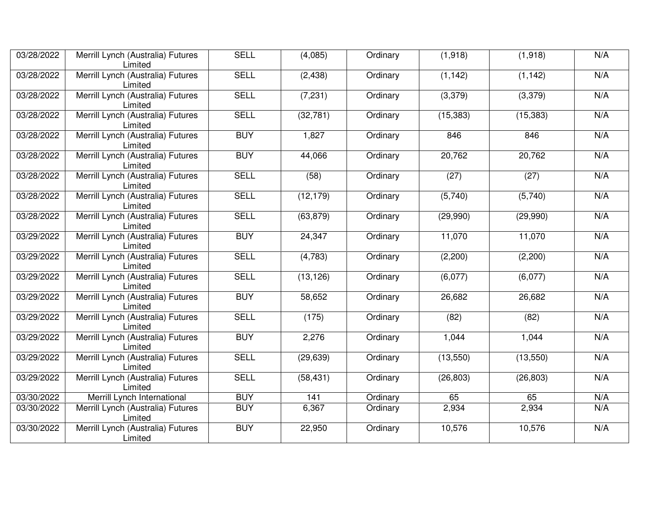| 03/28/2022 | Merrill Lynch (Australia) Futures<br>Limited | <b>SELL</b> | (4,085)   | Ordinary | (1,918)   | (1,918)   | N/A |
|------------|----------------------------------------------|-------------|-----------|----------|-----------|-----------|-----|
| 03/28/2022 | Merrill Lynch (Australia) Futures<br>Limited | <b>SELL</b> | (2, 438)  | Ordinary | (1, 142)  | (1, 142)  | N/A |
| 03/28/2022 | Merrill Lynch (Australia) Futures<br>Limited | <b>SELL</b> | (7, 231)  | Ordinary | (3,379)   | (3,379)   | N/A |
| 03/28/2022 | Merrill Lynch (Australia) Futures<br>Limited | <b>SELL</b> | (32, 781) | Ordinary | (15, 383) | (15, 383) | N/A |
| 03/28/2022 | Merrill Lynch (Australia) Futures<br>Limited | <b>BUY</b>  | 1,827     | Ordinary | 846       | 846       | N/A |
| 03/28/2022 | Merrill Lynch (Australia) Futures<br>Limited | <b>BUY</b>  | 44,066    | Ordinary | 20,762    | 20,762    | N/A |
| 03/28/2022 | Merrill Lynch (Australia) Futures<br>Limited | <b>SELL</b> | (58)      | Ordinary | (27)      | (27)      | N/A |
| 03/28/2022 | Merrill Lynch (Australia) Futures<br>Limited | <b>SELL</b> | (12, 179) | Ordinary | (5,740)   | (5,740)   | N/A |
| 03/28/2022 | Merrill Lynch (Australia) Futures<br>Limited | <b>SELL</b> | (63, 879) | Ordinary | (29,990)  | (29,990)  | N/A |
| 03/29/2022 | Merrill Lynch (Australia) Futures<br>Limited | <b>BUY</b>  | 24,347    | Ordinary | 11,070    | 11,070    | N/A |
| 03/29/2022 | Merrill Lynch (Australia) Futures<br>Limited | <b>SELL</b> | (4, 783)  | Ordinary | (2,200)   | (2,200)   | N/A |
| 03/29/2022 | Merrill Lynch (Australia) Futures<br>Limited | <b>SELL</b> | (13, 126) | Ordinary | (6,077)   | (6,077)   | N/A |
| 03/29/2022 | Merrill Lynch (Australia) Futures<br>Limited | <b>BUY</b>  | 58,652    | Ordinary | 26,682    | 26,682    | N/A |
| 03/29/2022 | Merrill Lynch (Australia) Futures<br>Limited | <b>SELL</b> | (175)     | Ordinary | (82)      | (82)      | N/A |
| 03/29/2022 | Merrill Lynch (Australia) Futures<br>Limited | <b>BUY</b>  | 2,276     | Ordinary | 1,044     | 1,044     | N/A |
| 03/29/2022 | Merrill Lynch (Australia) Futures<br>Limited | <b>SELL</b> | (29, 639) | Ordinary | (13,550)  | (13,550)  | N/A |
| 03/29/2022 | Merrill Lynch (Australia) Futures<br>Limited | <b>SELL</b> | (58, 431) | Ordinary | (26, 803) | (26, 803) | N/A |
| 03/30/2022 | Merrill Lynch International                  | <b>BUY</b>  | 141       | Ordinary | 65        | 65        | N/A |
| 03/30/2022 | Merrill Lynch (Australia) Futures<br>Limited | <b>BUY</b>  | 6,367     | Ordinary | 2,934     | 2,934     | N/A |
| 03/30/2022 | Merrill Lynch (Australia) Futures<br>Limited | <b>BUY</b>  | 22,950    | Ordinary | 10,576    | 10,576    | N/A |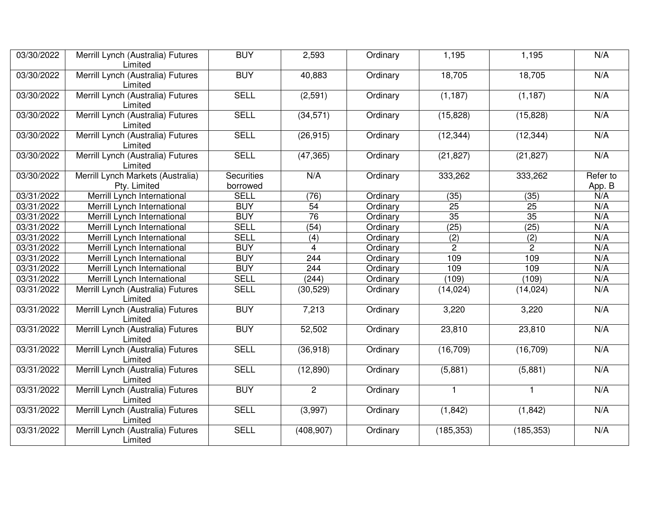| 03/30/2022 | Merrill Lynch (Australia) Futures<br>Limited      | <b>BUY</b>                    | 2,593           | Ordinary | 1,195           | 1,195           | N/A                |
|------------|---------------------------------------------------|-------------------------------|-----------------|----------|-----------------|-----------------|--------------------|
| 03/30/2022 | Merrill Lynch (Australia) Futures<br>Limited      | <b>BUY</b>                    | 40,883          | Ordinary | 18,705          | 18,705          | N/A                |
| 03/30/2022 | Merrill Lynch (Australia) Futures<br>Limited      | <b>SELL</b>                   | (2,591)         | Ordinary | (1, 187)        | (1, 187)        | N/A                |
| 03/30/2022 | Merrill Lynch (Australia) Futures<br>Limited      | <b>SELL</b>                   | (34, 571)       | Ordinary | (15, 828)       | (15, 828)       | N/A                |
| 03/30/2022 | Merrill Lynch (Australia) Futures<br>Limited      | <b>SELL</b>                   | (26, 915)       | Ordinary | (12, 344)       | (12, 344)       | N/A                |
| 03/30/2022 | Merrill Lynch (Australia) Futures<br>Limited      | <b>SELL</b>                   | (47, 365)       | Ordinary | (21, 827)       | (21, 827)       | N/A                |
| 03/30/2022 | Merrill Lynch Markets (Australia)<br>Pty. Limited | <b>Securities</b><br>borrowed | N/A             | Ordinary | 333,262         | 333,262         | Refer to<br>App. B |
| 03/31/2022 | Merrill Lynch International                       | <b>SELL</b>                   | (76)            | Ordinary | (35)            | (35)            | N/A                |
| 03/31/2022 | Merrill Lynch International                       | <b>BUY</b>                    | $\overline{54}$ | Ordinary | $\overline{25}$ | $\overline{25}$ | N/A                |
| 03/31/2022 | Merrill Lynch International                       | <b>BUY</b>                    | 76              | Ordinary | 35              | 35              | N/A                |
| 03/31/2022 | Merrill Lynch International                       | <b>SELL</b>                   | (54)            | Ordinary | (25)            | (25)            | N/A                |
| 03/31/2022 | Merrill Lynch International                       | <b>SELL</b>                   | (4)             | Ordinary | (2)             | (2)             | N/A                |
| 03/31/2022 | Merrill Lynch International                       | <b>BUY</b>                    | $\overline{4}$  | Ordinary | $\overline{c}$  | $\overline{2}$  | N/A                |
| 03/31/2022 | Merrill Lynch International                       | <b>BUY</b>                    | 244             | Ordinary | 109             | 109             | N/A                |
| 03/31/2022 | Merrill Lynch International                       | <b>BUY</b>                    | 244             | Ordinary | 109             | 109             | N/A                |
| 03/31/2022 | Merrill Lynch International                       | <b>SELL</b>                   | (244)           | Ordinary | (109)           | (109)           | N/A                |
| 03/31/2022 | Merrill Lynch (Australia) Futures<br>Limited      | <b>SELL</b>                   | (30, 529)       | Ordinary | (14, 024)       | (14, 024)       | N/A                |
| 03/31/2022 | Merrill Lynch (Australia) Futures<br>Limited      | <b>BUY</b>                    | 7,213           | Ordinary | 3,220           | 3,220           | N/A                |
| 03/31/2022 | Merrill Lynch (Australia) Futures<br>Limited      | <b>BUY</b>                    | 52,502          | Ordinary | 23,810          | 23,810          | N/A                |
| 03/31/2022 | Merrill Lynch (Australia) Futures<br>Limited      | <b>SELL</b>                   | (36, 918)       | Ordinary | (16, 709)       | (16, 709)       | N/A                |
| 03/31/2022 | Merrill Lynch (Australia) Futures<br>Limited      | <b>SELL</b>                   | (12, 890)       | Ordinary | (5,881)         | (5,881)         | N/A                |
| 03/31/2022 | Merrill Lynch (Australia) Futures<br>Limited      | <b>BUY</b>                    | $\overline{2}$  | Ordinary | $\mathbf{1}$    | $\mathbf{1}$    | N/A                |
| 03/31/2022 | Merrill Lynch (Australia) Futures<br>Limited      | <b>SELL</b>                   | (3,997)         | Ordinary | (1, 842)        | (1, 842)        | N/A                |
| 03/31/2022 | Merrill Lynch (Australia) Futures<br>Limited      | <b>SELL</b>                   | (408, 907)      | Ordinary | (185, 353)      | (185, 353)      | N/A                |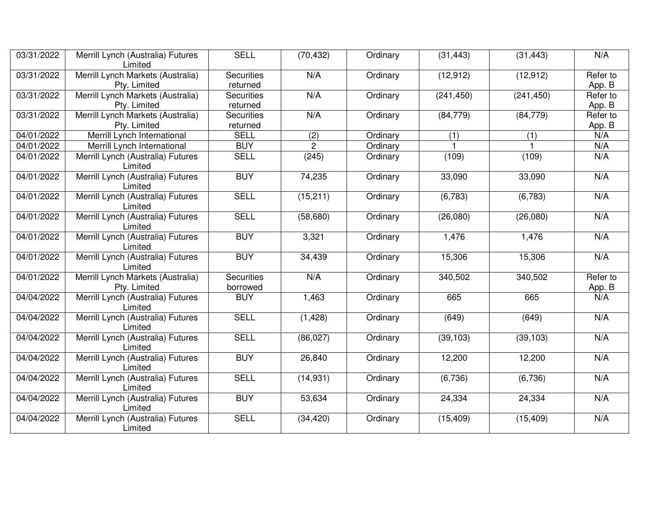| 03/31/2022              | Merrill Lynch (Australia) Futures<br>Limited      | <b>SELL</b>                   | (70, 432)      | Ordinary | (31, 443)  | (31, 443)  | N/A                |
|-------------------------|---------------------------------------------------|-------------------------------|----------------|----------|------------|------------|--------------------|
| 03/31/2022              | Merrill Lynch Markets (Australia)<br>Pty. Limited | <b>Securities</b><br>returned | N/A            | Ordinary | (12, 912)  | (12, 912)  | Refer to<br>App. B |
| 03/31/2022              | Merrill Lynch Markets (Australia)<br>Pty. Limited | <b>Securities</b><br>returned | N/A            | Ordinary | (241, 450) | (241, 450) | Refer to<br>App. B |
| 03/31/2022              | Merrill Lynch Markets (Australia)<br>Pty. Limited | <b>Securities</b><br>returned | N/A            | Ordinary | (84, 779)  | (84, 779)  | Refer to<br>App. B |
| 04/01/2022              | Merrill Lynch International                       | <b>SELL</b>                   | (2)            | Ordinary | (1)        | (1)        | N/A                |
| 04/01/2022              | Merrill Lynch International                       | <b>BUY</b>                    | $\overline{2}$ | Ordinary |            |            | N/A                |
| 04/01/2022              | Merrill Lynch (Australia) Futures<br>Limited      | <b>SELL</b>                   | (245)          | Ordinary | (109)      | (109)      | N/A                |
| 04/01/2022              | Merrill Lynch (Australia) Futures<br>Limited      | <b>BUY</b>                    | 74,235         | Ordinary | 33,090     | 33,090     | N/A                |
| $\overline{04/0}1/2022$ | Merrill Lynch (Australia) Futures<br>Limited      | <b>SELL</b>                   | (15, 211)      | Ordinary | (6,783)    | (6,783)    | N/A                |
| 04/01/2022              | Merrill Lynch (Australia) Futures<br>Limited      | <b>SELL</b>                   | (58, 680)      | Ordinary | (26,080)   | (26,080)   | N/A                |
| 04/01/2022              | Merrill Lynch (Australia) Futures<br>Limited      | <b>BUY</b>                    | 3,321          | Ordinary | 1,476      | 1,476      | N/A                |
| 04/01/2022              | Merrill Lynch (Australia) Futures<br>Limited      | <b>BUY</b>                    | 34,439         | Ordinary | 15,306     | 15,306     | N/A                |
| 04/01/2022              | Merrill Lynch Markets (Australia)<br>Pty. Limited | <b>Securities</b><br>borrowed | N/A            | Ordinary | 340,502    | 340,502    | Refer to<br>App. B |
| 04/04/2022              | Merrill Lynch (Australia) Futures<br>Limited      | <b>BUY</b>                    | 1,463          | Ordinary | 665        | 665        | N/A                |
| 04/04/2022              | Merrill Lynch (Australia) Futures<br>Limited      | <b>SELL</b>                   | (1, 428)       | Ordinary | (649)      | (649)      | N/A                |
| 04/04/2022              | Merrill Lynch (Australia) Futures<br>Limited      | <b>SELL</b>                   | (86, 027)      | Ordinary | (39, 103)  | (39, 103)  | N/A                |
| 04/04/2022              | Merrill Lynch (Australia) Futures<br>Limited      | <b>BUY</b>                    | 26,840         | Ordinary | 12,200     | 12,200     | N/A                |
| 04/04/2022              | Merrill Lynch (Australia) Futures<br>Limited      | <b>SELL</b>                   | (14, 931)      | Ordinary | (6,736)    | (6,736)    | N/A                |
| 04/04/2022              | Merrill Lynch (Australia) Futures<br>Limited      | <b>BUY</b>                    | 53,634         | Ordinary | 24,334     | 24,334     | N/A                |
| 04/04/2022              | Merrill Lynch (Australia) Futures<br>Limited      | <b>SELL</b>                   | (34, 420)      | Ordinary | (15, 409)  | (15, 409)  | N/A                |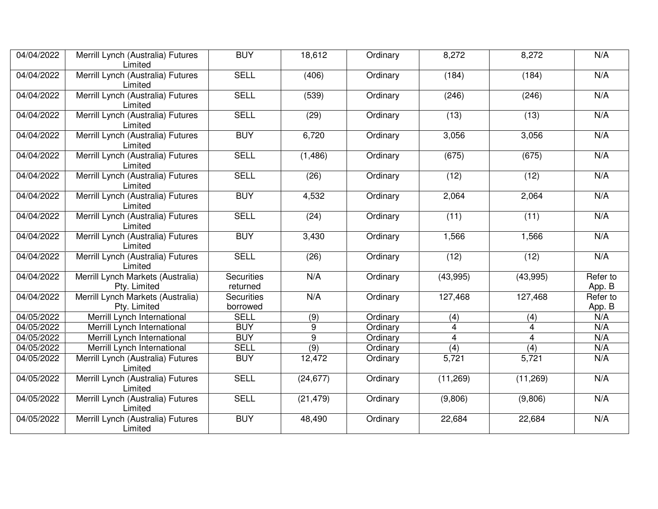| 04/04/2022              | Merrill Lynch (Australia) Futures<br>Limited      | <b>BUY</b>                    | 18,612           | Ordinary | 8,272          | 8,272     | N/A                |
|-------------------------|---------------------------------------------------|-------------------------------|------------------|----------|----------------|-----------|--------------------|
| 04/04/2022              | Merrill Lynch (Australia) Futures<br>Limited      | <b>SELL</b>                   | (406)            | Ordinary | (184)          | (184)     | N/A                |
| 04/04/2022              | Merrill Lynch (Australia) Futures<br>Limited      | <b>SELL</b>                   | (539)            | Ordinary | (246)          | (246)     | N/A                |
| 04/04/2022              | Merrill Lynch (Australia) Futures<br>Limited      | <b>SELL</b>                   | (29)             | Ordinary | (13)           | (13)      | N/A                |
| 04/04/2022              | Merrill Lynch (Australia) Futures<br>Limited      | <b>BUY</b>                    | 6,720            | Ordinary | 3,056          | 3,056     | N/A                |
| 04/04/2022              | Merrill Lynch (Australia) Futures<br>Limited      | <b>SELL</b>                   | (1, 486)         | Ordinary | (675)          | (675)     | N/A                |
| 04/04/2022              | Merrill Lynch (Australia) Futures<br>Limited      | <b>SELL</b>                   | (26)             | Ordinary | (12)           | (12)      | N/A                |
| 04/04/2022              | Merrill Lynch (Australia) Futures<br>Limited      | <b>BUY</b>                    | 4,532            | Ordinary | 2,064          | 2,064     | N/A                |
| 04/04/2022              | Merrill Lynch (Australia) Futures<br>Limited      | <b>SELL</b>                   | (24)             | Ordinary | (11)           | (11)      | N/A                |
| 04/04/2022              | Merrill Lynch (Australia) Futures<br>Limited      | <b>BUY</b>                    | 3,430            | Ordinary | 1,566          | 1,566     | N/A                |
| 04/04/2022              | Merrill Lynch (Australia) Futures<br>Limited      | <b>SELL</b>                   | (26)             | Ordinary | (12)           | (12)      | N/A                |
| 04/04/2022              | Merrill Lynch Markets (Australia)<br>Pty. Limited | <b>Securities</b><br>returned | N/A              | Ordinary | (43,995)       | (43,995)  | Refer to<br>App. B |
| 04/04/2022              | Merrill Lynch Markets (Australia)<br>Pty. Limited | <b>Securities</b><br>borrowed | N/A              | Ordinary | 127,468        | 127,468   | Refer to<br>App. B |
| 04/05/2022              | Merrill Lynch International                       | <b>SELL</b>                   | (9)              | Ordinary | (4)            | (4)       | N/A                |
| 04/05/2022              | Merrill Lynch International                       | <b>BUY</b>                    | 9                | Ordinary | 4              | 4         | N/A                |
| $\overline{04/05}/2022$ | Merrill Lynch International                       | <b>BUY</b>                    | $\overline{9}$   | Ordinary | $\overline{4}$ | 4         | N/A                |
| 04/05/2022              | Merrill Lynch International                       | <b>SELL</b>                   | $\overline{(9)}$ | Ordinary | (4)            | (4)       | N/A                |
| 04/05/2022              | Merrill Lynch (Australia) Futures<br>Limited      | <b>BUY</b>                    | 12,472           | Ordinary | 5,721          | 5,721     | N/A                |
| 04/05/2022              | Merrill Lynch (Australia) Futures<br>Limited      | <b>SELL</b>                   | (24, 677)        | Ordinary | (11, 269)      | (11, 269) | N/A                |
| 04/05/2022              | Merrill Lynch (Australia) Futures<br>Limited      | <b>SELL</b>                   | (21, 479)        | Ordinary | (9,806)        | (9,806)   | N/A                |
| 04/05/2022              | Merrill Lynch (Australia) Futures<br>Limited      | <b>BUY</b>                    | 48,490           | Ordinary | 22,684         | 22,684    | N/A                |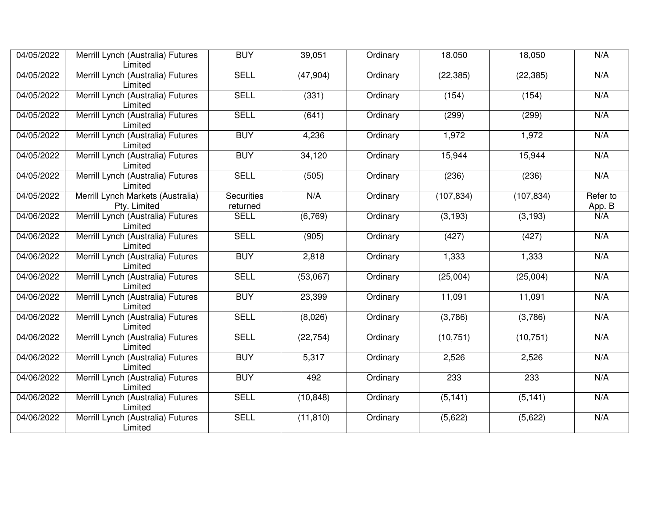| 04/05/2022 | Merrill Lynch (Australia) Futures                 | <b>BUY</b>                    | 39,051    | Ordinary | 18,050     | 18,050     | N/A                |
|------------|---------------------------------------------------|-------------------------------|-----------|----------|------------|------------|--------------------|
|            | Limited                                           |                               |           |          |            |            |                    |
| 04/05/2022 | Merrill Lynch (Australia) Futures<br>Limited      | <b>SELL</b>                   | (47, 904) | Ordinary | (22, 385)  | (22, 385)  | N/A                |
| 04/05/2022 | Merrill Lynch (Australia) Futures<br>Limited      | <b>SELL</b>                   | (331)     | Ordinary | (154)      | (154)      | N/A                |
| 04/05/2022 | Merrill Lynch (Australia) Futures<br>Limited      | <b>SELL</b>                   | (641)     | Ordinary | (299)      | (299)      | N/A                |
| 04/05/2022 | Merrill Lynch (Australia) Futures<br>Limited      | <b>BUY</b>                    | 4,236     | Ordinary | 1,972      | 1,972      | N/A                |
| 04/05/2022 | Merrill Lynch (Australia) Futures<br>Limited      | <b>BUY</b>                    | 34,120    | Ordinary | 15,944     | 15,944     | N/A                |
| 04/05/2022 | Merrill Lynch (Australia) Futures<br>Limited      | <b>SELL</b>                   | (505)     | Ordinary | (236)      | (236)      | N/A                |
| 04/05/2022 | Merrill Lynch Markets (Australia)<br>Pty. Limited | <b>Securities</b><br>returned | N/A       | Ordinary | (107, 834) | (107, 834) | Refer to<br>App. B |
| 04/06/2022 | Merrill Lynch (Australia) Futures<br>Limited      | <b>SELL</b>                   | (6,769)   | Ordinary | (3, 193)   | (3, 193)   | N/A                |
| 04/06/2022 | Merrill Lynch (Australia) Futures<br>Limited      | <b>SELL</b>                   | (905)     | Ordinary | (427)      | (427)      | N/A                |
| 04/06/2022 | Merrill Lynch (Australia) Futures<br>Limited      | <b>BUY</b>                    | 2,818     | Ordinary | 1,333      | 1,333      | N/A                |
| 04/06/2022 | Merrill Lynch (Australia) Futures<br>Limited      | <b>SELL</b>                   | (53,067)  | Ordinary | (25,004)   | (25,004)   | N/A                |
| 04/06/2022 | Merrill Lynch (Australia) Futures<br>Limited      | <b>BUY</b>                    | 23,399    | Ordinary | 11,091     | 11,091     | N/A                |
| 04/06/2022 | Merrill Lynch (Australia) Futures<br>Limited      | <b>SELL</b>                   | (8,026)   | Ordinary | (3,786)    | (3,786)    | N/A                |
| 04/06/2022 | Merrill Lynch (Australia) Futures<br>Limited      | <b>SELL</b>                   | (22, 754) | Ordinary | (10, 751)  | (10, 751)  | N/A                |
| 04/06/2022 | Merrill Lynch (Australia) Futures<br>Limited      | <b>BUY</b>                    | 5,317     | Ordinary | 2,526      | 2,526      | N/A                |
| 04/06/2022 | Merrill Lynch (Australia) Futures<br>Limited      | <b>BUY</b>                    | 492       | Ordinary | 233        | 233        | N/A                |
| 04/06/2022 | Merrill Lynch (Australia) Futures<br>Limited      | <b>SELL</b>                   | (10, 848) | Ordinary | (5, 141)   | (5, 141)   | N/A                |
| 04/06/2022 | Merrill Lynch (Australia) Futures<br>Limited      | <b>SELL</b>                   | (11, 810) | Ordinary | (5,622)    | (5,622)    | N/A                |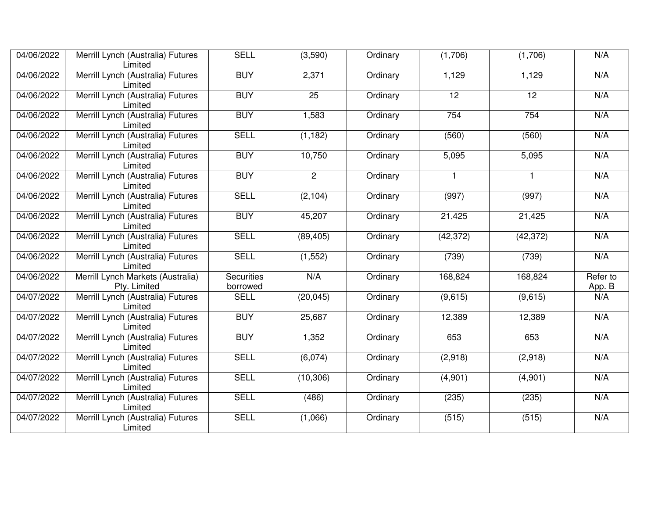| 04/06/2022 | Merrill Lynch (Australia) Futures<br>Limited      | <b>SELL</b>                   | (3,590)        | Ordinary | (1,706)      | (1,706)         | N/A                |
|------------|---------------------------------------------------|-------------------------------|----------------|----------|--------------|-----------------|--------------------|
| 04/06/2022 | Merrill Lynch (Australia) Futures<br>Limited      | <b>BUY</b>                    | 2,371          | Ordinary | 1,129        | 1,129           | N/A                |
| 04/06/2022 | Merrill Lynch (Australia) Futures<br>Limited      | <b>BUY</b>                    | 25             | Ordinary | 12           | $\overline{12}$ | N/A                |
| 04/06/2022 | Merrill Lynch (Australia) Futures<br>Limited      | <b>BUY</b>                    | 1,583          | Ordinary | 754          | 754             | N/A                |
| 04/06/2022 | Merrill Lynch (Australia) Futures<br>Limited      | <b>SELL</b>                   | (1, 182)       | Ordinary | (560)        | (560)           | N/A                |
| 04/06/2022 | Merrill Lynch (Australia) Futures<br>Limited      | <b>BUY</b>                    | 10,750         | Ordinary | 5,095        | 5,095           | N/A                |
| 04/06/2022 | Merrill Lynch (Australia) Futures<br>Limited      | <b>BUY</b>                    | $\overline{2}$ | Ordinary | $\mathbf{1}$ | $\mathbf{1}$    | N/A                |
| 04/06/2022 | Merrill Lynch (Australia) Futures<br>Limited      | <b>SELL</b>                   | (2, 104)       | Ordinary | (997)        | (997)           | N/A                |
| 04/06/2022 | Merrill Lynch (Australia) Futures<br>Limited      | <b>BUY</b>                    | 45,207         | Ordinary | 21,425       | 21,425          | N/A                |
| 04/06/2022 | Merrill Lynch (Australia) Futures<br>Limited      | <b>SELL</b>                   | (89, 405)      | Ordinary | (42, 372)    | (42, 372)       | N/A                |
| 04/06/2022 | Merrill Lynch (Australia) Futures<br>Limited      | <b>SELL</b>                   | (1, 552)       | Ordinary | (739)        | (739)           | N/A                |
| 04/06/2022 | Merrill Lynch Markets (Australia)<br>Pty. Limited | <b>Securities</b><br>borrowed | N/A            | Ordinary | 168,824      | 168,824         | Refer to<br>App. B |
| 04/07/2022 | Merrill Lynch (Australia) Futures<br>Limited      | <b>SELL</b>                   | (20, 045)      | Ordinary | (9,615)      | (9,615)         | N/A                |
| 04/07/2022 | Merrill Lynch (Australia) Futures<br>Limited      | <b>BUY</b>                    | 25,687         | Ordinary | 12,389       | 12,389          | N/A                |
| 04/07/2022 | Merrill Lynch (Australia) Futures<br>Limited      | <b>BUY</b>                    | 1,352          | Ordinary | 653          | 653             | N/A                |
| 04/07/2022 | Merrill Lynch (Australia) Futures<br>Limited      | <b>SELL</b>                   | (6,074)        | Ordinary | (2,918)      | (2,918)         | N/A                |
| 04/07/2022 | Merrill Lynch (Australia) Futures<br>Limited      | <b>SELL</b>                   | (10, 306)      | Ordinary | (4,901)      | (4,901)         | N/A                |
| 04/07/2022 | Merrill Lynch (Australia) Futures<br>Limited      | <b>SELL</b>                   | (486)          | Ordinary | (235)        | (235)           | N/A                |
| 04/07/2022 | Merrill Lynch (Australia) Futures<br>Limited      | <b>SELL</b>                   | (1,066)        | Ordinary | (515)        | (515)           | N/A                |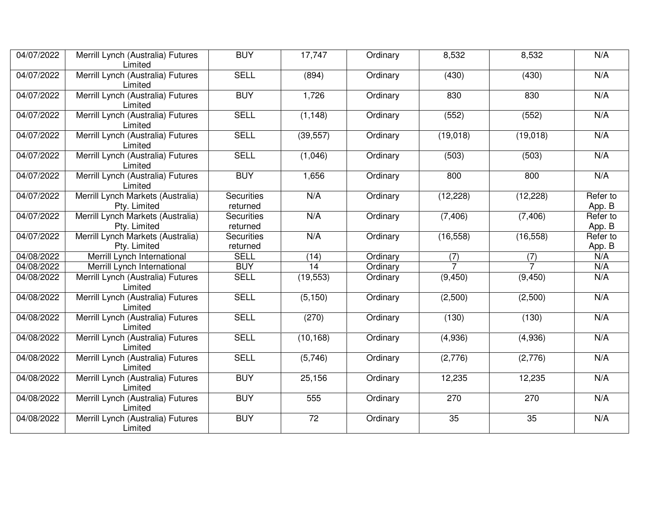| 04/07/2022 | Merrill Lynch (Australia) Futures<br>Limited      | <b>BUY</b>                    | 17,747    | Ordinary | 8,532     | 8,532     | N/A                |
|------------|---------------------------------------------------|-------------------------------|-----------|----------|-----------|-----------|--------------------|
| 04/07/2022 | Merrill Lynch (Australia) Futures<br>Limited      | <b>SELL</b>                   | (894)     | Ordinary | (430)     | (430)     | N/A                |
| 04/07/2022 | Merrill Lynch (Australia) Futures<br>Limited      | <b>BUY</b>                    | 1,726     | Ordinary | 830       | 830       | N/A                |
| 04/07/2022 | Merrill Lynch (Australia) Futures<br>Limited      | <b>SELL</b>                   | (1, 148)  | Ordinary | (552)     | (552)     | N/A                |
| 04/07/2022 | Merrill Lynch (Australia) Futures<br>Limited      | <b>SELL</b>                   | (39, 557) | Ordinary | (19,018)  | (19,018)  | N/A                |
| 04/07/2022 | Merrill Lynch (Australia) Futures<br>Limited      | <b>SELL</b>                   | (1,046)   | Ordinary | (503)     | (503)     | N/A                |
| 04/07/2022 | Merrill Lynch (Australia) Futures<br>Limited      | <b>BUY</b>                    | 1,656     | Ordinary | 800       | 800       | N/A                |
| 04/07/2022 | Merrill Lynch Markets (Australia)<br>Pty. Limited | <b>Securities</b><br>returned | N/A       | Ordinary | (12, 228) | (12, 228) | Refer to<br>App. B |
| 04/07/2022 | Merrill Lynch Markets (Australia)<br>Pty. Limited | <b>Securities</b><br>returned | N/A       | Ordinary | (7, 406)  | (7, 406)  | Refer to<br>App. B |
| 04/07/2022 | Merrill Lynch Markets (Australia)<br>Pty. Limited | <b>Securities</b><br>returned | N/A       | Ordinary | (16, 558) | (16, 558) | Refer to<br>App. B |
| 04/08/2022 | Merrill Lynch International                       | <b>SELL</b>                   | (14)      | Ordinary | (7)       | (7)       | N/A                |
| 04/08/2022 | Merrill Lynch International                       | <b>BUY</b>                    | 14        | Ordinary |           |           | N/A                |
| 04/08/2022 | Merrill Lynch (Australia) Futures<br>Limited      | <b>SELL</b>                   | (19, 553) | Ordinary | (9, 450)  | (9, 450)  | N/A                |
| 04/08/2022 | Merrill Lynch (Australia) Futures<br>Limited      | <b>SELL</b>                   | (5, 150)  | Ordinary | (2,500)   | (2,500)   | N/A                |
| 04/08/2022 | Merrill Lynch (Australia) Futures<br>Limited      | <b>SELL</b>                   | (270)     | Ordinary | (130)     | (130)     | N/A                |
| 04/08/2022 | Merrill Lynch (Australia) Futures<br>Limited      | <b>SELL</b>                   | (10, 168) | Ordinary | (4,936)   | (4,936)   | N/A                |
| 04/08/2022 | Merrill Lynch (Australia) Futures<br>Limited      | <b>SELL</b>                   | (5,746)   | Ordinary | (2,776)   | (2,776)   | N/A                |
| 04/08/2022 | Merrill Lynch (Australia) Futures<br>Limited      | <b>BUY</b>                    | 25,156    | Ordinary | 12,235    | 12,235    | N/A                |
| 04/08/2022 | Merrill Lynch (Australia) Futures<br>Limited      | <b>BUY</b>                    | 555       | Ordinary | 270       | 270       | N/A                |
| 04/08/2022 | Merrill Lynch (Australia) Futures<br>Limited      | <b>BUY</b>                    | 72        | Ordinary | 35        | 35        | N/A                |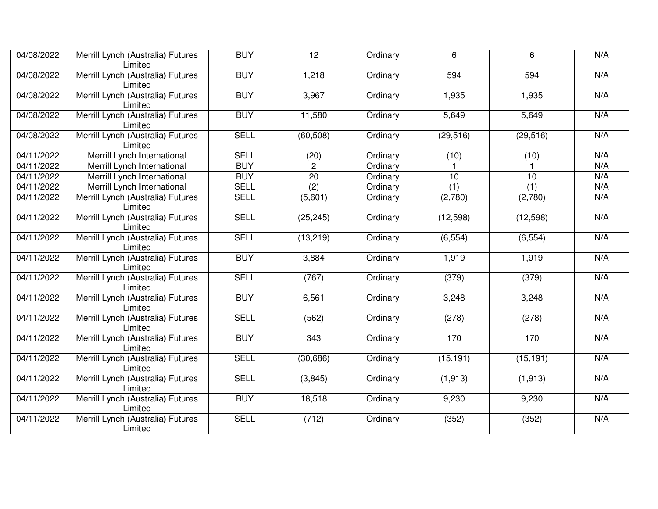| 04/08/2022              | Merrill Lynch (Australia) Futures<br>Limited | <b>BUY</b>  | $\overline{12}$ | Ordinary | 6         | 6                | N/A |
|-------------------------|----------------------------------------------|-------------|-----------------|----------|-----------|------------------|-----|
| 04/08/2022              | Merrill Lynch (Australia) Futures<br>Limited | <b>BUY</b>  | 1,218           | Ordinary | 594       | 594              | N/A |
| 04/08/2022              | Merrill Lynch (Australia) Futures<br>Limited | <b>BUY</b>  | 3,967           | Ordinary | 1,935     | 1,935            | N/A |
| 04/08/2022              | Merrill Lynch (Australia) Futures<br>Limited | <b>BUY</b>  | 11,580          | Ordinary | 5,649     | 5,649            | N/A |
| 04/08/2022              | Merrill Lynch (Australia) Futures<br>Limited | <b>SELL</b> | (60, 508)       | Ordinary | (29, 516) | (29, 516)        | N/A |
| 04/11/2022              | Merrill Lynch International                  | <b>SELL</b> | (20)            | Ordinary | (10)      | (10)             | N/A |
| $\overline{04/11}/2022$ | Merrill Lynch International                  | <b>BUY</b>  | $\overline{2}$  | Ordinary |           |                  | N/A |
| 04/11/2022              | Merrill Lynch International                  | <b>BUY</b>  | $\overline{20}$ | Ordinary | 10        | 10               | N/A |
| 04/11/2022              | Merrill Lynch International                  | <b>SELL</b> | (2)             | Ordinary | (1)       | $\overline{(1)}$ | N/A |
| 04/11/2022              | Merrill Lynch (Australia) Futures<br>Limited | <b>SELL</b> | (5,601)         | Ordinary | (2,780)   | (2,780)          | N/A |
| 04/11/2022              | Merrill Lynch (Australia) Futures<br>Limited | <b>SELL</b> | (25, 245)       | Ordinary | (12, 598) | (12, 598)        | N/A |
| 04/11/2022              | Merrill Lynch (Australia) Futures<br>Limited | <b>SELL</b> | (13, 219)       | Ordinary | (6, 554)  | (6, 554)         | N/A |
| 04/11/2022              | Merrill Lynch (Australia) Futures<br>Limited | <b>BUY</b>  | 3,884           | Ordinary | 1,919     | 1,919            | N/A |
| 04/11/2022              | Merrill Lynch (Australia) Futures<br>Limited | <b>SELL</b> | (767)           | Ordinary | (379)     | (379)            | N/A |
| 04/11/2022              | Merrill Lynch (Australia) Futures<br>Limited | <b>BUY</b>  | 6,561           | Ordinary | 3,248     | 3,248            | N/A |
| 04/11/2022              | Merrill Lynch (Australia) Futures<br>Limited | <b>SELL</b> | (562)           | Ordinary | (278)     | (278)            | N/A |
| 04/11/2022              | Merrill Lynch (Australia) Futures<br>Limited | <b>BUY</b>  | 343             | Ordinary | 170       | 170              | N/A |
| 04/11/2022              | Merrill Lynch (Australia) Futures<br>Limited | <b>SELL</b> | (30, 686)       | Ordinary | (15, 191) | (15, 191)        | N/A |
| 04/11/2022              | Merrill Lynch (Australia) Futures<br>Limited | <b>SELL</b> | (3,845)         | Ordinary | (1, 913)  | (1, 913)         | N/A |
| 04/11/2022              | Merrill Lynch (Australia) Futures<br>Limited | <b>BUY</b>  | 18,518          | Ordinary | 9,230     | 9,230            | N/A |
| 04/11/2022              | Merrill Lynch (Australia) Futures<br>Limited | <b>SELL</b> | (712)           | Ordinary | (352)     | (352)            | N/A |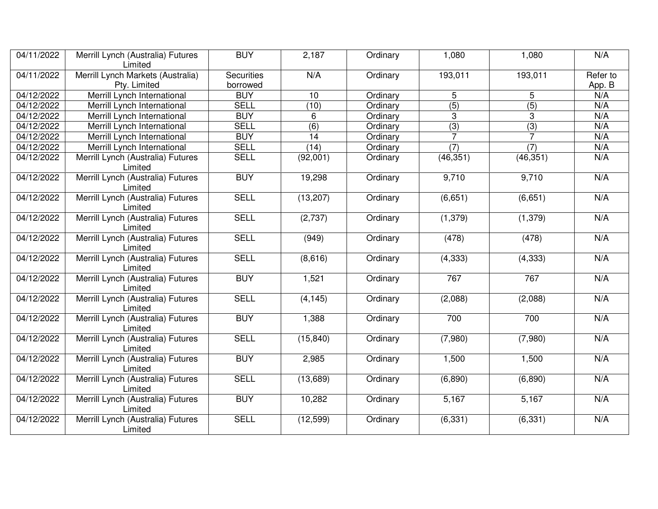| 04/11/2022 | Merrill Lynch (Australia) Futures<br>Limited | <b>BUY</b>        | 2,187            | Ordinary | 1,080            | 1,080            | N/A      |
|------------|----------------------------------------------|-------------------|------------------|----------|------------------|------------------|----------|
| 04/11/2022 | Merrill Lynch Markets (Australia)            | <b>Securities</b> | N/A              | Ordinary | 193,011          | 193,011          | Refer to |
|            | Pty. Limited                                 | borrowed          |                  |          |                  |                  | App. B   |
| 04/12/2022 | Merrill Lynch International                  | <b>BUY</b>        | 10               | Ordinary | 5                | 5                | N/A      |
| 04/12/2022 | Merrill Lynch International                  | <b>SELL</b>       | (10)             | Ordinary | $\overline{(5)}$ | $\overline{(5)}$ | N/A      |
| 04/12/2022 | Merrill Lynch International                  | <b>BUY</b>        | 6                | Ordinary | 3                | 3                | N/A      |
| 04/12/2022 | Merrill Lynch International                  | <b>SELL</b>       | $\overline{(6)}$ | Ordinary | $\overline{(3)}$ | $\overline{(3)}$ | N/A      |
| 04/12/2022 | Merrill Lynch International                  | <b>BUY</b>        | 14               | Ordinary | $\overline{7}$   |                  | N/A      |
| 04/12/2022 | Merrill Lynch International                  | <b>SELL</b>       | (14)             | Ordinary | $\overline{(7)}$ | (7)              | N/A      |
| 04/12/2022 | Merrill Lynch (Australia) Futures<br>Limited | <b>SELL</b>       | (92,001)         | Ordinary | (46, 351)        | (46, 351)        | N/A      |
| 04/12/2022 | Merrill Lynch (Australia) Futures<br>Limited | <b>BUY</b>        | 19,298           | Ordinary | 9,710            | 9,710            | N/A      |
| 04/12/2022 | Merrill Lynch (Australia) Futures<br>Limited | <b>SELL</b>       | (13, 207)        | Ordinary | (6,651)          | (6,651)          | N/A      |
| 04/12/2022 | Merrill Lynch (Australia) Futures<br>Limited | <b>SELL</b>       | (2,737)          | Ordinary | (1, 379)         | (1, 379)         | N/A      |
| 04/12/2022 | Merrill Lynch (Australia) Futures<br>Limited | <b>SELL</b>       | (949)            | Ordinary | (478)            | (478)            | N/A      |
| 04/12/2022 | Merrill Lynch (Australia) Futures<br>Limited | <b>SELL</b>       | (8,616)          | Ordinary | (4, 333)         | (4, 333)         | N/A      |
| 04/12/2022 | Merrill Lynch (Australia) Futures<br>Limited | <b>BUY</b>        | 1,521            | Ordinary | 767              | 767              | N/A      |
| 04/12/2022 | Merrill Lynch (Australia) Futures<br>Limited | <b>SELL</b>       | (4, 145)         | Ordinary | (2,088)          | (2,088)          | N/A      |
| 04/12/2022 | Merrill Lynch (Australia) Futures<br>Limited | <b>BUY</b>        | 1,388            | Ordinary | 700              | 700              | N/A      |
| 04/12/2022 | Merrill Lynch (Australia) Futures<br>Limited | <b>SELL</b>       | (15, 840)        | Ordinary | (7,980)          | (7,980)          | N/A      |
| 04/12/2022 | Merrill Lynch (Australia) Futures<br>Limited | <b>BUY</b>        | 2,985            | Ordinary | 1,500            | 1,500            | N/A      |
| 04/12/2022 | Merrill Lynch (Australia) Futures<br>Limited | <b>SELL</b>       | (13,689)         | Ordinary | (6,890)          | (6,890)          | N/A      |
| 04/12/2022 | Merrill Lynch (Australia) Futures<br>Limited | <b>BUY</b>        | 10,282           | Ordinary | 5,167            | 5,167            | N/A      |
| 04/12/2022 | Merrill Lynch (Australia) Futures<br>Limited | <b>SELL</b>       | (12, 599)        | Ordinary | (6, 331)         | (6, 331)         | N/A      |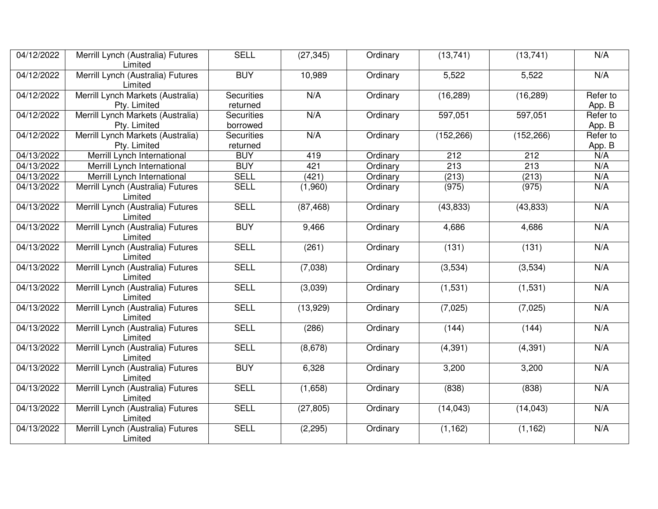| 04/12/2022 | Merrill Lynch (Australia) Futures<br>Limited      | <b>SELL</b>                   | (27, 345) | Ordinary | (13, 741)  | (13, 741)  | N/A                |
|------------|---------------------------------------------------|-------------------------------|-----------|----------|------------|------------|--------------------|
| 04/12/2022 | Merrill Lynch (Australia) Futures<br>Limited      | <b>BUY</b>                    | 10,989    | Ordinary | 5,522      | 5,522      | N/A                |
| 04/12/2022 | Merrill Lynch Markets (Australia)<br>Pty. Limited | <b>Securities</b><br>returned | N/A       | Ordinary | (16, 289)  | (16, 289)  | Refer to<br>App. B |
| 04/12/2022 | Merrill Lynch Markets (Australia)<br>Pty. Limited | <b>Securities</b><br>borrowed | N/A       | Ordinary | 597,051    | 597,051    | Refer to<br>App. B |
| 04/12/2022 | Merrill Lynch Markets (Australia)<br>Pty. Limited | <b>Securities</b><br>returned | N/A       | Ordinary | (152, 266) | (152, 266) | Refer to<br>App. B |
| 04/13/2022 | Merrill Lynch International                       | <b>BUY</b>                    | 419       | Ordinary | 212        | 212        | N/A                |
| 04/13/2022 | Merrill Lynch International                       | <b>BUY</b>                    | 421       | Ordinary | 213        | 213        | N/A                |
| 04/13/2022 | Merrill Lynch International                       | <b>SELL</b>                   | (421)     | Ordinary | (213)      | (213)      | N/A                |
| 04/13/2022 | Merrill Lynch (Australia) Futures<br>Limited      | <b>SELL</b>                   | (1,960)   | Ordinary | (975)      | (975)      | N/A                |
| 04/13/2022 | Merrill Lynch (Australia) Futures<br>Limited      | <b>SELL</b>                   | (87, 468) | Ordinary | (43, 833)  | (43, 833)  | N/A                |
| 04/13/2022 | Merrill Lynch (Australia) Futures<br>Limited      | <b>BUY</b>                    | 9,466     | Ordinary | 4,686      | 4,686      | N/A                |
| 04/13/2022 | Merrill Lynch (Australia) Futures<br>Limited      | <b>SELL</b>                   | (261)     | Ordinary | (131)      | (131)      | N/A                |
| 04/13/2022 | Merrill Lynch (Australia) Futures<br>Limited      | <b>SELL</b>                   | (7,038)   | Ordinary | (3,534)    | (3,534)    | N/A                |
| 04/13/2022 | Merrill Lynch (Australia) Futures<br>Limited      | <b>SELL</b>                   | (3,039)   | Ordinary | (1,531)    | (1, 531)   | N/A                |
| 04/13/2022 | Merrill Lynch (Australia) Futures<br>Limited      | <b>SELL</b>                   | (13,929)  | Ordinary | (7,025)    | (7,025)    | N/A                |
| 04/13/2022 | Merrill Lynch (Australia) Futures<br>Limited      | <b>SELL</b>                   | (286)     | Ordinary | (144)      | (144)      | N/A                |
| 04/13/2022 | Merrill Lynch (Australia) Futures<br>Limited      | <b>SELL</b>                   | (8,678)   | Ordinary | (4, 391)   | (4, 391)   | N/A                |
| 04/13/2022 | Merrill Lynch (Australia) Futures<br>Limited      | <b>BUY</b>                    | 6,328     | Ordinary | 3,200      | 3,200      | N/A                |
| 04/13/2022 | Merrill Lynch (Australia) Futures<br>Limited      | <b>SELL</b>                   | (1,658)   | Ordinary | (838)      | (838)      | N/A                |
| 04/13/2022 | Merrill Lynch (Australia) Futures<br>Limited      | <b>SELL</b>                   | (27, 805) | Ordinary | (14, 043)  | (14, 043)  | N/A                |
| 04/13/2022 | Merrill Lynch (Australia) Futures<br>Limited      | <b>SELL</b>                   | (2, 295)  | Ordinary | (1, 162)   | (1, 162)   | N/A                |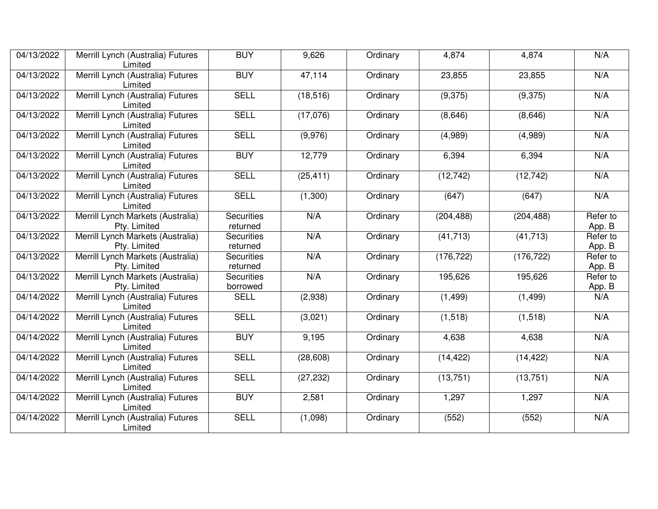| 04/13/2022 | Merrill Lynch (Australia) Futures<br>Limited      | <b>BUY</b>                    | 9,626     | Ordinary | 4,874      | 4,874      | N/A                |
|------------|---------------------------------------------------|-------------------------------|-----------|----------|------------|------------|--------------------|
| 04/13/2022 | Merrill Lynch (Australia) Futures<br>Limited      | <b>BUY</b>                    | 47,114    | Ordinary | 23,855     | 23,855     | N/A                |
| 04/13/2022 | Merrill Lynch (Australia) Futures<br>Limited      | <b>SELL</b>                   | (18, 516) | Ordinary | (9,375)    | (9,375)    | N/A                |
| 04/13/2022 | Merrill Lynch (Australia) Futures<br>Limited      | <b>SELL</b>                   | (17,076)  | Ordinary | (8,646)    | (8,646)    | N/A                |
| 04/13/2022 | Merrill Lynch (Australia) Futures<br>Limited      | <b>SELL</b>                   | (9,976)   | Ordinary | (4,989)    | (4,989)    | N/A                |
| 04/13/2022 | Merrill Lynch (Australia) Futures<br>Limited      | <b>BUY</b>                    | 12,779    | Ordinary | 6,394      | 6,394      | N/A                |
| 04/13/2022 | Merrill Lynch (Australia) Futures<br>Limited      | <b>SELL</b>                   | (25, 411) | Ordinary | (12, 742)  | (12, 742)  | N/A                |
| 04/13/2022 | Merrill Lynch (Australia) Futures<br>Limited      | <b>SELL</b>                   | (1,300)   | Ordinary | (647)      | (647)      | N/A                |
| 04/13/2022 | Merrill Lynch Markets (Australia)<br>Pty. Limited | <b>Securities</b><br>returned | N/A       | Ordinary | (204, 488) | (204, 488) | Refer to<br>App. B |
| 04/13/2022 | Merrill Lynch Markets (Australia)<br>Pty. Limited | <b>Securities</b><br>returned | N/A       | Ordinary | (41, 713)  | (41, 713)  | Refer to<br>App. B |
| 04/13/2022 | Merrill Lynch Markets (Australia)<br>Pty. Limited | <b>Securities</b><br>returned | N/A       | Ordinary | (176, 722) | (176, 722) | Refer to<br>App. B |
| 04/13/2022 | Merrill Lynch Markets (Australia)<br>Pty. Limited | <b>Securities</b><br>borrowed | N/A       | Ordinary | 195,626    | 195,626    | Refer to<br>App. B |
| 04/14/2022 | Merrill Lynch (Australia) Futures<br>Limited      | <b>SELL</b>                   | (2,938)   | Ordinary | (1, 499)   | (1, 499)   | N/A                |
| 04/14/2022 | Merrill Lynch (Australia) Futures<br>Limited      | <b>SELL</b>                   | (3,021)   | Ordinary | (1, 518)   | (1,518)    | N/A                |
| 04/14/2022 | Merrill Lynch (Australia) Futures<br>Limited      | <b>BUY</b>                    | 9,195     | Ordinary | 4,638      | 4,638      | N/A                |
| 04/14/2022 | Merrill Lynch (Australia) Futures<br>Limited      | <b>SELL</b>                   | (28, 608) | Ordinary | (14, 422)  | (14, 422)  | N/A                |
| 04/14/2022 | Merrill Lynch (Australia) Futures<br>Limited      | <b>SELL</b>                   | (27, 232) | Ordinary | (13, 751)  | (13, 751)  | N/A                |
| 04/14/2022 | Merrill Lynch (Australia) Futures<br>Limited      | <b>BUY</b>                    | 2,581     | Ordinary | 1,297      | 1,297      | N/A                |
| 04/14/2022 | Merrill Lynch (Australia) Futures<br>Limited      | <b>SELL</b>                   | (1,098)   | Ordinary | (552)      | (552)      | N/A                |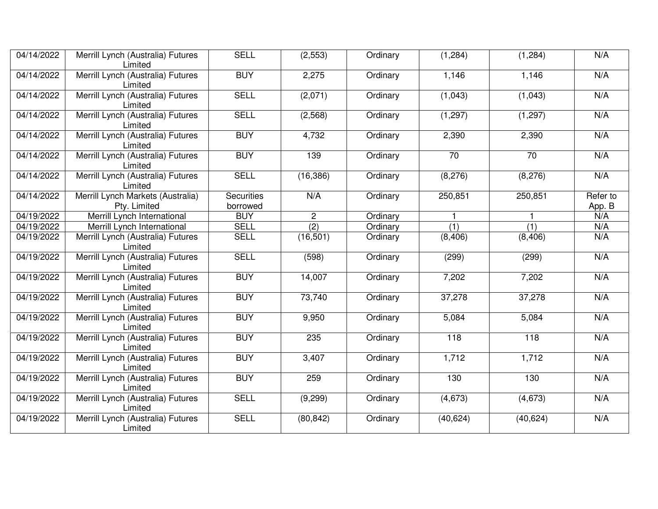| 04/14/2022 | Merrill Lynch (Australia) Futures<br>Limited      | <b>SELL</b>                   | (2,553)          | Ordinary | (1, 284)         | (1, 284)         | N/A                |
|------------|---------------------------------------------------|-------------------------------|------------------|----------|------------------|------------------|--------------------|
| 04/14/2022 | Merrill Lynch (Australia) Futures<br>Limited      | <b>BUY</b>                    | 2,275            | Ordinary | 1,146            | 1,146            | N/A                |
| 04/14/2022 | Merrill Lynch (Australia) Futures<br>Limited      | <b>SELL</b>                   | (2,071)          | Ordinary | (1,043)          | (1,043)          | N/A                |
| 04/14/2022 | Merrill Lynch (Australia) Futures<br>Limited      | <b>SELL</b>                   | (2, 568)         | Ordinary | (1, 297)         | (1, 297)         | N/A                |
| 04/14/2022 | Merrill Lynch (Australia) Futures<br>Limited      | <b>BUY</b>                    | 4,732            | Ordinary | 2,390            | 2,390            | N/A                |
| 04/14/2022 | Merrill Lynch (Australia) Futures<br>Limited      | <b>BUY</b>                    | 139              | Ordinary | $\overline{70}$  | $\overline{70}$  | N/A                |
| 04/14/2022 | Merrill Lynch (Australia) Futures<br>Limited      | <b>SELL</b>                   | (16, 386)        | Ordinary | (8,276)          | (8,276)          | N/A                |
| 04/14/2022 | Merrill Lynch Markets (Australia)<br>Pty. Limited | <b>Securities</b><br>borrowed | N/A              | Ordinary | 250,851          | 250,851          | Refer to<br>App. B |
| 04/19/2022 | Merrill Lynch International                       | <b>BUY</b>                    | $\overline{2}$   | Ordinary | $\mathbf{1}$     | 1                | N/A                |
| 04/19/2022 | Merrill Lynch International                       | <b>SELL</b>                   | $\overline{(2)}$ | Ordinary | $\overline{(1)}$ | $\overline{(1)}$ | N/A                |
| 04/19/2022 | Merrill Lynch (Australia) Futures<br>Limited      | <b>SELL</b>                   | (16, 501)        | Ordinary | (8, 406)         | (8, 406)         | N/A                |
| 04/19/2022 | Merrill Lynch (Australia) Futures<br>Limited      | <b>SELL</b>                   | (598)            | Ordinary | (299)            | (299)            | N/A                |
| 04/19/2022 | Merrill Lynch (Australia) Futures<br>Limited      | <b>BUY</b>                    | 14,007           | Ordinary | 7,202            | 7,202            | N/A                |
| 04/19/2022 | Merrill Lynch (Australia) Futures<br>Limited      | <b>BUY</b>                    | 73,740           | Ordinary | 37,278           | 37,278           | N/A                |
| 04/19/2022 | Merrill Lynch (Australia) Futures<br>Limited      | <b>BUY</b>                    | 9,950            | Ordinary | 5,084            | 5,084            | N/A                |
| 04/19/2022 | Merrill Lynch (Australia) Futures<br>Limited      | <b>BUY</b>                    | 235              | Ordinary | $\overline{118}$ | $\overline{118}$ | N/A                |
| 04/19/2022 | Merrill Lynch (Australia) Futures<br>Limited      | <b>BUY</b>                    | 3,407            | Ordinary | 1,712            | 1,712            | N/A                |
| 04/19/2022 | Merrill Lynch (Australia) Futures<br>Limited      | <b>BUY</b>                    | 259              | Ordinary | 130              | 130              | N/A                |
| 04/19/2022 | Merrill Lynch (Australia) Futures<br>Limited      | <b>SELL</b>                   | (9,299)          | Ordinary | (4,673)          | (4,673)          | N/A                |
| 04/19/2022 | Merrill Lynch (Australia) Futures<br>Limited      | <b>SELL</b>                   | (80, 842)        | Ordinary | (40, 624)        | (40, 624)        | N/A                |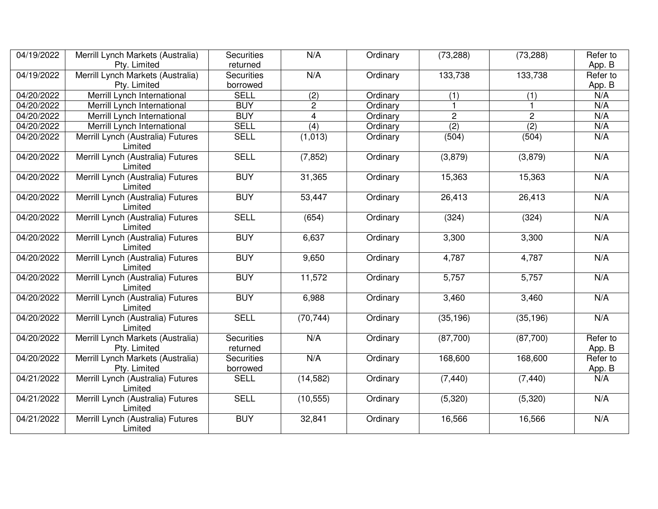| 04/19/2022 | Merrill Lynch Markets (Australia)                 | <b>Securities</b>             | N/A              | Ordinary | (73, 288)      | (73, 288)        | Refer to           |
|------------|---------------------------------------------------|-------------------------------|------------------|----------|----------------|------------------|--------------------|
|            | Pty. Limited                                      | returned                      |                  |          |                |                  | App. B             |
| 04/19/2022 | Merrill Lynch Markets (Australia)                 | <b>Securities</b>             | N/A              | Ordinary | 133,738        | 133,738          | Refer to           |
|            | Pty. Limited                                      | borrowed                      |                  |          |                |                  | App. B             |
| 04/20/2022 | Merrill Lynch International                       | <b>SELL</b>                   | (2)              | Ordinary | (1)            | (1)              | N/A                |
| 04/20/2022 | Merrill Lynch International                       | <b>BUY</b>                    | $\overline{c}$   | Ordinary |                | 1                | N/A                |
| 04/20/2022 | Merrill Lynch International                       | <b>BUY</b>                    | $\overline{4}$   | Ordinary | $\overline{2}$ | $\overline{c}$   | N/A                |
| 04/20/2022 | Merrill Lynch International                       | <b>SELL</b>                   | $\overline{(4)}$ | Ordinary | (2)            | $\overline{(2)}$ | N/A                |
| 04/20/2022 | Merrill Lynch (Australia) Futures<br>Limited      | <b>SELL</b>                   | (1,013)          | Ordinary | (504)          | (504)            | N/A                |
| 04/20/2022 | Merrill Lynch (Australia) Futures<br>Limited      | <b>SELL</b>                   | (7, 852)         | Ordinary | (3,879)        | (3,879)          | N/A                |
| 04/20/2022 | Merrill Lynch (Australia) Futures<br>Limited      | <b>BUY</b>                    | 31,365           | Ordinary | 15,363         | 15,363           | N/A                |
| 04/20/2022 | Merrill Lynch (Australia) Futures<br>Limited      | <b>BUY</b>                    | 53,447           | Ordinary | 26,413         | 26,413           | N/A                |
| 04/20/2022 | Merrill Lynch (Australia) Futures<br>Limited      | <b>SELL</b>                   | (654)            | Ordinary | (324)          | (324)            | N/A                |
| 04/20/2022 | Merrill Lynch (Australia) Futures<br>Limited      | <b>BUY</b>                    | 6,637            | Ordinary | 3,300          | 3,300            | N/A                |
| 04/20/2022 | Merrill Lynch (Australia) Futures<br>Limited      | <b>BUY</b>                    | 9,650            | Ordinary | 4,787          | 4,787            | N/A                |
| 04/20/2022 | Merrill Lynch (Australia) Futures<br>Limited      | <b>BUY</b>                    | 11,572           | Ordinary | 5,757          | 5,757            | N/A                |
| 04/20/2022 | Merrill Lynch (Australia) Futures<br>Limited      | <b>BUY</b>                    | 6,988            | Ordinary | 3,460          | 3,460            | N/A                |
| 04/20/2022 | Merrill Lynch (Australia) Futures<br>Limited      | <b>SELL</b>                   | (70, 744)        | Ordinary | (35, 196)      | (35, 196)        | N/A                |
| 04/20/2022 | Merrill Lynch Markets (Australia)<br>Pty. Limited | <b>Securities</b><br>returned | N/A              | Ordinary | (87,700)       | (87,700)         | Refer to<br>App. B |
| 04/20/2022 | Merrill Lynch Markets (Australia)<br>Pty. Limited | <b>Securities</b><br>borrowed | N/A              | Ordinary | 168,600        | 168,600          | Refer to<br>App. B |
| 04/21/2022 | Merrill Lynch (Australia) Futures<br>Limited      | <b>SELL</b>                   | (14, 582)        | Ordinary | (7, 440)       | (7, 440)         | N/A                |
| 04/21/2022 | Merrill Lynch (Australia) Futures<br>Limited      | <b>SELL</b>                   | (10, 555)        | Ordinary | (5,320)        | (5,320)          | N/A                |
| 04/21/2022 | Merrill Lynch (Australia) Futures<br>Limited      | <b>BUY</b>                    | 32,841           | Ordinary | 16,566         | 16,566           | N/A                |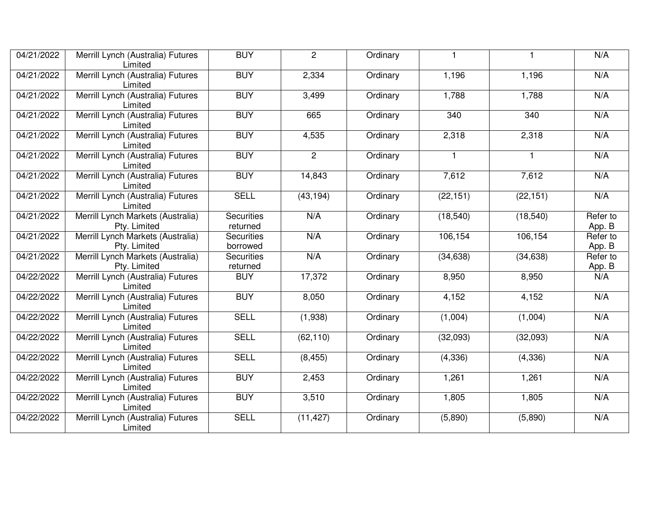| 04/21/2022 | Merrill Lynch (Australia) Futures<br>Limited      | <b>BUY</b>                    | $\overline{2}$ | Ordinary |                  |           | N/A                |
|------------|---------------------------------------------------|-------------------------------|----------------|----------|------------------|-----------|--------------------|
| 04/21/2022 | Merrill Lynch (Australia) Futures<br>Limited      | <b>BUY</b>                    | 2,334          | Ordinary | 1,196            | 1,196     | N/A                |
| 04/21/2022 | Merrill Lynch (Australia) Futures<br>Limited      | <b>BUY</b>                    | 3,499          | Ordinary | 1,788            | 1,788     | N/A                |
| 04/21/2022 | Merrill Lynch (Australia) Futures<br>Limited      | <b>BUY</b>                    | 665            | Ordinary | $\overline{340}$ | 340       | N/A                |
| 04/21/2022 | Merrill Lynch (Australia) Futures<br>Limited      | <b>BUY</b>                    | 4,535          | Ordinary | 2,318            | 2,318     | N/A                |
| 04/21/2022 | Merrill Lynch (Australia) Futures<br>Limited      | <b>BUY</b>                    | $\overline{2}$ | Ordinary | $\mathbf{1}$     | 1         | N/A                |
| 04/21/2022 | Merrill Lynch (Australia) Futures<br>Limited      | <b>BUY</b>                    | 14,843         | Ordinary | 7,612            | 7,612     | N/A                |
| 04/21/2022 | Merrill Lynch (Australia) Futures<br>Limited      | <b>SELL</b>                   | (43, 194)      | Ordinary | (22, 151)        | (22, 151) | N/A                |
| 04/21/2022 | Merrill Lynch Markets (Australia)<br>Pty. Limited | <b>Securities</b><br>returned | N/A            | Ordinary | (18, 540)        | (18, 540) | Refer to<br>App. B |
| 04/21/2022 | Merrill Lynch Markets (Australia)<br>Pty. Limited | <b>Securities</b><br>borrowed | N/A            | Ordinary | 106,154          | 106,154   | Refer to<br>App. B |
| 04/21/2022 | Merrill Lynch Markets (Australia)<br>Pty. Limited | <b>Securities</b><br>returned | N/A            | Ordinary | (34, 638)        | (34, 638) | Refer to<br>App. B |
| 04/22/2022 | Merrill Lynch (Australia) Futures<br>Limited      | <b>BUY</b>                    | 17,372         | Ordinary | 8,950            | 8,950     | N/A                |
| 04/22/2022 | Merrill Lynch (Australia) Futures<br>Limited      | <b>BUY</b>                    | 8,050          | Ordinary | 4,152            | 4,152     | N/A                |
| 04/22/2022 | Merrill Lynch (Australia) Futures<br>Limited      | <b>SELL</b>                   | (1,938)        | Ordinary | (1,004)          | (1,004)   | N/A                |
| 04/22/2022 | Merrill Lynch (Australia) Futures<br>Limited      | <b>SELL</b>                   | (62, 110)      | Ordinary | (32,093)         | (32,093)  | N/A                |
| 04/22/2022 | Merrill Lynch (Australia) Futures<br>Limited      | <b>SELL</b>                   | (8, 455)       | Ordinary | (4, 336)         | (4, 336)  | N/A                |
| 04/22/2022 | Merrill Lynch (Australia) Futures<br>Limited      | <b>BUY</b>                    | 2,453          | Ordinary | 1,261            | 1,261     | N/A                |
| 04/22/2022 | Merrill Lynch (Australia) Futures<br>Limited      | <b>BUY</b>                    | 3,510          | Ordinary | 1,805            | 1,805     | N/A                |
| 04/22/2022 | Merrill Lynch (Australia) Futures<br>Limited      | <b>SELL</b>                   | (11, 427)      | Ordinary | (5,890)          | (5,890)   | N/A                |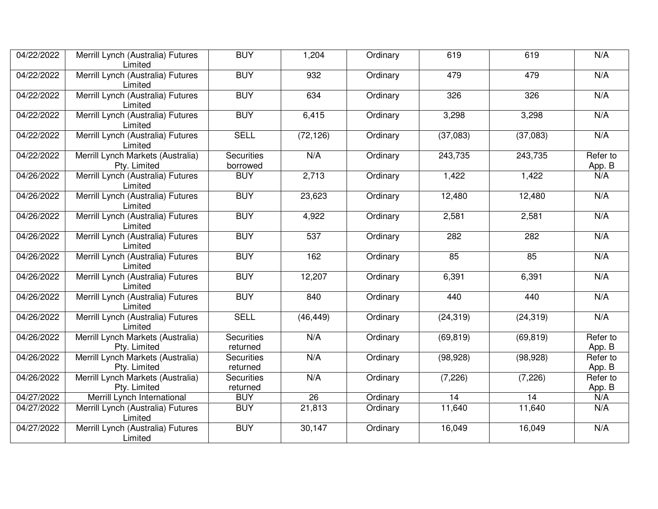| 04/22/2022 | Merrill Lynch (Australia) Futures<br>Limited      | <b>BUY</b>                    | 1,204           | Ordinary | 619       | 619       | N/A                |
|------------|---------------------------------------------------|-------------------------------|-----------------|----------|-----------|-----------|--------------------|
| 04/22/2022 | Merrill Lynch (Australia) Futures<br>Limited      | <b>BUY</b>                    | 932             | Ordinary | 479       | 479       | N/A                |
| 04/22/2022 | Merrill Lynch (Australia) Futures<br>Limited      | <b>BUY</b>                    | 634             | Ordinary | 326       | 326       | N/A                |
| 04/22/2022 | Merrill Lynch (Australia) Futures<br>Limited      | <b>BUY</b>                    | 6,415           | Ordinary | 3,298     | 3,298     | N/A                |
| 04/22/2022 | Merrill Lynch (Australia) Futures<br>Limited      | <b>SELL</b>                   | (72, 126)       | Ordinary | (37,083)  | (37,083)  | N/A                |
| 04/22/2022 | Merrill Lynch Markets (Australia)<br>Pty. Limited | <b>Securities</b><br>borrowed | N/A             | Ordinary | 243,735   | 243,735   | Refer to<br>App. B |
| 04/26/2022 | Merrill Lynch (Australia) Futures<br>Limited      | <b>BUY</b>                    | 2,713           | Ordinary | 1,422     | 1,422     | N/A                |
| 04/26/2022 | Merrill Lynch (Australia) Futures<br>Limited      | <b>BUY</b>                    | 23,623          | Ordinary | 12,480    | 12,480    | N/A                |
| 04/26/2022 | Merrill Lynch (Australia) Futures<br>Limited      | <b>BUY</b>                    | 4,922           | Ordinary | 2,581     | 2,581     | N/A                |
| 04/26/2022 | Merrill Lynch (Australia) Futures<br>Limited      | <b>BUY</b>                    | 537             | Ordinary | 282       | 282       | N/A                |
| 04/26/2022 | Merrill Lynch (Australia) Futures<br>Limited      | <b>BUY</b>                    | 162             | Ordinary | 85        | 85        | N/A                |
| 04/26/2022 | Merrill Lynch (Australia) Futures<br>Limited      | <b>BUY</b>                    | 12,207          | Ordinary | 6,391     | 6,391     | N/A                |
| 04/26/2022 | Merrill Lynch (Australia) Futures<br>Limited      | <b>BUY</b>                    | 840             | Ordinary | 440       | 440       | N/A                |
| 04/26/2022 | Merrill Lynch (Australia) Futures<br>Limited      | <b>SELL</b>                   | (46, 449)       | Ordinary | (24, 319) | (24, 319) | N/A                |
| 04/26/2022 | Merrill Lynch Markets (Australia)<br>Pty. Limited | <b>Securities</b><br>returned | N/A             | Ordinary | (69, 819) | (69, 819) | Refer to<br>App. B |
| 04/26/2022 | Merrill Lynch Markets (Australia)<br>Pty. Limited | <b>Securities</b><br>returned | N/A             | Ordinary | (98, 928) | (98, 928) | Refer to<br>App. B |
| 04/26/2022 | Merrill Lynch Markets (Australia)<br>Pty. Limited | <b>Securities</b><br>returned | N/A             | Ordinary | (7, 226)  | (7, 226)  | Refer to<br>App. B |
| 04/27/2022 | Merrill Lynch International                       | <b>BUY</b>                    | $\overline{26}$ | Ordinary | 14        | 14        | N/A                |
| 04/27/2022 | Merrill Lynch (Australia) Futures<br>Limited      | <b>BUY</b>                    | 21,813          | Ordinary | 11,640    | 11,640    | N/A                |
| 04/27/2022 | Merrill Lynch (Australia) Futures<br>Limited      | <b>BUY</b>                    | 30,147          | Ordinary | 16,049    | 16,049    | N/A                |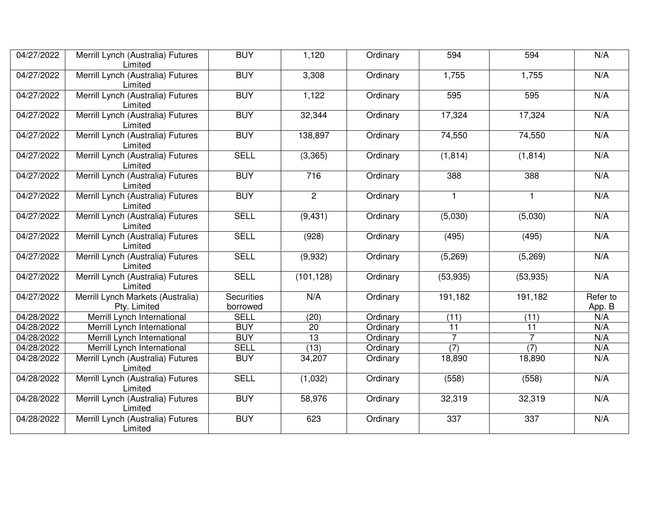| 04/27/2022 | Merrill Lynch (Australia) Futures<br>Limited      | <b>BUY</b>                    | 1,120           | Ordinary | 594            | 594              | N/A                |
|------------|---------------------------------------------------|-------------------------------|-----------------|----------|----------------|------------------|--------------------|
| 04/27/2022 | Merrill Lynch (Australia) Futures<br>Limited      | <b>BUY</b>                    | 3,308           | Ordinary | 1,755          | 1,755            | N/A                |
| 04/27/2022 | Merrill Lynch (Australia) Futures<br>Limited      | <b>BUY</b>                    | 1,122           | Ordinary | 595            | 595              | N/A                |
| 04/27/2022 | Merrill Lynch (Australia) Futures<br>Limited      | <b>BUY</b>                    | 32,344          | Ordinary | 17,324         | 17,324           | N/A                |
| 04/27/2022 | Merrill Lynch (Australia) Futures<br>Limited      | <b>BUY</b>                    | 138,897         | Ordinary | 74,550         | 74,550           | N/A                |
| 04/27/2022 | Merrill Lynch (Australia) Futures<br>Limited      | <b>SELL</b>                   | (3,365)         | Ordinary | (1, 814)       | (1, 814)         | N/A                |
| 04/27/2022 | Merrill Lynch (Australia) Futures<br>Limited      | <b>BUY</b>                    | 716             | Ordinary | 388            | 388              | N/A                |
| 04/27/2022 | Merrill Lynch (Australia) Futures<br>Limited      | <b>BUY</b>                    | $\overline{2}$  | Ordinary | $\mathbf{1}$   | $\mathbf{1}$     | N/A                |
| 04/27/2022 | Merrill Lynch (Australia) Futures<br>Limited      | <b>SELL</b>                   | (9, 431)        | Ordinary | (5,030)        | (5,030)          | N/A                |
| 04/27/2022 | Merrill Lynch (Australia) Futures<br>Limited      | <b>SELL</b>                   | (928)           | Ordinary | (495)          | (495)            | N/A                |
| 04/27/2022 | Merrill Lynch (Australia) Futures<br>Limited      | <b>SELL</b>                   | (9,932)         | Ordinary | (5,269)        | (5,269)          | N/A                |
| 04/27/2022 | Merrill Lynch (Australia) Futures<br>Limited      | <b>SELL</b>                   | (101, 128)      | Ordinary | (53, 935)      | (53, 935)        | N/A                |
| 04/27/2022 | Merrill Lynch Markets (Australia)<br>Pty. Limited | <b>Securities</b><br>borrowed | N/A             | Ordinary | 191,182        | 191,182          | Refer to<br>App. B |
| 04/28/2022 | Merrill Lynch International                       | <b>SELL</b>                   | (20)            | Ordinary | (11)           | (11)             | N/A                |
| 04/28/2022 | Merrill Lynch International                       | <b>BUY</b>                    | 20              | Ordinary | 11             | 11               | N/A                |
| 04/28/2022 | Merrill Lynch International                       | <b>BUY</b>                    | $\overline{13}$ | Ordinary | $\overline{7}$ |                  | N/A                |
| 04/28/2022 | Merrill Lynch International                       | <b>SELL</b>                   | (13)            | Ordinary | (7)            | $\overline{(7)}$ | N/A                |
| 04/28/2022 | Merrill Lynch (Australia) Futures<br>Limited      | <b>BUY</b>                    | 34,207          | Ordinary | 18,890         | 18,890           | N/A                |
| 04/28/2022 | Merrill Lynch (Australia) Futures<br>Limited      | <b>SELL</b>                   | (1,032)         | Ordinary | (558)          | (558)            | N/A                |
| 04/28/2022 | Merrill Lynch (Australia) Futures<br>Limited      | <b>BUY</b>                    | 58,976          | Ordinary | 32,319         | 32,319           | N/A                |
| 04/28/2022 | Merrill Lynch (Australia) Futures<br>Limited      | <b>BUY</b>                    | 623             | Ordinary | 337            | 337              | N/A                |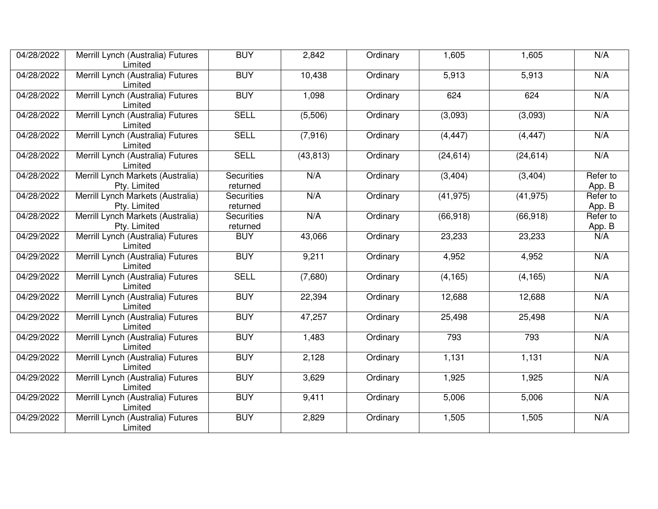| 04/28/2022 | Merrill Lynch (Australia) Futures<br>Limited      | <b>BUY</b>                    | 2,842     | Ordinary | 1,605     | 1,605     | N/A                |
|------------|---------------------------------------------------|-------------------------------|-----------|----------|-----------|-----------|--------------------|
| 04/28/2022 | Merrill Lynch (Australia) Futures<br>Limited      | <b>BUY</b>                    | 10,438    | Ordinary | 5,913     | 5,913     | N/A                |
| 04/28/2022 | Merrill Lynch (Australia) Futures<br>Limited      | <b>BUY</b>                    | 1,098     | Ordinary | 624       | 624       | N/A                |
| 04/28/2022 | Merrill Lynch (Australia) Futures<br>Limited      | <b>SELL</b>                   | (5,506)   | Ordinary | (3,093)   | (3,093)   | N/A                |
| 04/28/2022 | Merrill Lynch (Australia) Futures<br>Limited      | <b>SELL</b>                   | (7,916)   | Ordinary | (4, 447)  | (4, 447)  | N/A                |
| 04/28/2022 | Merrill Lynch (Australia) Futures<br>Limited      | <b>SELL</b>                   | (43, 813) | Ordinary | (24, 614) | (24, 614) | N/A                |
| 04/28/2022 | Merrill Lynch Markets (Australia)<br>Pty. Limited | <b>Securities</b><br>returned | N/A       | Ordinary | (3, 404)  | (3, 404)  | Refer to<br>App. B |
| 04/28/2022 | Merrill Lynch Markets (Australia)<br>Pty. Limited | <b>Securities</b><br>returned | N/A       | Ordinary | (41, 975) | (41, 975) | Refer to<br>App. B |
| 04/28/2022 | Merrill Lynch Markets (Australia)<br>Pty. Limited | <b>Securities</b><br>returned | N/A       | Ordinary | (66, 918) | (66, 918) | Refer to<br>App. B |
| 04/29/2022 | Merrill Lynch (Australia) Futures<br>Limited      | <b>BUY</b>                    | 43,066    | Ordinary | 23,233    | 23,233    | N/A                |
| 04/29/2022 | Merrill Lynch (Australia) Futures<br>Limited      | <b>BUY</b>                    | 9,211     | Ordinary | 4,952     | 4,952     | N/A                |
| 04/29/2022 | Merrill Lynch (Australia) Futures<br>Limited      | <b>SELL</b>                   | (7,680)   | Ordinary | (4, 165)  | (4, 165)  | N/A                |
| 04/29/2022 | Merrill Lynch (Australia) Futures<br>Limited      | <b>BUY</b>                    | 22,394    | Ordinary | 12,688    | 12,688    | N/A                |
| 04/29/2022 | Merrill Lynch (Australia) Futures<br>Limited      | <b>BUY</b>                    | 47,257    | Ordinary | 25,498    | 25,498    | N/A                |
| 04/29/2022 | Merrill Lynch (Australia) Futures<br>Limited      | <b>BUY</b>                    | 1,483     | Ordinary | 793       | 793       | N/A                |
| 04/29/2022 | Merrill Lynch (Australia) Futures<br>Limited      | <b>BUY</b>                    | 2,128     | Ordinary | 1,131     | 1,131     | N/A                |
| 04/29/2022 | Merrill Lynch (Australia) Futures<br>Limited      | <b>BUY</b>                    | 3,629     | Ordinary | 1,925     | 1,925     | N/A                |
| 04/29/2022 | Merrill Lynch (Australia) Futures<br>Limited      | <b>BUY</b>                    | 9,411     | Ordinary | 5,006     | 5,006     | N/A                |
| 04/29/2022 | Merrill Lynch (Australia) Futures<br>Limited      | <b>BUY</b>                    | 2,829     | Ordinary | 1,505     | 1,505     | N/A                |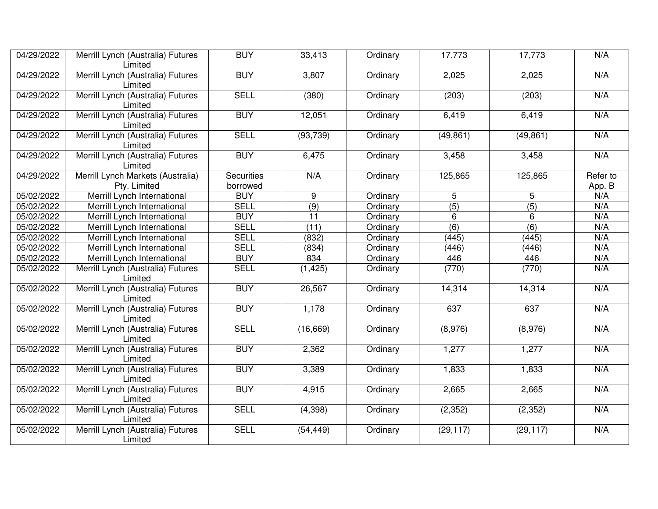| 04/29/2022 | Merrill Lynch (Australia) Futures<br>Limited      | <b>BUY</b>                    | 33,413           | Ordinary | 17,773           | 17,773           | N/A                |
|------------|---------------------------------------------------|-------------------------------|------------------|----------|------------------|------------------|--------------------|
| 04/29/2022 | Merrill Lynch (Australia) Futures<br>Limited      | <b>BUY</b>                    | 3,807            | Ordinary | 2,025            | 2,025            | N/A                |
| 04/29/2022 | Merrill Lynch (Australia) Futures<br>Limited      | <b>SELL</b>                   | (380)            | Ordinary | (203)            | (203)            | N/A                |
| 04/29/2022 | Merrill Lynch (Australia) Futures<br>Limited      | <b>BUY</b>                    | 12,051           | Ordinary | 6,419            | 6,419            | N/A                |
| 04/29/2022 | Merrill Lynch (Australia) Futures<br>Limited      | <b>SELL</b>                   | (93, 739)        | Ordinary | (49, 861)        | (49, 861)        | N/A                |
| 04/29/2022 | Merrill Lynch (Australia) Futures<br>Limited      | <b>BUY</b>                    | 6,475            | Ordinary | 3,458            | 3,458            | N/A                |
| 04/29/2022 | Merrill Lynch Markets (Australia)<br>Pty. Limited | <b>Securities</b><br>borrowed | N/A              | Ordinary | 125,865          | 125,865          | Refer to<br>App. B |
| 05/02/2022 | Merrill Lynch International                       | <b>BUY</b>                    | 9                | Ordinary | 5                | 5                | N/A                |
| 05/02/2022 | Merrill Lynch International                       | <b>SELL</b>                   | $\overline{(9)}$ | Ordinary | $\overline{(5)}$ | $\overline{(5)}$ | N/A                |
| 05/02/2022 | Merrill Lynch International                       | <b>BUY</b>                    | $\overline{11}$  | Ordinary | $6\phantom{1}$   | 6                | N/A                |
| 05/02/2022 | Merrill Lynch International                       | <b>SELL</b>                   | (11)             | Ordinary | (6)              | $\overline{(6)}$ | N/A                |
| 05/02/2022 | Merrill Lynch International                       | <b>SELL</b>                   | (832)            | Ordinary | (445)            | (445)            | N/A                |
| 05/02/2022 | Merrill Lynch International                       | <b>SELL</b>                   | (834)            | Ordinary | (446)            | (446)            | N/A                |
| 05/02/2022 | Merrill Lynch International                       | <b>BUY</b>                    | 834              | Ordinary | 446              | 446              | N/A                |
| 05/02/2022 | Merrill Lynch (Australia) Futures<br>Limited      | <b>SELL</b>                   | (1, 425)         | Ordinary | (770)            | (770)            | N/A                |
| 05/02/2022 | Merrill Lynch (Australia) Futures<br>Limited      | <b>BUY</b>                    | 26,567           | Ordinary | 14,314           | 14,314           | N/A                |
| 05/02/2022 | Merrill Lynch (Australia) Futures<br>Limited      | <b>BUY</b>                    | 1,178            | Ordinary | 637              | 637              | N/A                |
| 05/02/2022 | Merrill Lynch (Australia) Futures<br>Limited      | <b>SELL</b>                   | (16, 669)        | Ordinary | (8,976)          | (8,976)          | N/A                |
| 05/02/2022 | Merrill Lynch (Australia) Futures<br>Limited      | <b>BUY</b>                    | 2,362            | Ordinary | 1,277            | 1,277            | N/A                |
| 05/02/2022 | Merrill Lynch (Australia) Futures<br>Limited      | <b>BUY</b>                    | 3,389            | Ordinary | 1,833            | 1,833            | N/A                |
| 05/02/2022 | Merrill Lynch (Australia) Futures<br>Limited      | <b>BUY</b>                    | 4,915            | Ordinary | 2,665            | 2,665            | N/A                |
| 05/02/2022 | Merrill Lynch (Australia) Futures<br>Limited      | <b>SELL</b>                   | (4, 398)         | Ordinary | (2, 352)         | (2, 352)         | N/A                |
| 05/02/2022 | Merrill Lynch (Australia) Futures<br>Limited      | <b>SELL</b>                   | (54, 449)        | Ordinary | (29, 117)        | (29, 117)        | N/A                |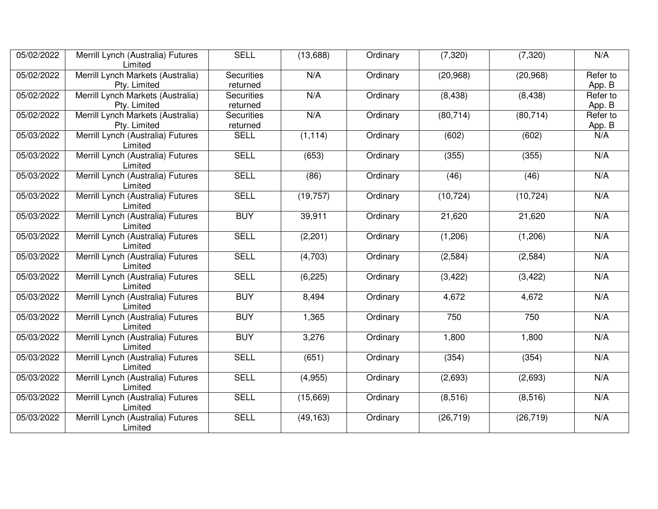| 05/02/2022 | Merrill Lynch (Australia) Futures<br>Limited      | <b>SELL</b>                   | (13,688)  | Ordinary | (7, 320)  | (7, 320)  | N/A                |
|------------|---------------------------------------------------|-------------------------------|-----------|----------|-----------|-----------|--------------------|
| 05/02/2022 | Merrill Lynch Markets (Australia)<br>Pty. Limited | <b>Securities</b><br>returned | N/A       | Ordinary | (20, 968) | (20, 968) | Refer to<br>App. B |
| 05/02/2022 | Merrill Lynch Markets (Australia)<br>Pty. Limited | <b>Securities</b><br>returned | N/A       | Ordinary | (8, 438)  | (8, 438)  | Refer to<br>App. B |
| 05/02/2022 | Merrill Lynch Markets (Australia)<br>Pty. Limited | <b>Securities</b><br>returned | N/A       | Ordinary | (80, 714) | (80, 714) | Refer to<br>App. B |
| 05/03/2022 | Merrill Lynch (Australia) Futures<br>Limited      | <b>SELL</b>                   | (1, 114)  | Ordinary | (602)     | (602)     | N/A                |
| 05/03/2022 | Merrill Lynch (Australia) Futures<br>Limited      | <b>SELL</b>                   | (653)     | Ordinary | (355)     | (355)     | N/A                |
| 05/03/2022 | Merrill Lynch (Australia) Futures<br>Limited      | <b>SELL</b>                   | (86)      | Ordinary | (46)      | (46)      | N/A                |
| 05/03/2022 | Merrill Lynch (Australia) Futures<br>Limited      | <b>SELL</b>                   | (19, 757) | Ordinary | (10, 724) | (10, 724) | N/A                |
| 05/03/2022 | Merrill Lynch (Australia) Futures<br>Limited      | <b>BUY</b>                    | 39,911    | Ordinary | 21,620    | 21,620    | N/A                |
| 05/03/2022 | Merrill Lynch (Australia) Futures<br>Limited      | <b>SELL</b>                   | (2,201)   | Ordinary | (1,206)   | (1,206)   | N/A                |
| 05/03/2022 | Merrill Lynch (Australia) Futures<br>Limited      | <b>SELL</b>                   | (4,703)   | Ordinary | (2, 584)  | (2, 584)  | N/A                |
| 05/03/2022 | Merrill Lynch (Australia) Futures<br>Limited      | <b>SELL</b>                   | (6, 225)  | Ordinary | (3, 422)  | (3, 422)  | N/A                |
| 05/03/2022 | Merrill Lynch (Australia) Futures<br>Limited      | <b>BUY</b>                    | 8,494     | Ordinary | 4,672     | 4,672     | N/A                |
| 05/03/2022 | Merrill Lynch (Australia) Futures<br>Limited      | <b>BUY</b>                    | 1,365     | Ordinary | 750       | 750       | N/A                |
| 05/03/2022 | Merrill Lynch (Australia) Futures<br>Limited      | <b>BUY</b>                    | 3,276     | Ordinary | 1,800     | 1,800     | N/A                |
| 05/03/2022 | Merrill Lynch (Australia) Futures<br>Limited      | <b>SELL</b>                   | (651)     | Ordinary | (354)     | (354)     | N/A                |
| 05/03/2022 | Merrill Lynch (Australia) Futures<br>Limited      | <b>SELL</b>                   | (4,955)   | Ordinary | (2,693)   | (2,693)   | N/A                |
| 05/03/2022 | Merrill Lynch (Australia) Futures<br>Limited      | <b>SELL</b>                   | (15,669)  | Ordinary | (8,516)   | (8, 516)  | N/A                |
| 05/03/2022 | Merrill Lynch (Australia) Futures<br>Limited      | <b>SELL</b>                   | (49, 163) | Ordinary | (26, 719) | (26, 719) | N/A                |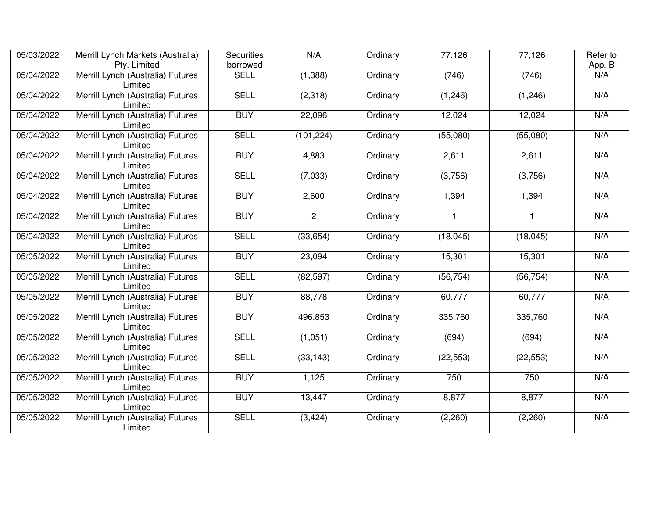| 05/03/2022 | Merrill Lynch Markets (Australia)            | <b>Securities</b> | N/A            | Ordinary | 77,126       | 77,126       | Refer to |
|------------|----------------------------------------------|-------------------|----------------|----------|--------------|--------------|----------|
|            | Pty. Limited                                 | borrowed          |                |          |              |              | App. B   |
| 05/04/2022 | Merrill Lynch (Australia) Futures<br>Limited | <b>SELL</b>       | (1,388)        | Ordinary | (746)        | (746)        | N/A      |
| 05/04/2022 | Merrill Lynch (Australia) Futures<br>Limited | <b>SELL</b>       | (2,318)        | Ordinary | (1, 246)     | (1, 246)     | N/A      |
| 05/04/2022 | Merrill Lynch (Australia) Futures<br>Limited | <b>BUY</b>        | 22,096         | Ordinary | 12,024       | 12,024       | N/A      |
| 05/04/2022 | Merrill Lynch (Australia) Futures<br>Limited | <b>SELL</b>       | (101, 224)     | Ordinary | (55,080)     | (55,080)     | N/A      |
| 05/04/2022 | Merrill Lynch (Australia) Futures<br>Limited | <b>BUY</b>        | 4,883          | Ordinary | 2,611        | 2,611        | N/A      |
| 05/04/2022 | Merrill Lynch (Australia) Futures<br>Limited | <b>SELL</b>       | (7,033)        | Ordinary | (3,756)      | (3,756)      | N/A      |
| 05/04/2022 | Merrill Lynch (Australia) Futures<br>Limited | <b>BUY</b>        | 2,600          | Ordinary | 1,394        | 1,394        | N/A      |
| 05/04/2022 | Merrill Lynch (Australia) Futures<br>Limited | <b>BUY</b>        | $\overline{2}$ | Ordinary | $\mathbf{1}$ | $\mathbf{1}$ | N/A      |
| 05/04/2022 | Merrill Lynch (Australia) Futures<br>Limited | <b>SELL</b>       | (33, 654)      | Ordinary | (18,045)     | (18, 045)    | N/A      |
| 05/05/2022 | Merrill Lynch (Australia) Futures<br>Limited | <b>BUY</b>        | 23,094         | Ordinary | 15,301       | 15,301       | N/A      |
| 05/05/2022 | Merrill Lynch (Australia) Futures<br>Limited | <b>SELL</b>       | (82, 597)      | Ordinary | (56, 754)    | (56, 754)    | N/A      |
| 05/05/2022 | Merrill Lynch (Australia) Futures<br>Limited | <b>BUY</b>        | 88,778         | Ordinary | 60,777       | 60,777       | N/A      |
| 05/05/2022 | Merrill Lynch (Australia) Futures<br>Limited | <b>BUY</b>        | 496,853        | Ordinary | 335,760      | 335,760      | N/A      |
| 05/05/2022 | Merrill Lynch (Australia) Futures<br>Limited | <b>SELL</b>       | (1,051)        | Ordinary | (694)        | (694)        | N/A      |
| 05/05/2022 | Merrill Lynch (Australia) Futures<br>Limited | <b>SELL</b>       | (33, 143)      | Ordinary | (22, 553)    | (22, 553)    | N/A      |
| 05/05/2022 | Merrill Lynch (Australia) Futures<br>Limited | <b>BUY</b>        | 1,125          | Ordinary | 750          | 750          | N/A      |
| 05/05/2022 | Merrill Lynch (Australia) Futures<br>Limited | <b>BUY</b>        | 13,447         | Ordinary | 8,877        | 8,877        | N/A      |
| 05/05/2022 | Merrill Lynch (Australia) Futures<br>Limited | <b>SELL</b>       | (3, 424)       | Ordinary | (2,260)      | (2,260)      | N/A      |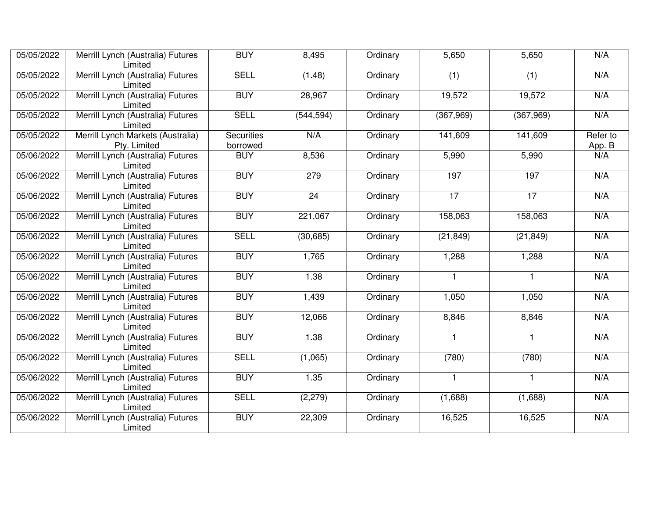| 05/05/2022 | Merrill Lynch (Australia) Futures<br>Limited      | <b>BUY</b>                    | 8,495      | Ordinary | 5,650           | 5,650           | N/A                |
|------------|---------------------------------------------------|-------------------------------|------------|----------|-----------------|-----------------|--------------------|
| 05/05/2022 | Merrill Lynch (Australia) Futures<br>Limited      | <b>SELL</b>                   | (1.48)     | Ordinary | (1)             | (1)             | N/A                |
| 05/05/2022 | Merrill Lynch (Australia) Futures<br>Limited      | <b>BUY</b>                    | 28,967     | Ordinary | 19,572          | 19,572          | N/A                |
| 05/05/2022 | Merrill Lynch (Australia) Futures<br>Limited      | <b>SELL</b>                   | (544, 594) | Ordinary | (367,969)       | (367,969)       | N/A                |
| 05/05/2022 | Merrill Lynch Markets (Australia)<br>Pty. Limited | <b>Securities</b><br>borrowed | N/A        | Ordinary | 141,609         | 141,609         | Refer to<br>App. B |
| 05/06/2022 | Merrill Lynch (Australia) Futures<br>Limited      | <b>BUY</b>                    | 8,536      | Ordinary | 5,990           | 5,990           | N/A                |
| 05/06/2022 | Merrill Lynch (Australia) Futures<br>Limited      | <b>BUY</b>                    | 279        | Ordinary | 197             | 197             | N/A                |
| 05/06/2022 | Merrill Lynch (Australia) Futures<br>Limited      | <b>BUY</b>                    | 24         | Ordinary | $\overline{17}$ | $\overline{17}$ | N/A                |
| 05/06/2022 | Merrill Lynch (Australia) Futures<br>Limited      | <b>BUY</b>                    | 221,067    | Ordinary | 158,063         | 158,063         | N/A                |
| 05/06/2022 | Merrill Lynch (Australia) Futures<br>Limited      | <b>SELL</b>                   | (30, 685)  | Ordinary | (21, 849)       | (21, 849)       | N/A                |
| 05/06/2022 | Merrill Lynch (Australia) Futures<br>Limited      | <b>BUY</b>                    | 1,765      | Ordinary | 1,288           | 1,288           | N/A                |
| 05/06/2022 | Merrill Lynch (Australia) Futures<br>Limited      | <b>BUY</b>                    | 1.38       | Ordinary | $\mathbf{1}$    | $\mathbf{1}$    | N/A                |
| 05/06/2022 | Merrill Lynch (Australia) Futures<br>Limited      | <b>BUY</b>                    | 1,439      | Ordinary | 1,050           | 1,050           | N/A                |
| 05/06/2022 | Merrill Lynch (Australia) Futures<br>Limited      | <b>BUY</b>                    | 12,066     | Ordinary | 8,846           | 8,846           | N/A                |
| 05/06/2022 | Merrill Lynch (Australia) Futures<br>Limited      | <b>BUY</b>                    | 1.38       | Ordinary | $\mathbf{1}$    | $\mathbf{1}$    | N/A                |
| 05/06/2022 | Merrill Lynch (Australia) Futures<br>Limited      | <b>SELL</b>                   | (1,065)    | Ordinary | (780)           | (780)           | N/A                |
| 05/06/2022 | Merrill Lynch (Australia) Futures<br>Limited      | <b>BUY</b>                    | 1.35       | Ordinary | $\mathbf{1}$    | $\mathbf{1}$    | N/A                |
| 05/06/2022 | Merrill Lynch (Australia) Futures<br>Limited      | <b>SELL</b>                   | (2, 279)   | Ordinary | (1,688)         | (1,688)         | N/A                |
| 05/06/2022 | Merrill Lynch (Australia) Futures<br>Limited      | <b>BUY</b>                    | 22,309     | Ordinary | 16,525          | 16,525          | N/A                |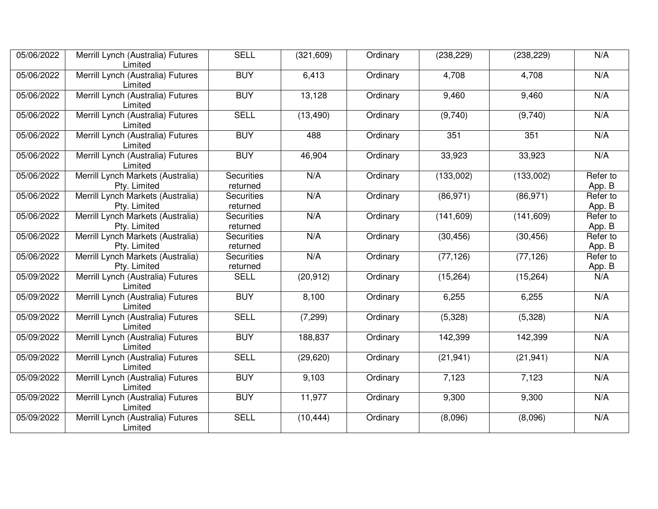| 05/06/2022 | Merrill Lynch (Australia) Futures<br>Limited               | <b>SELL</b>                                                   | (321, 609) | Ordinary                           | (238, 229)               | (238, 229) | N/A                |
|------------|------------------------------------------------------------|---------------------------------------------------------------|------------|------------------------------------|--------------------------|------------|--------------------|
| 05/06/2022 | <b>BUY</b><br>Merrill Lynch (Australia) Futures<br>Limited |                                                               | 6,413      | Ordinary                           | 4,708                    | 4,708      | N/A                |
| 05/06/2022 | Merrill Lynch (Australia) Futures<br>Limited               | <b>BUY</b>                                                    | 13,128     | Ordinary                           | 9,460                    | 9,460      | N/A                |
| 05/06/2022 | Merrill Lynch (Australia) Futures<br>Limited               | <b>SELL</b>                                                   | (13, 490)  | Ordinary                           | (9,740)                  | (9,740)    | N/A                |
| 05/06/2022 | Merrill Lynch (Australia) Futures<br>Limited               | <b>BUY</b>                                                    | 488        | Ordinary                           | 351                      | 351        | N/A                |
| 05/06/2022 | Merrill Lynch (Australia) Futures<br>Limited               | <b>BUY</b>                                                    | 46,904     | Ordinary                           | 33,923                   | 33,923     | N/A                |
| 05/06/2022 | Merrill Lynch Markets (Australia)<br>Pty. Limited          | Securities<br>returned                                        | N/A        | Ordinary                           | (133,002)                | (133,002)  | Refer to<br>App. B |
| 05/06/2022 | Merrill Lynch Markets (Australia)<br>Pty. Limited          | <b>Securities</b><br>returned                                 | N/A        | Ordinary<br>(86, 971)<br>(86, 971) |                          |            | Refer to<br>App. B |
| 05/06/2022 | Merrill Lynch Markets (Australia)<br>Pty. Limited          | <b>Securities</b><br>returned                                 | N/A        | Ordinary                           | (141, 609)<br>(141, 609) |            | Refer to<br>App. B |
| 05/06/2022 | Merrill Lynch Markets (Australia)<br>Pty. Limited          | <b>Securities</b><br>returned                                 | N/A        | Ordinary                           | (30, 456)<br>(30, 456)   |            | Refer to<br>App. B |
| 05/06/2022 | Merrill Lynch Markets (Australia)<br>Pty. Limited          | N/A<br>(77, 126)<br><b>Securities</b><br>Ordinary<br>returned |            | (77, 126)                          | Refer to<br>App. B       |            |                    |
| 05/09/2022 | Merrill Lynch (Australia) Futures<br>Limited               | <b>SELL</b>                                                   | (20, 912)  | Ordinary                           | (15, 264)                | (15, 264)  | N/A                |
| 05/09/2022 | Merrill Lynch (Australia) Futures<br>Limited               | <b>BUY</b>                                                    | 8,100      | Ordinary                           | 6,255                    | 6,255      | N/A                |
| 05/09/2022 | Merrill Lynch (Australia) Futures<br>Limited               | <b>SELL</b>                                                   | (7, 299)   | Ordinary                           | (5,328)                  | (5,328)    | N/A                |
| 05/09/2022 | Merrill Lynch (Australia) Futures<br>Limited               | <b>BUY</b>                                                    | 188,837    | Ordinary                           | 142,399                  | 142,399    | N/A                |
| 05/09/2022 | Merrill Lynch (Australia) Futures<br>Limited               | <b>SELL</b>                                                   | (29, 620)  | Ordinary                           | (21, 941)                | (21, 941)  | N/A                |
| 05/09/2022 | Merrill Lynch (Australia) Futures<br>Limited               | <b>BUY</b>                                                    | 9,103      | Ordinary                           | 7,123                    | 7,123      | N/A                |
| 05/09/2022 | Merrill Lynch (Australia) Futures<br>Limited               | <b>BUY</b>                                                    | 11,977     | Ordinary                           | 9,300                    | 9,300      | N/A                |
| 05/09/2022 | Merrill Lynch (Australia) Futures<br>Limited               | <b>SELL</b>                                                   | (10, 444)  | Ordinary                           | (8,096)                  | (8,096)    | N/A                |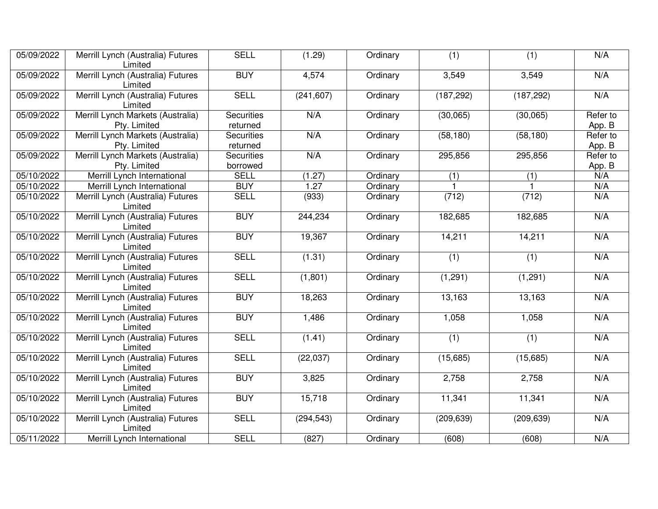| 05/09/2022 | Merrill Lynch (Australia) Futures<br>Limited                        | <b>SELL</b>                   | (1.29)     | Ordinary | (1)        | (1)        | N/A                |
|------------|---------------------------------------------------------------------|-------------------------------|------------|----------|------------|------------|--------------------|
| 05/09/2022 | Merrill Lynch (Australia) Futures<br><b>BUY</b><br>4,574<br>Limited |                               |            | Ordinary | 3,549      | 3,549      | N/A                |
| 05/09/2022 | Merrill Lynch (Australia) Futures<br>Limited                        | <b>SELL</b>                   | (241, 607) | Ordinary | (187, 292) | (187, 292) | N/A                |
| 05/09/2022 | Merrill Lynch Markets (Australia)<br>Pty. Limited                   | <b>Securities</b><br>returned | N/A        | Ordinary | (30,065)   | (30,065)   | Refer to<br>App. B |
| 05/09/2022 | Merrill Lynch Markets (Australia)<br>Pty. Limited                   | <b>Securities</b><br>returned | N/A        | Ordinary | (58, 180)  | (58, 180)  | Refer to<br>App. B |
| 05/09/2022 | Merrill Lynch Markets (Australia)<br>Pty. Limited                   | <b>Securities</b><br>borrowed | N/A        | Ordinary | 295,856    | 295,856    | Refer to<br>App. B |
| 05/10/2022 | Merrill Lynch International                                         | <b>SELL</b>                   | (1.27)     | Ordinary | (1)        | (1)        | N/A                |
| 05/10/2022 | Merrill Lynch International                                         | <b>BUY</b>                    | 1.27       | Ordinary |            |            | N/A                |
| 05/10/2022 | Merrill Lynch (Australia) Futures<br>Limited                        | <b>SELL</b>                   | (933)      | Ordinary | (712)      | (712)      | N/A                |
| 05/10/2022 | Merrill Lynch (Australia) Futures<br>Limited                        | <b>BUY</b>                    | 244,234    | Ordinary | 182,685    | 182,685    | N/A                |
| 05/10/2022 | Merrill Lynch (Australia) Futures<br>Limited                        | <b>BUY</b>                    | 19,367     | Ordinary | 14,211     | 14,211     | N/A                |
| 05/10/2022 | Merrill Lynch (Australia) Futures<br>Limited                        | <b>SELL</b>                   | (1.31)     | Ordinary | (1)        | (1)        | N/A                |
| 05/10/2022 | Merrill Lynch (Australia) Futures<br>Limited                        | <b>SELL</b>                   | (1,801)    | Ordinary | (1,291)    | (1, 291)   | N/A                |
| 05/10/2022 | Merrill Lynch (Australia) Futures<br>Limited                        | <b>BUY</b>                    | 18,263     | Ordinary | 13,163     | 13,163     | N/A                |
| 05/10/2022 | Merrill Lynch (Australia) Futures<br>Limited                        | <b>BUY</b>                    | 1,486      | Ordinary | 1,058      | 1,058      | N/A                |
| 05/10/2022 | Merrill Lynch (Australia) Futures<br>Limited                        | <b>SELL</b>                   | (1.41)     | Ordinary | (1)        | (1)        | N/A                |
| 05/10/2022 | Merrill Lynch (Australia) Futures<br>Limited                        | <b>SELL</b>                   | (22, 037)  | Ordinary | (15,685)   | (15,685)   | N/A                |
| 05/10/2022 | Merrill Lynch (Australia) Futures<br>Limited                        | <b>BUY</b>                    | 3,825      | Ordinary | 2,758      | 2,758      | N/A                |
| 05/10/2022 | Merrill Lynch (Australia) Futures<br>Limited                        | <b>BUY</b>                    | 15,718     | Ordinary | 11,341     | 11,341     | N/A                |
| 05/10/2022 | Merrill Lynch (Australia) Futures<br>Limited                        | <b>SELL</b>                   | (294, 543) | Ordinary | (209, 639) | (209, 639) | N/A                |
| 05/11/2022 | Merrill Lynch International                                         | <b>SELL</b>                   | (827)      | Ordinary | (608)      | (608)      | N/A                |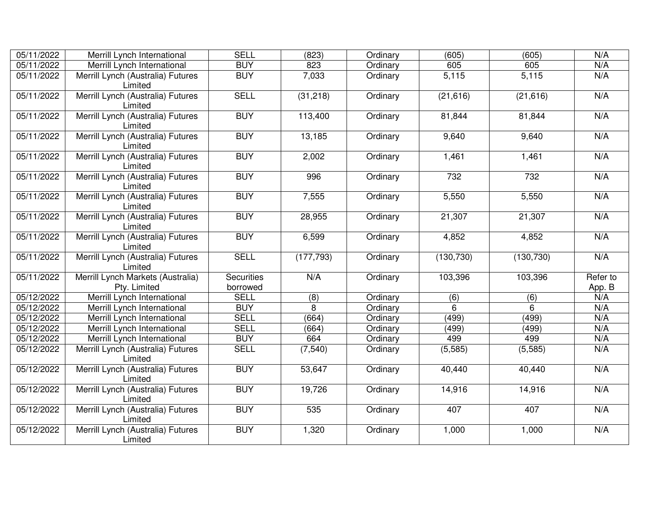| 05/11/2022 | Merrill Lynch International                                | <b>SELL</b>                   | (823)            | Ordinary | (605)            | (605)            | N/A                |
|------------|------------------------------------------------------------|-------------------------------|------------------|----------|------------------|------------------|--------------------|
| 05/11/2022 | Merrill Lynch International                                | <b>BUY</b>                    | 823              | Ordinary | 605              | 605              | N/A                |
| 05/11/2022 | Merrill Lynch (Australia) Futures<br>Limited               | <b>BUY</b>                    | 7,033            | Ordinary | 5,115            | 5,115            | N/A                |
| 05/11/2022 | Merrill Lynch (Australia) Futures<br>Limited               | <b>SELL</b>                   | (31, 218)        | Ordinary | (21,616)         | (21, 616)        | N/A                |
| 05/11/2022 | Merrill Lynch (Australia) Futures<br>Limited               | <b>BUY</b>                    | 113,400          | Ordinary | 81,844           | 81,844           | N/A                |
| 05/11/2022 | Merrill Lynch (Australia) Futures<br>Limited               | <b>BUY</b>                    | 13,185           | Ordinary | 9,640            | 9,640            | N/A                |
| 05/11/2022 | Merrill Lynch (Australia) Futures<br>Limited               | <b>BUY</b>                    | 2,002            | Ordinary | 1,461            | 1,461            | N/A                |
| 05/11/2022 | Merrill Lynch (Australia) Futures<br>Limited               | <b>BUY</b>                    | 996              | Ordinary | 732              | 732              | N/A                |
| 05/11/2022 | Merrill Lynch (Australia) Futures<br>Limited               | <b>BUY</b>                    | 7,555            | Ordinary | 5,550            | 5,550            | N/A                |
| 05/11/2022 | Merrill Lynch (Australia) Futures<br><b>BUY</b><br>Limited |                               | 28,955           | Ordinary | 21,307           | 21,307           | N/A                |
| 05/11/2022 | Merrill Lynch (Australia) Futures<br>Limited               | <b>BUY</b>                    | 6,599            | Ordinary | 4,852<br>4,852   |                  | N/A                |
| 05/11/2022 | Merrill Lynch (Australia) Futures<br>Limited               | <b>SELL</b>                   | (177, 793)       | Ordinary | (130, 730)       | (130, 730)       | N/A                |
| 05/11/2022 | Merrill Lynch Markets (Australia)<br>Pty. Limited          | <b>Securities</b><br>borrowed | N/A              | Ordinary | 103,396          | 103,396          | Refer to<br>App. B |
| 05/12/2022 | Merrill Lynch International                                | <b>SELL</b>                   | $\overline{(8)}$ | Ordinary | $\overline{(6)}$ | $\overline{(6)}$ | N/A                |
| 05/12/2022 | Merrill Lynch International                                | <b>BUY</b>                    | 8                | Ordinary | $\overline{6}$   | 6                | N/A                |
| 05/12/2022 | Merrill Lynch International                                | <b>SELL</b>                   | (664)            | Ordinary | (499)            | (499)            | N/A                |
| 05/12/2022 | Merrill Lynch International                                | <b>SELL</b>                   | (664)            | Ordinary | (499)            | (499)            | N/A                |
| 05/12/2022 | Merrill Lynch International                                | <b>BUY</b>                    | 664              | Ordinary | 499              | 499              | N/A                |
| 05/12/2022 | Merrill Lynch (Australia) Futures<br>Limited               | <b>SELL</b>                   | (7, 540)         | Ordinary | (5, 585)         | (5, 585)         | N/A                |
| 05/12/2022 | Merrill Lynch (Australia) Futures<br>Limited               | <b>BUY</b>                    | 53,647           | Ordinary | 40,440           | 40,440           | N/A                |
| 05/12/2022 | Merrill Lynch (Australia) Futures<br>Limited               | <b>BUY</b>                    | 19,726           | Ordinary | 14,916           | 14,916           | N/A                |
| 05/12/2022 | Merrill Lynch (Australia) Futures<br>Limited               | <b>BUY</b>                    | 535              | Ordinary | 407              | 407              | N/A                |
| 05/12/2022 | Merrill Lynch (Australia) Futures<br>Limited               | <b>BUY</b>                    | 1,320            | Ordinary | 1,000            | 1,000            | N/A                |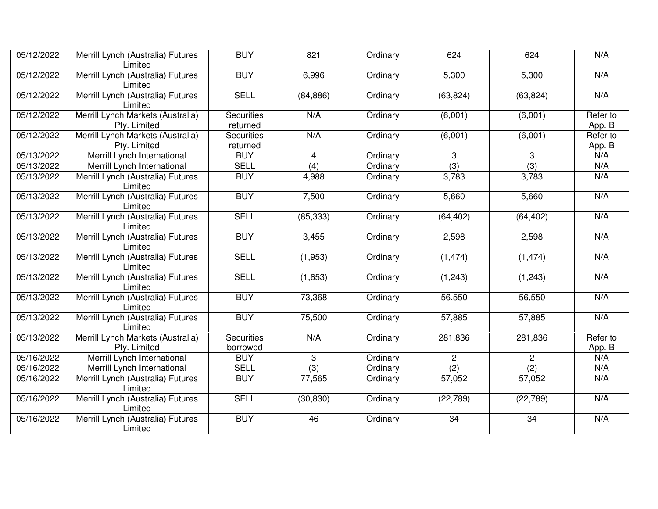| 05/12/2022 | Merrill Lynch (Australia) Futures<br>Limited                        | <b>BUY</b>                    | 821              | Ordinary | 624                    | 624              | N/A                |
|------------|---------------------------------------------------------------------|-------------------------------|------------------|----------|------------------------|------------------|--------------------|
| 05/12/2022 | Merrill Lynch (Australia) Futures<br><b>BUY</b><br>6,996<br>Limited |                               | Ordinary         | 5,300    | 5,300                  | N/A              |                    |
| 05/12/2022 | Merrill Lynch (Australia) Futures<br>Limited                        | <b>SELL</b>                   | (84, 886)        | Ordinary | (63, 824)              | (63, 824)        | N/A                |
| 05/12/2022 | Merrill Lynch Markets (Australia)<br>Pty. Limited                   | <b>Securities</b><br>returned | N/A              | Ordinary | (6,001)                | (6,001)          | Refer to<br>App. B |
| 05/12/2022 | Merrill Lynch Markets (Australia)<br>Pty. Limited                   | <b>Securities</b><br>returned | N/A              | Ordinary | (6,001)                | (6,001)          | Refer to<br>App. B |
| 05/13/2022 | Merrill Lynch International                                         | <b>BUY</b>                    | $\overline{4}$   | Ordinary | 3                      | 3                | N/A                |
| 05/13/2022 | Merrill Lynch International                                         | <b>SELL</b>                   | $\overline{(4)}$ | Ordinary | (3)                    | (3)              | N/A                |
| 05/13/2022 | Merrill Lynch (Australia) Futures<br>Limited                        | <b>BUY</b>                    | 4,988            | Ordinary | 3,783                  | 3,783            | N/A                |
| 05/13/2022 | Merrill Lynch (Australia) Futures<br>Limited                        | <b>BUY</b>                    | 7,500            | Ordinary | 5,660<br>5,660         |                  | N/A                |
| 05/13/2022 | Merrill Lynch (Australia) Futures<br>Limited                        | <b>SELL</b>                   | (85, 333)        | Ordinary | (64, 402)<br>(64, 402) |                  | N/A                |
| 05/13/2022 | Merrill Lynch (Australia) Futures<br>Limited                        | <b>BUY</b>                    | 3,455            | Ordinary | 2,598                  | 2,598            | N/A                |
| 05/13/2022 | Merrill Lynch (Australia) Futures<br>Limited                        | <b>SELL</b>                   | (1,953)          | Ordinary | (1, 474)<br>(1, 474)   |                  | N/A                |
| 05/13/2022 | Merrill Lynch (Australia) Futures<br>Limited                        | <b>SELL</b>                   | (1,653)          | Ordinary | (1, 243)               | (1, 243)         | N/A                |
| 05/13/2022 | Merrill Lynch (Australia) Futures<br>Limited                        | <b>BUY</b>                    | 73,368           | Ordinary | 56,550                 | 56,550           | N/A                |
| 05/13/2022 | Merrill Lynch (Australia) Futures<br>Limited                        | <b>BUY</b>                    | 75,500           | Ordinary | 57,885                 | 57,885           | N/A                |
| 05/13/2022 | Merrill Lynch Markets (Australia)<br>Pty. Limited                   | <b>Securities</b><br>borrowed | N/A              | Ordinary | 281,836                | 281,836          | Refer to<br>App. B |
| 05/16/2022 | Merrill Lynch International                                         | <b>BUY</b>                    | 3                | Ordinary | $\overline{c}$         | $\overline{c}$   | N/A                |
| 05/16/2022 | Merrill Lynch International                                         | <b>SELL</b>                   | (3)              | Ordinary | $\overline{(2)}$       | $\overline{(2)}$ | N/A                |
| 05/16/2022 | Merrill Lynch (Australia) Futures<br>Limited                        | <b>BUY</b>                    | 77,565           | Ordinary | 57,052                 | 57,052           | N/A                |
| 05/16/2022 | Merrill Lynch (Australia) Futures<br>Limited                        | <b>SELL</b>                   | (30, 830)        | Ordinary | (22, 789)              | (22, 789)        | N/A                |
| 05/16/2022 | Merrill Lynch (Australia) Futures<br>Limited                        | <b>BUY</b>                    | 46               | Ordinary | 34                     | 34               | N/A                |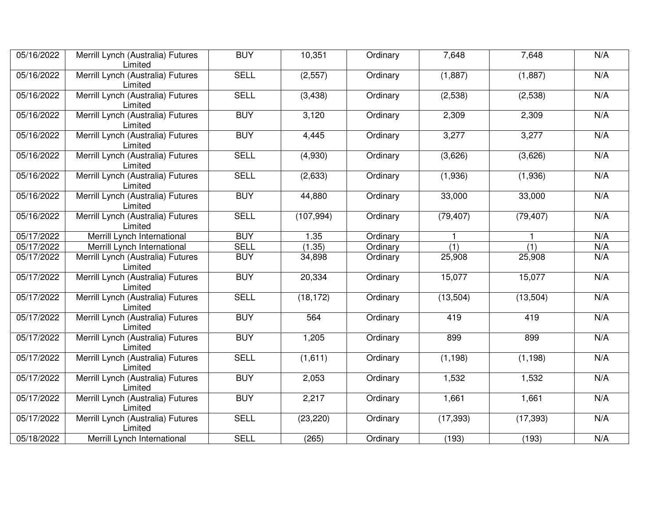| 05/16/2022              | Merrill Lynch (Australia) Futures<br>Limited | <b>BUY</b>                                         | 10,351    | Ordinary  | 7,648      | 7,648        | N/A |
|-------------------------|----------------------------------------------|----------------------------------------------------|-----------|-----------|------------|--------------|-----|
| 05/16/2022              | Merrill Lynch (Australia) Futures<br>Limited | <b>SELL</b>                                        | (2, 557)  | Ordinary  | (1,887)    | (1,887)      | N/A |
| 05/16/2022              | Merrill Lynch (Australia) Futures<br>Limited | <b>SELL</b>                                        | (3, 438)  | Ordinary  | (2,538)    | (2,538)      | N/A |
| 05/16/2022              | Merrill Lynch (Australia) Futures<br>Limited | <b>BUY</b>                                         | 3,120     | Ordinary  | 2,309      | 2,309        | N/A |
| 05/16/2022              | Merrill Lynch (Australia) Futures<br>Limited | <b>BUY</b>                                         | 4,445     | Ordinary  | 3,277      | 3,277        | N/A |
| 05/16/2022              | Merrill Lynch (Australia) Futures<br>Limited | <b>SELL</b>                                        | (4,930)   | Ordinary  | (3,626)    | (3,626)      | N/A |
| 05/16/2022              | Merrill Lynch (Australia) Futures<br>Limited | <b>SELL</b>                                        | (2,633)   | Ordinary  | (1,936)    | (1,936)      | N/A |
| 05/16/2022              | Merrill Lynch (Australia) Futures<br>Limited | <b>BUY</b><br>44,880<br>33,000<br>Ordinary         |           | 33,000    | N/A        |              |     |
| 05/16/2022              | Merrill Lynch (Australia) Futures<br>Limited | <b>SELL</b><br>(107, 994)<br>(79, 407)<br>Ordinary |           | (79, 407) | N/A        |              |     |
| 05/17/2022              | Merrill Lynch International                  | <b>BUY</b>                                         | 1.35      | Ordinary  |            | $\mathbf{1}$ | N/A |
| 05/17/2022              | Merrill Lynch International                  | <b>SELL</b>                                        | (1.35)    | Ordinary  | (1)<br>(1) |              | N/A |
| 05/17/2022              | Merrill Lynch (Australia) Futures<br>Limited | <b>BUY</b>                                         | 34,898    | Ordinary  | 25,908     | 25,908       | N/A |
| 05/17/2022              | Merrill Lynch (Australia) Futures<br>Limited | <b>BUY</b><br>20,334<br>15,077<br>Ordinary         |           | 15,077    | N/A        |              |     |
| 05/17/2022              | Merrill Lynch (Australia) Futures<br>Limited | <b>SELL</b>                                        | (18, 172) | Ordinary  | (13, 504)  | (13, 504)    | N/A |
| 05/17/2022              | Merrill Lynch (Australia) Futures<br>Limited | <b>BUY</b>                                         | 564       | Ordinary  | 419        | 419          | N/A |
| 05/17/2022              | Merrill Lynch (Australia) Futures<br>Limited | <b>BUY</b>                                         | 1,205     | Ordinary  | 899        | 899          | N/A |
| 05/17/2022              | Merrill Lynch (Australia) Futures<br>Limited | <b>SELL</b>                                        | (1,611)   | Ordinary  | (1, 198)   | (1, 198)     | N/A |
| $\overline{05}/17/2022$ | Merrill Lynch (Australia) Futures<br>Limited | <b>BUY</b>                                         | 2,053     | Ordinary  | 1,532      | 1,532        | N/A |
| 05/17/2022              | Merrill Lynch (Australia) Futures<br>Limited | <b>BUY</b>                                         | 2,217     | Ordinary  | 1,661      | 1,661        | N/A |
| 05/17/2022              | Merrill Lynch (Australia) Futures<br>Limited | <b>SELL</b>                                        | (23, 220) | Ordinary  | (17, 393)  | (17, 393)    | N/A |
| 05/18/2022              | Merrill Lynch International                  | <b>SELL</b>                                        | (265)     | Ordinary  | (193)      | (193)        | N/A |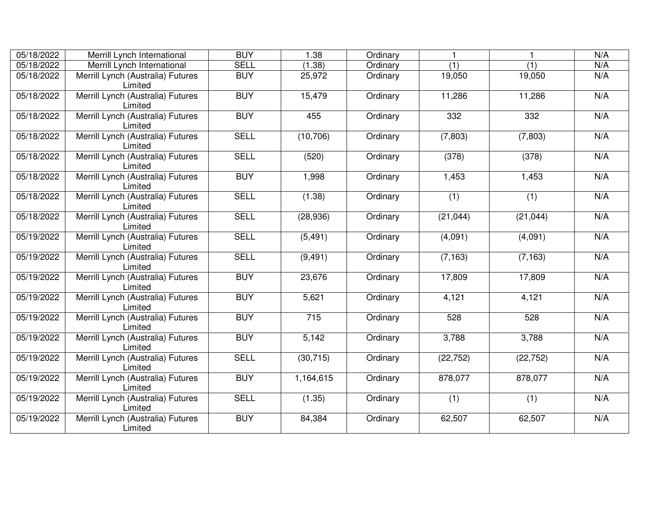| 05/18/2022 | Merrill Lynch International                  | <b>BUY</b>  | 1.38      | Ordinary |           |           | N/A |
|------------|----------------------------------------------|-------------|-----------|----------|-----------|-----------|-----|
| 05/18/2022 | Merrill Lynch International                  | <b>SELL</b> | (1.38)    | Ordinary | (1)       | (1)       | N/A |
| 05/18/2022 | Merrill Lynch (Australia) Futures<br>Limited | <b>BUY</b>  | 25,972    | Ordinary | 19,050    | 19,050    | N/A |
| 05/18/2022 | Merrill Lynch (Australia) Futures<br>Limited | <b>BUY</b>  | 15,479    | Ordinary | 11,286    | 11,286    | N/A |
| 05/18/2022 | Merrill Lynch (Australia) Futures<br>Limited | <b>BUY</b>  | 455       | Ordinary | 332       | 332       | N/A |
| 05/18/2022 | Merrill Lynch (Australia) Futures<br>Limited | <b>SELL</b> | (10, 706) | Ordinary | (7,803)   | (7, 803)  | N/A |
| 05/18/2022 | Merrill Lynch (Australia) Futures<br>Limited | <b>SELL</b> | (520)     | Ordinary | (378)     | (378)     | N/A |
| 05/18/2022 | Merrill Lynch (Australia) Futures<br>Limited | <b>BUY</b>  | 1,998     | Ordinary | 1,453     | 1,453     | N/A |
| 05/18/2022 | Merrill Lynch (Australia) Futures<br>Limited | <b>SELL</b> | (1.38)    | Ordinary | (1)       | (1)       | N/A |
| 05/18/2022 | Merrill Lynch (Australia) Futures<br>Limited | <b>SELL</b> | (28, 936) | Ordinary | (21, 044) | (21, 044) | N/A |
| 05/19/2022 | Merrill Lynch (Australia) Futures<br>Limited | <b>SELL</b> | (5, 491)  | Ordinary | (4,091)   | (4,091)   | N/A |
| 05/19/2022 | Merrill Lynch (Australia) Futures<br>Limited | <b>SELL</b> | (9, 491)  | Ordinary | (7, 163)  | (7, 163)  | N/A |
| 05/19/2022 | Merrill Lynch (Australia) Futures<br>Limited | <b>BUY</b>  | 23,676    | Ordinary | 17,809    | 17,809    | N/A |
| 05/19/2022 | Merrill Lynch (Australia) Futures<br>Limited | <b>BUY</b>  | 5,621     | Ordinary | 4,121     | 4,121     | N/A |
| 05/19/2022 | Merrill Lynch (Australia) Futures<br>Limited | <b>BUY</b>  | 715       | Ordinary | 528       | 528       | N/A |
| 05/19/2022 | Merrill Lynch (Australia) Futures<br>Limited | <b>BUY</b>  | 5,142     | Ordinary | 3,788     | 3,788     | N/A |
| 05/19/2022 | Merrill Lynch (Australia) Futures<br>Limited | <b>SELL</b> | (30, 715) | Ordinary | (22, 752) | (22, 752) | N/A |
| 05/19/2022 | Merrill Lynch (Australia) Futures<br>Limited | <b>BUY</b>  | 1,164,615 | Ordinary | 878,077   | 878,077   | N/A |
| 05/19/2022 | Merrill Lynch (Australia) Futures<br>Limited | <b>SELL</b> | (1.35)    | Ordinary | (1)       | (1)       | N/A |
| 05/19/2022 | Merrill Lynch (Australia) Futures<br>Limited | <b>BUY</b>  | 84,384    | Ordinary | 62,507    | 62,507    | N/A |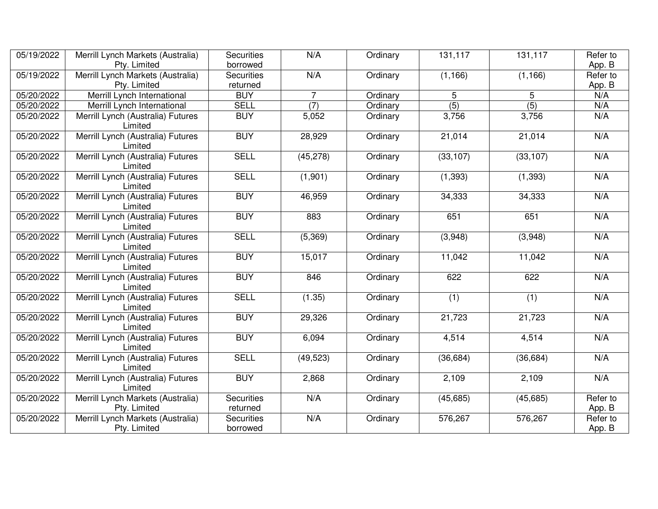| 05/19/2022 | Merrill Lynch Markets (Australia)                 | <b>Securities</b>             | N/A            | Ordinary | 131,117   | 131,117          | Refer to           |
|------------|---------------------------------------------------|-------------------------------|----------------|----------|-----------|------------------|--------------------|
|            | Pty. Limited<br>borrowed                          |                               |                |          |           |                  | App. B             |
| 05/19/2022 | Merrill Lynch Markets (Australia)                 | <b>Securities</b>             | N/A            | Ordinary | (1, 166)  | (1, 166)         | Refer to           |
|            | Pty. Limited                                      | returned                      |                |          |           |                  | App. B             |
| 05/20/2022 | Merrill Lynch International                       | <b>BUY</b>                    | $\overline{7}$ | Ordinary | 5         | 5                | N/A                |
| 05/20/2022 | Merrill Lynch International                       | <b>SELL</b>                   | (7)            | Ordinary | (5)       | $\overline{(5)}$ | N/A                |
| 05/20/2022 | Merrill Lynch (Australia) Futures<br>Limited      | <b>BUY</b>                    | 5,052          | Ordinary | 3,756     | 3,756            | N/A                |
| 05/20/2022 | Merrill Lynch (Australia) Futures<br>Limited      | <b>BUY</b>                    | 28,929         | Ordinary | 21,014    | 21,014           | N/A                |
| 05/20/2022 | Merrill Lynch (Australia) Futures<br>Limited      | <b>SELL</b>                   | (45, 278)      | Ordinary | (33, 107) | (33, 107)        | N/A                |
| 05/20/2022 | Merrill Lynch (Australia) Futures<br>Limited      | <b>SELL</b>                   | (1,901)        | Ordinary | (1, 393)  | (1, 393)         | N/A                |
| 05/20/2022 | Merrill Lynch (Australia) Futures<br>Limited      | <b>BUY</b>                    | 46,959         | Ordinary | 34,333    | 34,333           | N/A                |
| 05/20/2022 | Merrill Lynch (Australia) Futures<br>Limited      | <b>BUY</b>                    | 883            | Ordinary | 651       | 651              | N/A                |
| 05/20/2022 | Merrill Lynch (Australia) Futures<br>Limited      | <b>SELL</b>                   | (5,369)        | Ordinary | (3,948)   | (3,948)          | N/A                |
| 05/20/2022 | Merrill Lynch (Australia) Futures<br>Limited      | <b>BUY</b>                    | 15,017         | Ordinary | 11,042    | 11,042           | N/A                |
| 05/20/2022 | Merrill Lynch (Australia) Futures<br>Limited      | <b>BUY</b>                    | 846            | Ordinary | 622       | 622              | N/A                |
| 05/20/2022 | Merrill Lynch (Australia) Futures<br>Limited      | <b>SELL</b>                   | (1.35)         | Ordinary | (1)       | (1)              | N/A                |
| 05/20/2022 | Merrill Lynch (Australia) Futures<br>Limited      | <b>BUY</b>                    | 29,326         | Ordinary | 21,723    | 21,723           | N/A                |
| 05/20/2022 | Merrill Lynch (Australia) Futures<br>Limited      | <b>BUY</b>                    | 6,094          | Ordinary | 4,514     | 4,514            | N/A                |
| 05/20/2022 | Merrill Lynch (Australia) Futures<br>Limited      | <b>SELL</b>                   | (49, 523)      | Ordinary | (36, 684) | (36, 684)        | N/A                |
| 05/20/2022 | Merrill Lynch (Australia) Futures<br>Limited      | <b>BUY</b>                    | 2,868          | Ordinary | 2,109     | 2,109            | N/A                |
| 05/20/2022 | Merrill Lynch Markets (Australia)<br>Pty. Limited | <b>Securities</b><br>returned | N/A            | Ordinary | (45, 685) | (45, 685)        | Refer to<br>App. B |
| 05/20/2022 | Merrill Lynch Markets (Australia)                 | <b>Securities</b>             | N/A            | Ordinary | 576,267   | 576,267          | Refer to           |
|            | Pty. Limited                                      | borrowed                      |                |          |           |                  | App. B             |
|            |                                                   |                               |                |          |           |                  |                    |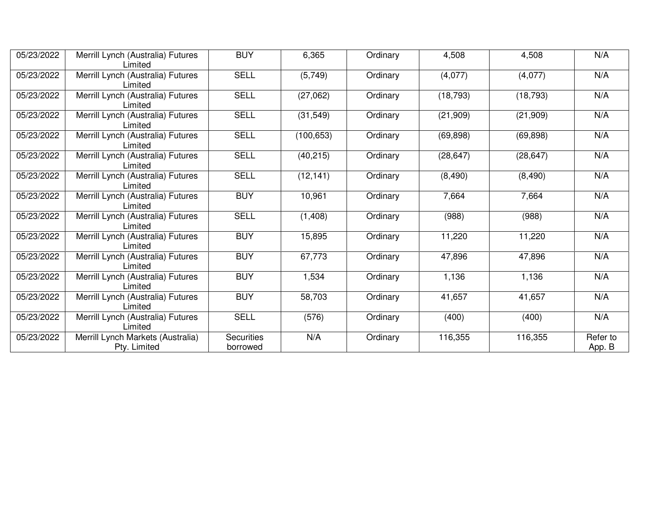| 05/23/2022                                                                                       | Merrill Lynch (Australia) Futures<br>Limited                                                    | <b>BUY</b>             | 6,365      | Ordinary | 4,508     | 4,508     | N/A                |
|--------------------------------------------------------------------------------------------------|-------------------------------------------------------------------------------------------------|------------------------|------------|----------|-----------|-----------|--------------------|
| 05/23/2022                                                                                       | Merrill Lynch (Australia) Futures<br>Limited                                                    | <b>SELL</b>            | (5,749)    | Ordinary | (4,077)   | (4,077)   | N/A                |
| 05/23/2022                                                                                       | Merrill Lynch (Australia) Futures<br>Limited                                                    | <b>SELL</b>            | (27,062)   | Ordinary | (18, 793) | (18, 793) | N/A                |
| 05/23/2022                                                                                       | Merrill Lynch (Australia) Futures<br>Limited                                                    | <b>SELL</b>            | (31, 549)  | Ordinary | (21,909)  | (21, 909) | N/A                |
| 05/23/2022                                                                                       | Merrill Lynch (Australia) Futures<br>Limited                                                    | <b>SELL</b>            | (100, 653) | Ordinary | (69, 898) | (69, 898) | N/A                |
| 05/23/2022                                                                                       | Merrill Lynch (Australia) Futures<br>Limited                                                    | <b>SELL</b>            | (40, 215)  | Ordinary | (28, 647) | (28, 647) | N/A                |
| 05/23/2022                                                                                       | <b>SELL</b><br>Merrill Lynch (Australia) Futures<br>(12, 141)<br>Ordinary<br>(8,490)<br>Limited |                        | (8,490)    | N/A      |           |           |                    |
| 05/23/2022                                                                                       | Merrill Lynch (Australia) Futures<br>Limited                                                    | <b>BUY</b>             | 10,961     | Ordinary | 7,664     | 7,664     | N/A                |
| <b>SELL</b><br>05/23/2022<br>Merrill Lynch (Australia) Futures<br>(1,408)<br>Ordinary<br>Limited |                                                                                                 | (988)                  | (988)      | N/A      |           |           |                    |
| 05/23/2022                                                                                       | Merrill Lynch (Australia) Futures<br>Limited                                                    | <b>BUY</b>             | 15,895     | Ordinary | 11,220    | 11,220    | N/A                |
| 05/23/2022                                                                                       | Merrill Lynch (Australia) Futures<br>Limited                                                    | <b>BUY</b>             | 67,773     | Ordinary | 47,896    | 47,896    | N/A                |
| 05/23/2022                                                                                       | Merrill Lynch (Australia) Futures<br>Limited                                                    | <b>BUY</b>             | 1,534      | Ordinary | 1,136     | 1,136     | N/A                |
| 05/23/2022                                                                                       | Merrill Lynch (Australia) Futures<br>Limited                                                    | <b>BUY</b>             | 58,703     | Ordinary | 41,657    | 41,657    | N/A                |
| 05/23/2022                                                                                       | Merrill Lynch (Australia) Futures<br>Limited                                                    | <b>SELL</b>            | (576)      | Ordinary | (400)     | (400)     | N/A                |
| 05/23/2022                                                                                       | Merrill Lynch Markets (Australia)<br>Pty. Limited                                               | Securities<br>borrowed | N/A        | Ordinary | 116,355   | 116,355   | Refer to<br>App. B |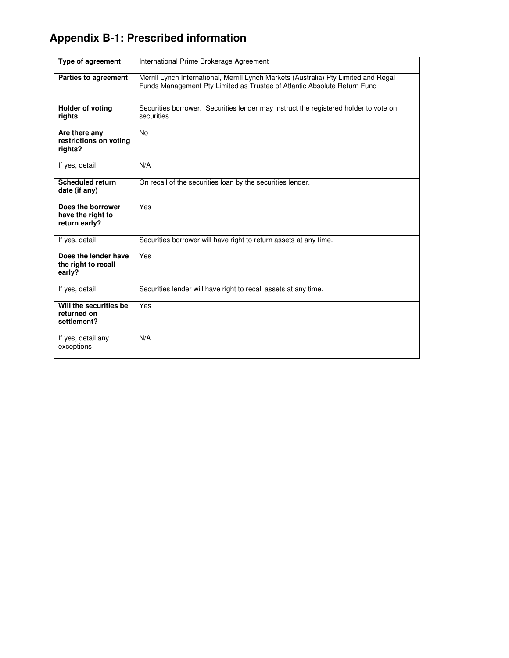# **Appendix B-1: Prescribed information**

| Type of agreement                                       | International Prime Brokerage Agreement                                                                                                                          |
|---------------------------------------------------------|------------------------------------------------------------------------------------------------------------------------------------------------------------------|
| <b>Parties to agreement</b>                             | Merrill Lynch International, Merrill Lynch Markets (Australia) Pty Limited and Regal<br>Funds Management Pty Limited as Trustee of Atlantic Absolute Return Fund |
| Holder of voting<br>rights                              | Securities borrower. Securities lender may instruct the registered holder to vote on<br>securities.                                                              |
| Are there any<br>restrictions on voting<br>rights?      | <b>No</b>                                                                                                                                                        |
| If yes, detail                                          | N/A                                                                                                                                                              |
| <b>Scheduled return</b><br>date (if any)                | On recall of the securities loan by the securities lender.                                                                                                       |
| Does the borrower<br>have the right to<br>return early? | Yes                                                                                                                                                              |
| If yes, detail                                          | Securities borrower will have right to return assets at any time.                                                                                                |
| Does the lender have<br>the right to recall<br>early?   | Yes                                                                                                                                                              |
| If yes, detail                                          | Securities lender will have right to recall assets at any time.                                                                                                  |
| Will the securities be<br>returned on<br>settlement?    | Yes                                                                                                                                                              |
| If yes, detail any<br>exceptions                        | N/A                                                                                                                                                              |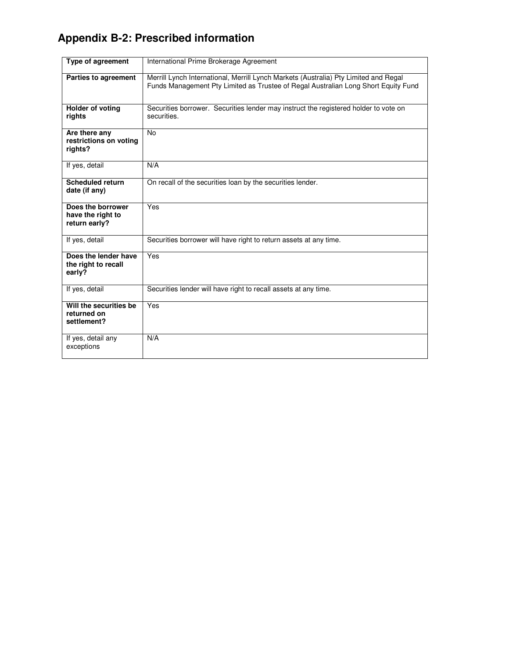## **Appendix B-2: Prescribed information**

| Type of agreement                                       | International Prime Brokerage Agreement                                                                                                                                    |
|---------------------------------------------------------|----------------------------------------------------------------------------------------------------------------------------------------------------------------------------|
| Parties to agreement                                    | Merrill Lynch International, Merrill Lynch Markets (Australia) Pty Limited and Regal<br>Funds Management Pty Limited as Trustee of Regal Australian Long Short Equity Fund |
| Holder of voting<br>rights                              | Securities borrower. Securities lender may instruct the registered holder to vote on<br>securities.                                                                        |
| Are there any<br>restrictions on voting<br>rights?      | <b>No</b>                                                                                                                                                                  |
| If yes, detail                                          | N/A                                                                                                                                                                        |
| <b>Scheduled return</b><br>date (if any)                | On recall of the securities loan by the securities lender.                                                                                                                 |
| Does the borrower<br>have the right to<br>return early? | Yes                                                                                                                                                                        |
| If yes, detail                                          | Securities borrower will have right to return assets at any time.                                                                                                          |
| Does the lender have<br>the right to recall<br>early?   | Yes                                                                                                                                                                        |
| If yes, detail                                          | Securities lender will have right to recall assets at any time.                                                                                                            |
| Will the securities be<br>returned on<br>settlement?    | Yes                                                                                                                                                                        |
| If yes, detail any<br>exceptions                        | N/A                                                                                                                                                                        |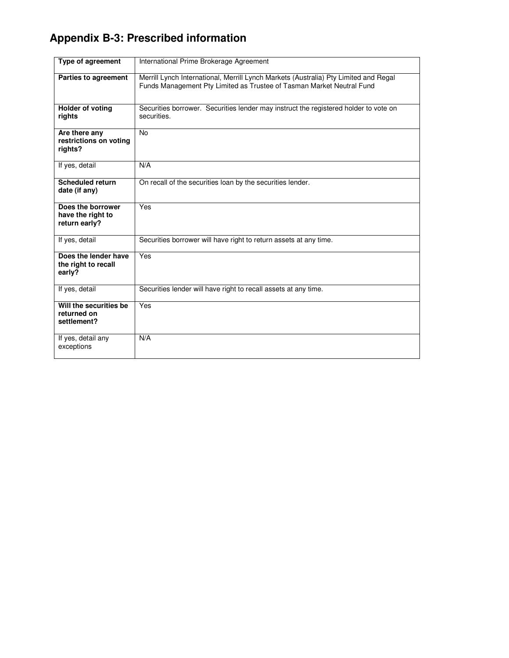# **Appendix B-3: Prescribed information**

| Type of agreement                                       | International Prime Brokerage Agreement                                                                                                                       |
|---------------------------------------------------------|---------------------------------------------------------------------------------------------------------------------------------------------------------------|
| <b>Parties to agreement</b>                             | Merrill Lynch International, Merrill Lynch Markets (Australia) Pty Limited and Regal<br>Funds Management Pty Limited as Trustee of Tasman Market Neutral Fund |
| <b>Holder of voting</b><br>rights                       | Securities borrower. Securities lender may instruct the registered holder to vote on<br>securities.                                                           |
| Are there any<br>restrictions on voting<br>rights?      | <b>No</b>                                                                                                                                                     |
| If yes, detail                                          | N/A                                                                                                                                                           |
| <b>Scheduled return</b><br>date (if any)                | On recall of the securities loan by the securities lender.                                                                                                    |
| Does the borrower<br>have the right to<br>return early? | $Y_{\text{es}}$                                                                                                                                               |
| If yes, detail                                          | Securities borrower will have right to return assets at any time.                                                                                             |
| Does the lender have<br>the right to recall<br>early?   | Yes                                                                                                                                                           |
| If yes, detail                                          | Securities lender will have right to recall assets at any time.                                                                                               |
| Will the securities be<br>returned on<br>settlement?    | Yes                                                                                                                                                           |
| If yes, detail any<br>exceptions                        | N/A                                                                                                                                                           |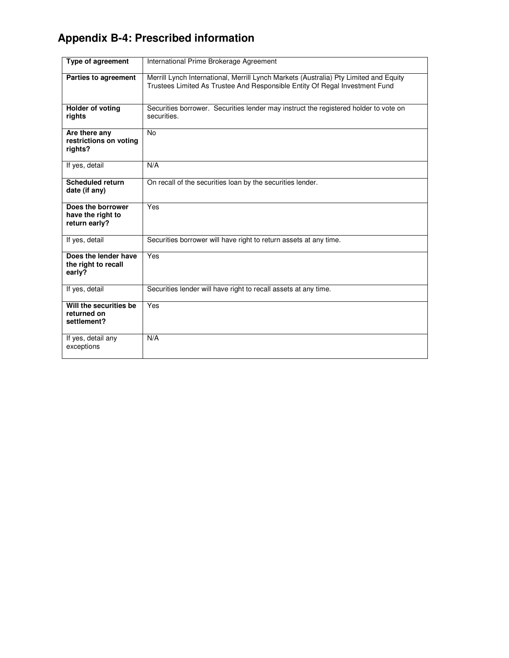## **Appendix B-4: Prescribed information**

| Type of agreement                                       | International Prime Brokerage Agreement                                                                                                                              |
|---------------------------------------------------------|----------------------------------------------------------------------------------------------------------------------------------------------------------------------|
| <b>Parties to agreement</b>                             | Merrill Lynch International, Merrill Lynch Markets (Australia) Pty Limited and Equity<br>Trustees Limited As Trustee And Responsible Entity Of Regal Investment Fund |
| <b>Holder of voting</b><br>rights                       | Securities borrower. Securities lender may instruct the registered holder to vote on<br>securities.                                                                  |
| Are there any<br>restrictions on voting<br>rights?      | <b>No</b>                                                                                                                                                            |
| If yes, detail                                          | N/A                                                                                                                                                                  |
| <b>Scheduled return</b><br>date (if any)                | On recall of the securities loan by the securities lender.                                                                                                           |
| Does the borrower<br>have the right to<br>return early? | Yes                                                                                                                                                                  |
| If yes, detail                                          | Securities borrower will have right to return assets at any time.                                                                                                    |
| Does the lender have<br>the right to recall<br>early?   | Yes                                                                                                                                                                  |
| If yes, detail                                          | Securities lender will have right to recall assets at any time.                                                                                                      |
| Will the securities be<br>returned on<br>settlement?    | Yes                                                                                                                                                                  |
| If yes, detail any<br>exceptions                        | N/A                                                                                                                                                                  |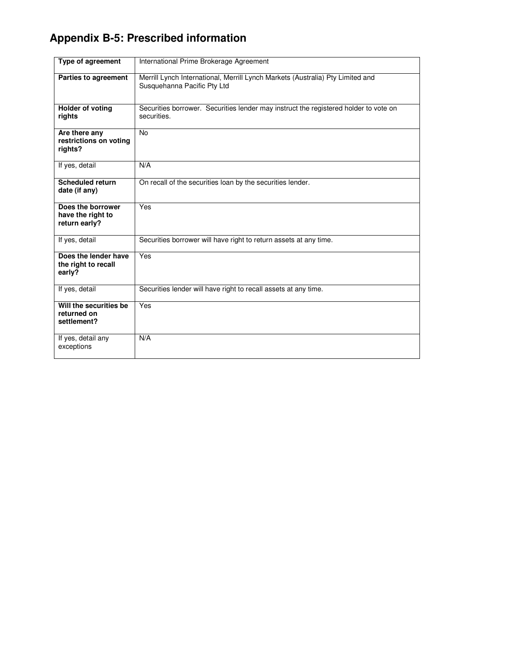# **Appendix B-5: Prescribed information**

| <b>Type of agreement</b>                                | International Prime Brokerage Agreement                                                                       |
|---------------------------------------------------------|---------------------------------------------------------------------------------------------------------------|
| <b>Parties to agreement</b>                             | Merrill Lynch International, Merrill Lynch Markets (Australia) Pty Limited and<br>Susquehanna Pacific Pty Ltd |
| <b>Holder of voting</b><br>rights                       | Securities borrower. Securities lender may instruct the registered holder to vote on<br>securities.           |
| Are there any<br>restrictions on voting<br>rights?      | <b>No</b>                                                                                                     |
| If yes, detail                                          | N/A                                                                                                           |
| <b>Scheduled return</b><br>date (if any)                | On recall of the securities loan by the securities lender.                                                    |
| Does the borrower<br>have the right to<br>return early? | Yes                                                                                                           |
| If yes, detail                                          | Securities borrower will have right to return assets at any time.                                             |
| Does the lender have<br>the right to recall<br>early?   | Yes                                                                                                           |
| If yes, detail                                          | Securities lender will have right to recall assets at any time.                                               |
| Will the securities be<br>returned on<br>settlement?    | $\overline{Yes}$                                                                                              |
| If yes, detail any<br>exceptions                        | N/A                                                                                                           |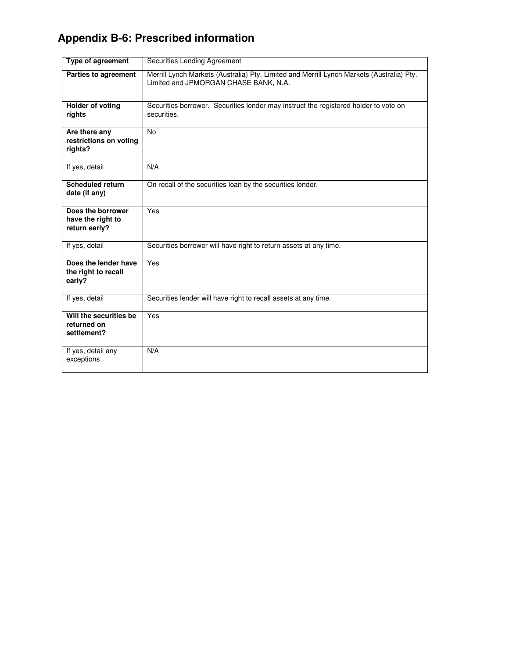## **Appendix B-6: Prescribed information**

| Type of agreement                                       | Securities Lending Agreement                                                                                                       |
|---------------------------------------------------------|------------------------------------------------------------------------------------------------------------------------------------|
| Parties to agreement                                    | Merrill Lynch Markets (Australia) Pty. Limited and Merrill Lynch Markets (Australia) Pty.<br>Limited and JPMORGAN CHASE BANK, N.A. |
| <b>Holder of voting</b><br>rights                       | Securities borrower. Securities lender may instruct the registered holder to vote on<br>securities.                                |
| Are there any<br>restrictions on voting<br>rights?      | <b>No</b>                                                                                                                          |
| If yes, detail                                          | N/A                                                                                                                                |
| <b>Scheduled return</b><br>date (if any)                | On recall of the securities loan by the securities lender.                                                                         |
| Does the borrower<br>have the right to<br>return early? | Yes                                                                                                                                |
| If yes, detail                                          | Securities borrower will have right to return assets at any time.                                                                  |
| Does the lender have<br>the right to recall<br>early?   | Yes                                                                                                                                |
| If yes, detail                                          | Securities lender will have right to recall assets at any time.                                                                    |
| Will the securities be<br>returned on<br>settlement?    | Yes                                                                                                                                |
| If yes, detail any<br>exceptions                        | N/A                                                                                                                                |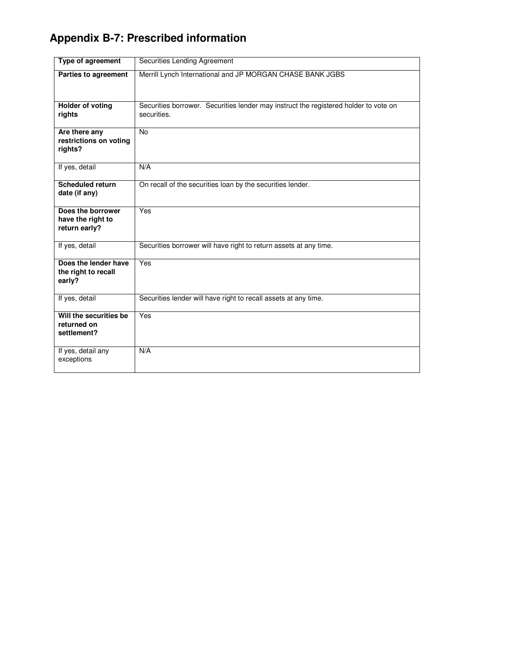# **Appendix B-7: Prescribed information**

| <b>Type of agreement</b>                                | Securities Lending Agreement                                                                        |
|---------------------------------------------------------|-----------------------------------------------------------------------------------------------------|
| Parties to agreement                                    | Merrill Lynch International and JP MORGAN CHASE BANK JGBS                                           |
| <b>Holder of voting</b><br>rights                       | Securities borrower. Securities lender may instruct the registered holder to vote on<br>securities. |
| Are there any<br>restrictions on voting<br>rights?      | <b>No</b>                                                                                           |
| If yes, detail                                          | N/A                                                                                                 |
| <b>Scheduled return</b><br>date (if any)                | On recall of the securities loan by the securities lender.                                          |
| Does the borrower<br>have the right to<br>return early? | Yes                                                                                                 |
| If yes, detail                                          | Securities borrower will have right to return assets at any time.                                   |
| Does the lender have<br>the right to recall<br>early?   | Yes                                                                                                 |
| If yes, detail                                          | Securities lender will have right to recall assets at any time.                                     |
| Will the securities be<br>returned on<br>settlement?    | Yes                                                                                                 |
| If yes, detail any<br>exceptions                        | N/A                                                                                                 |